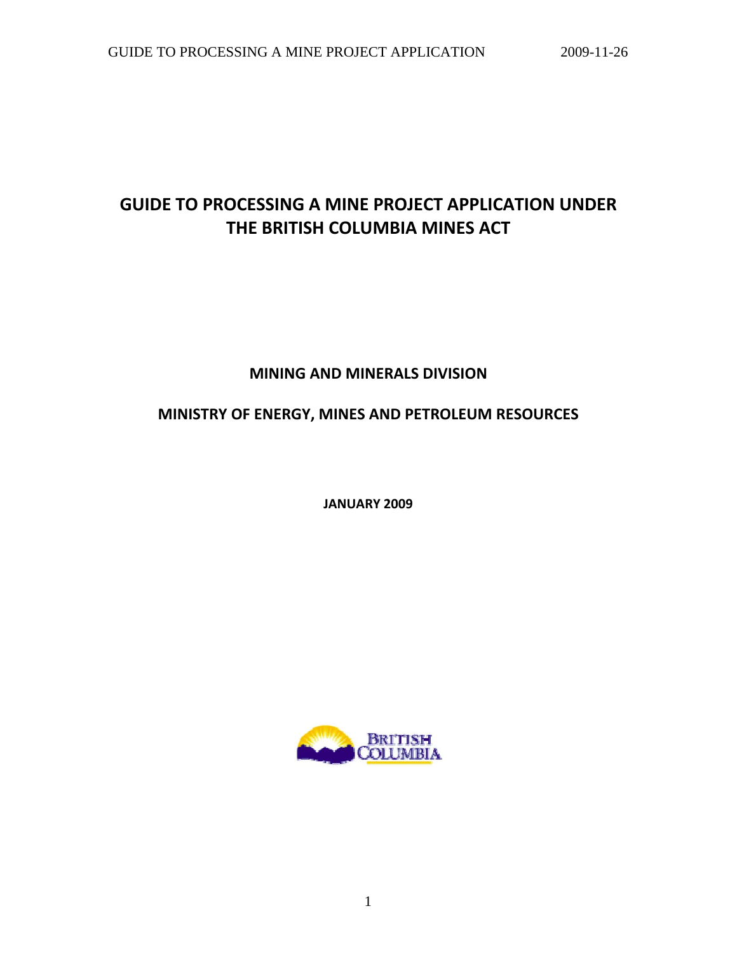# **GUIDE TO PROCESSING A MINE PROJECT APPLICATION UNDER THE BRITISH COLUMBIA MINES ACT**

# **MINING AND MINERALS DIVISION**

# **MINISTRY OF ENERGY, MINES AND PETROLEUM RESOURCES**

**JANUARY 2009**

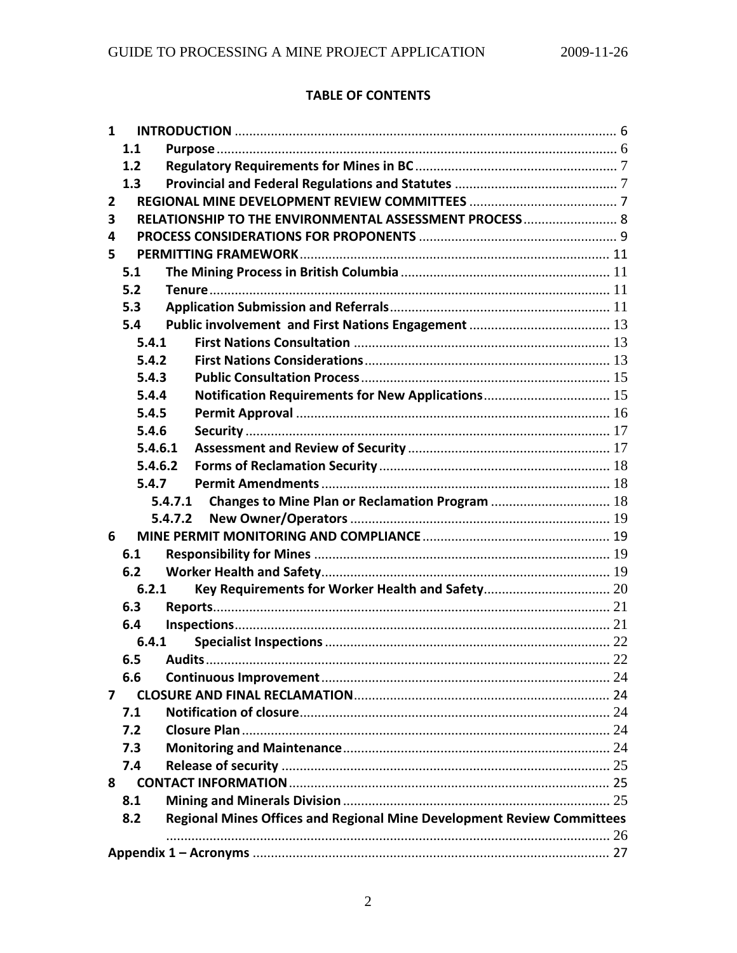# **TABLE OF CONTENTS**

| $\mathbf{1}$   |            |                                                                        |    |
|----------------|------------|------------------------------------------------------------------------|----|
|                | 1.1        |                                                                        |    |
|                | 1.2        |                                                                        |    |
|                | 1.3        |                                                                        |    |
| $\overline{2}$ |            |                                                                        |    |
| 3              |            | RELATIONSHIP TO THE ENVIRONMENTAL ASSESSMENT PROCESS 8                 |    |
| 4              |            |                                                                        |    |
| 5              |            |                                                                        |    |
|                | 5.1        |                                                                        |    |
|                | 5.2        |                                                                        |    |
|                | 5.3        |                                                                        |    |
|                | 5.4        |                                                                        |    |
|                | 5.4.1      |                                                                        |    |
|                | 5.4.2      |                                                                        |    |
|                | 5.4.3      |                                                                        |    |
|                | 5.4.4      | Notification Requirements for New Applications 15                      |    |
|                | 5.4.5      |                                                                        |    |
|                | 5.4.6      |                                                                        |    |
|                | 5.4.6.1    |                                                                        |    |
|                | 5.4.6.2    |                                                                        |    |
|                | 5.4.7      |                                                                        |    |
|                |            | 5.4.7.1                                                                |    |
|                |            | 5.4.7.2                                                                |    |
| 6              |            |                                                                        |    |
|                | 6.1        |                                                                        |    |
|                | 6.2        |                                                                        |    |
|                | 6.2.1      |                                                                        |    |
|                | 6.3        |                                                                        |    |
|                | 6.4        |                                                                        |    |
|                | 6.4.1      |                                                                        |    |
|                | 6.5 Audits |                                                                        | 22 |
|                | 6.6        |                                                                        |    |
| 7              |            |                                                                        |    |
|                | 7.1        |                                                                        |    |
|                | 7.2        |                                                                        |    |
|                | 7.3        |                                                                        |    |
|                | 7.4        |                                                                        |    |
|                | 8          |                                                                        |    |
|                | 8.1        |                                                                        |    |
|                | 8.2        | Regional Mines Offices and Regional Mine Development Review Committees |    |
|                |            |                                                                        |    |
|                |            |                                                                        |    |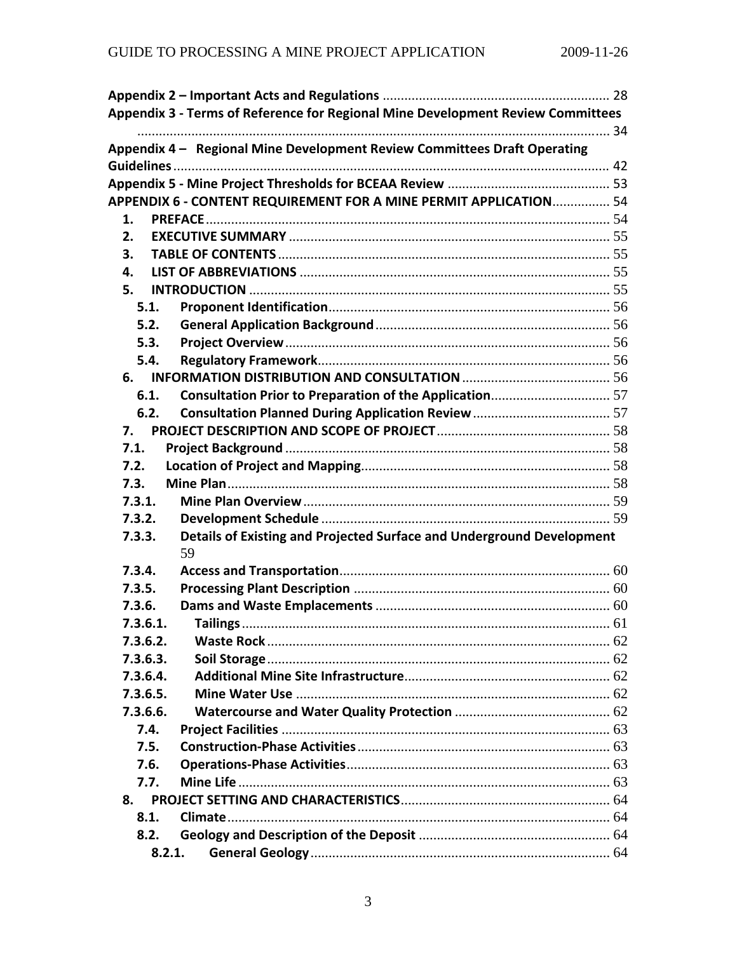| Appendix 3 - Terms of Reference for Regional Mine Development Review Committees |  |
|---------------------------------------------------------------------------------|--|
|                                                                                 |  |
| Appendix 4 - Regional Mine Development Review Committees Draft Operating        |  |
|                                                                                 |  |
|                                                                                 |  |
| APPENDIX 6 - CONTENT REQUIREMENT FOR A MINE PERMIT APPLICATION 54               |  |
| 1.                                                                              |  |
| 2.                                                                              |  |
| 3.                                                                              |  |
| 4.                                                                              |  |
| 5.                                                                              |  |
| 5.1.                                                                            |  |
| 5.2.                                                                            |  |
| 5.3.                                                                            |  |
| 5.4.                                                                            |  |
| 6.                                                                              |  |
| 6.1.                                                                            |  |
| 6.2.                                                                            |  |
| 7.                                                                              |  |
| 7.1.                                                                            |  |
| 7.2.                                                                            |  |
| 7.3.                                                                            |  |
| 7.3.1.                                                                          |  |
| 7.3.2.                                                                          |  |
| Details of Existing and Projected Surface and Underground Development<br>7.3.3. |  |
| 59                                                                              |  |
| 7.3.4.                                                                          |  |
| 7.3.5.                                                                          |  |
| 7.3.6.                                                                          |  |
| 7.3.6.1.                                                                        |  |
| 7.3.6.2.                                                                        |  |
| 7.3.6.3.                                                                        |  |
| 7.3.6.4.                                                                        |  |
| 7.3.6.5.                                                                        |  |
| 7.3.6.6.                                                                        |  |
| 7.4.                                                                            |  |
| 7.5.                                                                            |  |
| 7.6.                                                                            |  |
| 7.7.                                                                            |  |
| 8.                                                                              |  |
| 8.1.                                                                            |  |
| 8.2.                                                                            |  |
| 8.2.1.                                                                          |  |
|                                                                                 |  |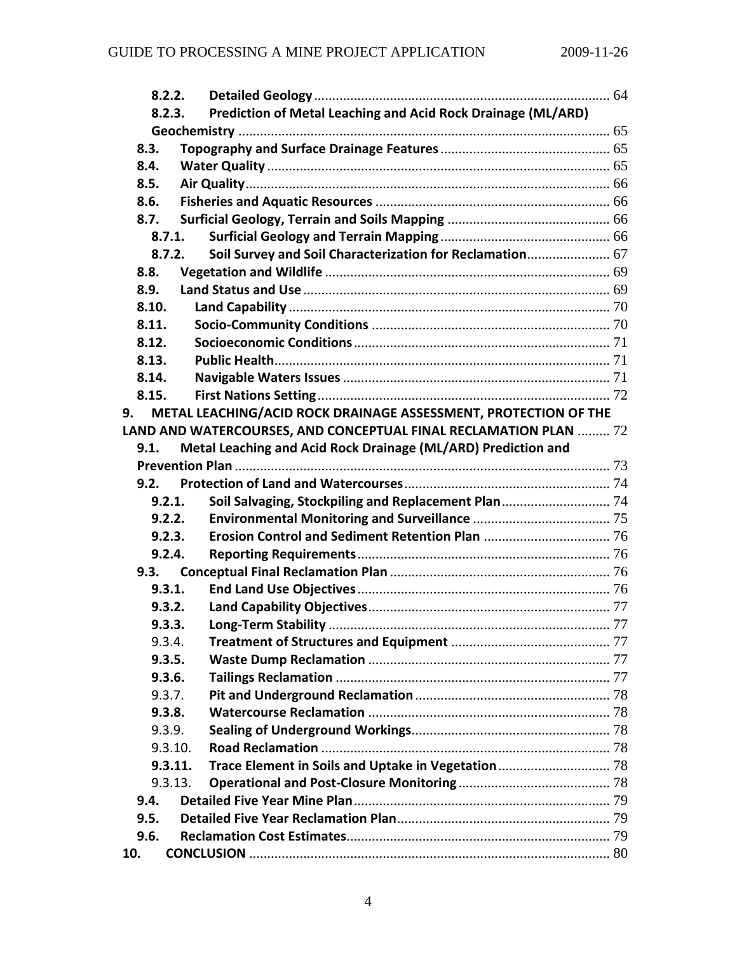|        | 8.2.2.  |                                                                                        |  |
|--------|---------|----------------------------------------------------------------------------------------|--|
| 8.2.3. |         | Prediction of Metal Leaching and Acid Rock Drainage (ML/ARD)                           |  |
|        |         |                                                                                        |  |
| 8.3.   |         |                                                                                        |  |
| 8.4.   |         |                                                                                        |  |
| 8.5.   |         |                                                                                        |  |
| 8.6.   |         |                                                                                        |  |
| 8.7.   |         |                                                                                        |  |
|        | 8.7.1.  |                                                                                        |  |
|        | 8.7.2.  | Soil Survey and Soil Characterization for Reclamation 67                               |  |
| 8.8.   |         |                                                                                        |  |
| 8.9.   |         |                                                                                        |  |
| 8.10.  |         |                                                                                        |  |
| 8.11.  |         |                                                                                        |  |
| 8.12.  |         |                                                                                        |  |
| 8.13.  |         |                                                                                        |  |
| 8.14.  |         |                                                                                        |  |
| 8.15.  |         |                                                                                        |  |
| 9.     |         | METAL LEACHING/ACID ROCK DRAINAGE ASSESSMENT, PROTECTION OF THE                        |  |
|        |         | LAND AND WATERCOURSES, AND CONCEPTUAL FINAL RECLAMATION PLAN $\ldots \ldots \ldots 72$ |  |
| 9.1.   |         | Metal Leaching and Acid Rock Drainage (ML/ARD) Prediction and                          |  |
|        |         |                                                                                        |  |
| 9.2.   |         |                                                                                        |  |
|        | 9.2.1.  | Soil Salvaging, Stockpiling and Replacement Plan 74                                    |  |
|        | 9.2.2.  |                                                                                        |  |
|        | 9.2.3.  |                                                                                        |  |
|        | 9.2.4.  |                                                                                        |  |
| 9.3.   |         |                                                                                        |  |
|        | 9.3.1.  |                                                                                        |  |
|        | 9.3.2.  |                                                                                        |  |
|        | 9.3.3.  |                                                                                        |  |
|        | 9.3.4.  |                                                                                        |  |
|        | 9.3.5.  |                                                                                        |  |
|        | 9.3.6.  |                                                                                        |  |
|        | 9.3.7.  |                                                                                        |  |
|        | 9.3.8.  |                                                                                        |  |
|        | 9.3.9.  |                                                                                        |  |
|        | 9.3.10. |                                                                                        |  |
|        | 9.3.11. |                                                                                        |  |
|        | 9.3.13. |                                                                                        |  |
| 9.4.   |         |                                                                                        |  |
| 9.5.   |         |                                                                                        |  |
| 9.6.   |         |                                                                                        |  |
| 10.    |         |                                                                                        |  |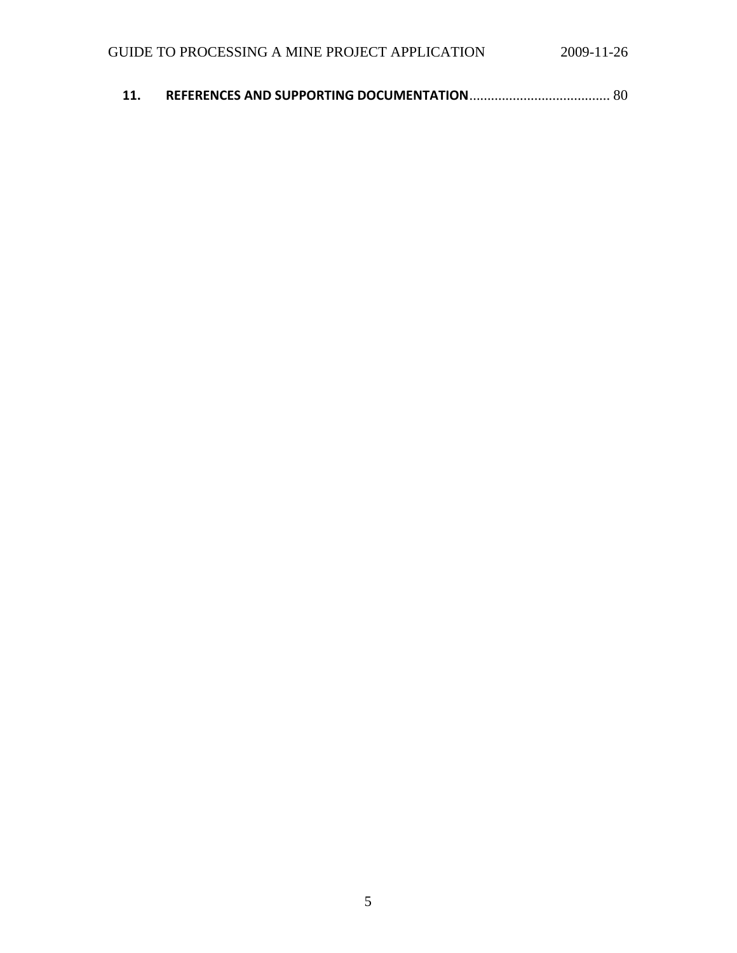| <b>11.</b> |  |  |
|------------|--|--|
|------------|--|--|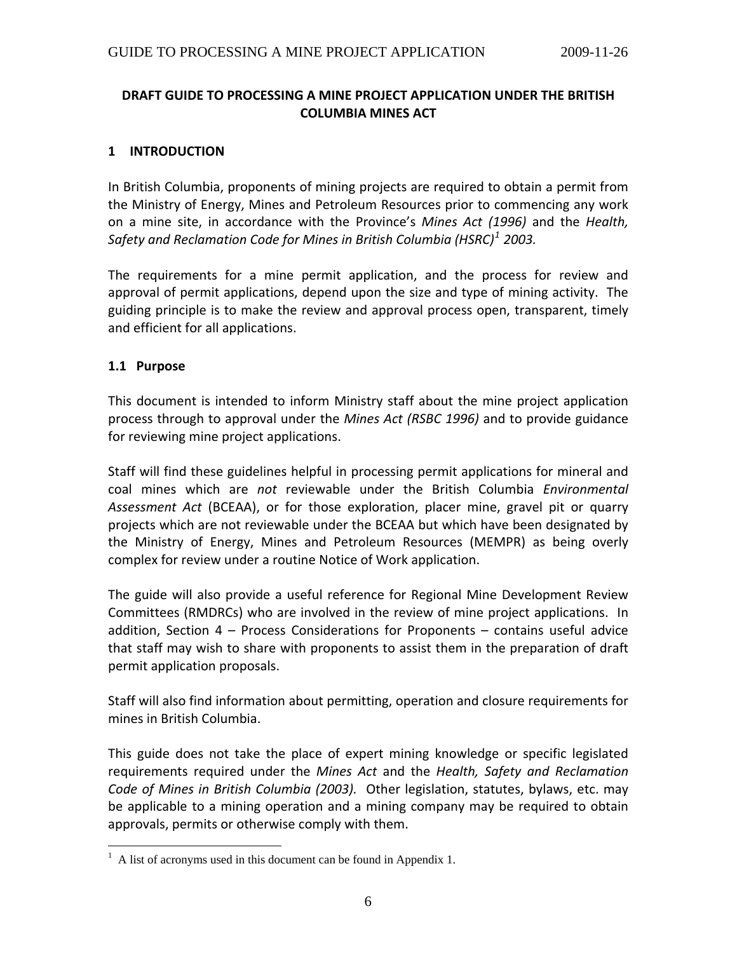# <span id="page-5-0"></span>**DRAFT GUIDE TO PROCESSING A MINE PROJECT APPLICATION UNDER THE BRITISH COLUMBIA MINES ACT**

#### **1 INTRODUCTION**

In British Columbia, proponents of mining projects are required to obtain a permit from the Ministry of Energy, Mines and Petroleum Resources prior to commencing any work on a mine site, in accordance with the Province's *Mines Act (1996)* and the *Health, Safety and Reclamation Code for Mines in British Columbia (HSRC)[1](#page-5-0) 2003.*

The requirements for a mine permit application, and the process for review and approval of permit applications, depend upon the size and type of mining activity. The guiding principle is to make the review and approval process open, transparent, timely and efficient for all applications.

#### **1.1 Purpose**

This document is intended to inform Ministry staff about the mine project application process through to approval under the *Mines Act (RSBC 1996)* and to provide guidance for reviewing mine project applications.

Staff will find these guidelines helpful in processing permit applications for mineral and coal mines which are *not* reviewable under the British Columbia *Environmental Assessment Act* (BCEAA), or for those exploration, placer mine, gravel pit or quarry projects which are not reviewable under the BCEAA but which have been designated by the Ministry of Energy, Mines and Petroleum Resources (MEMPR) as being overly complex for review under a routine Notice of Work application.

The guide will also provide a useful reference for Regional Mine Development Review Committees (RMDRCs) who are involved in the review of mine project applications. In addition, Section 4 – Process Considerations for Proponents – contains useful advice that staff may wish to share with proponents to assist them in the preparation of draft permit application proposals.

Staff will also find information about permitting, operation and closure requirements for mines in British Columbia.

This guide does not take the place of expert mining knowledge or specific legislated requirements required under the *Mines Act* and the *Health, Safety and Reclamation Code of Mines in British Columbia (2003).* Other legislation, statutes, bylaws, etc. may be applicable to a mining operation and a mining company may be required to obtain approvals, permits or otherwise comply with them.

<sup>&</sup>lt;sup>1</sup> A list of acronyms used in this document can be found in Appendix 1.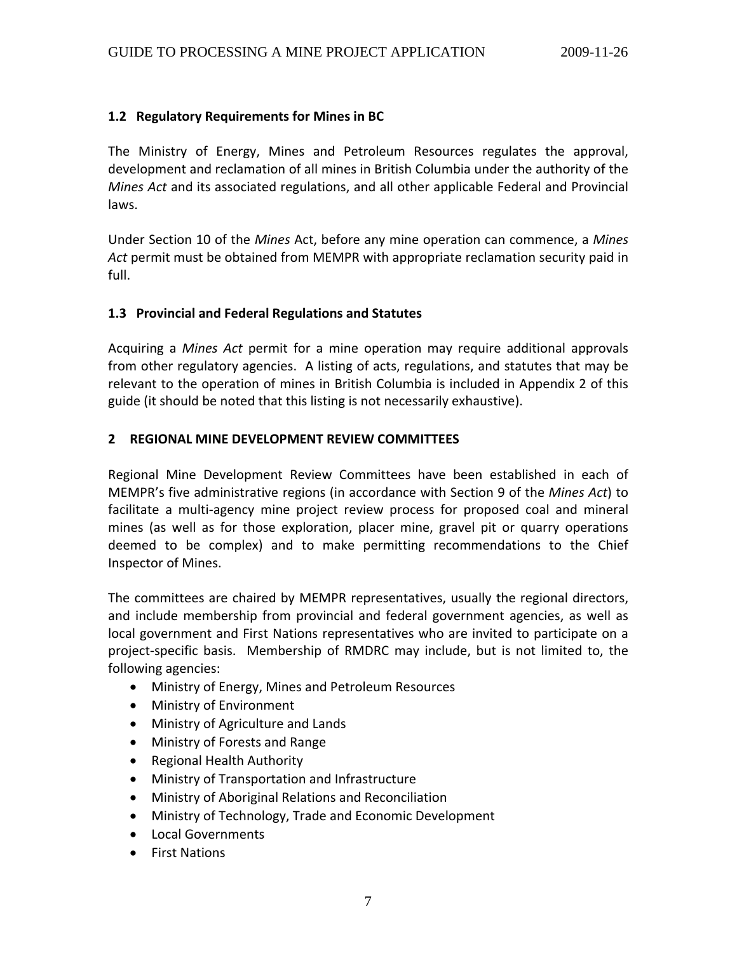# <span id="page-6-0"></span>**1.2 Regulatory Requirements for Mines in BC**

The Ministry of Energy, Mines and Petroleum Resources regulates the approval, development and reclamation of all mines in British Columbia under the authority of the *Mines Act* and its associated regulations, and all other applicable Federal and Provincial laws.

Under Section 10 of the *Mines* Act, before any mine operation can commence, a *Mines Act* permit must be obtained from MEMPR with appropriate reclamation security paid in full.

## **1.3 Provincial and Federal Regulations and Statutes**

Acquiring a *Mines Act* permit for a mine operation may require additional approvals from other regulatory agencies. A listing of acts, regulations, and statutes that may be relevant to the operation of mines in British Columbia is included in Appendix 2 of this guide (it should be noted that this listing is not necessarily exhaustive).

#### **2 REGIONAL MINE DEVELOPMENT REVIEW COMMITTEES**

Regional Mine Development Review Committees have been established in each of MEMPR's five administrative regions (in accordance with Section 9 of the *Mines Act*) to facilitate a multi-agency mine project review process for proposed coal and mineral mines (as well as for those exploration, placer mine, gravel pit or quarry operations deemed to be complex) and to make permitting recommendations to the Chief Inspector of Mines.

The committees are chaired by MEMPR representatives, usually the regional directors, and include membership from provincial and federal government agencies, as well as local government and First Nations representatives who are invited to participate on a project‐specific basis. Membership of RMDRC may include, but is not limited to, the following agencies:

- Ministry of Energy, Mines and Petroleum Resources
- Ministry of Environment
- Ministry of Agriculture and Lands
- Ministry of Forests and Range
- Regional Health Authority
- Ministry of Transportation and Infrastructure
- Ministry of Aboriginal Relations and Reconciliation
- Ministry of Technology, Trade and Economic Development
- Local Governments
- First Nations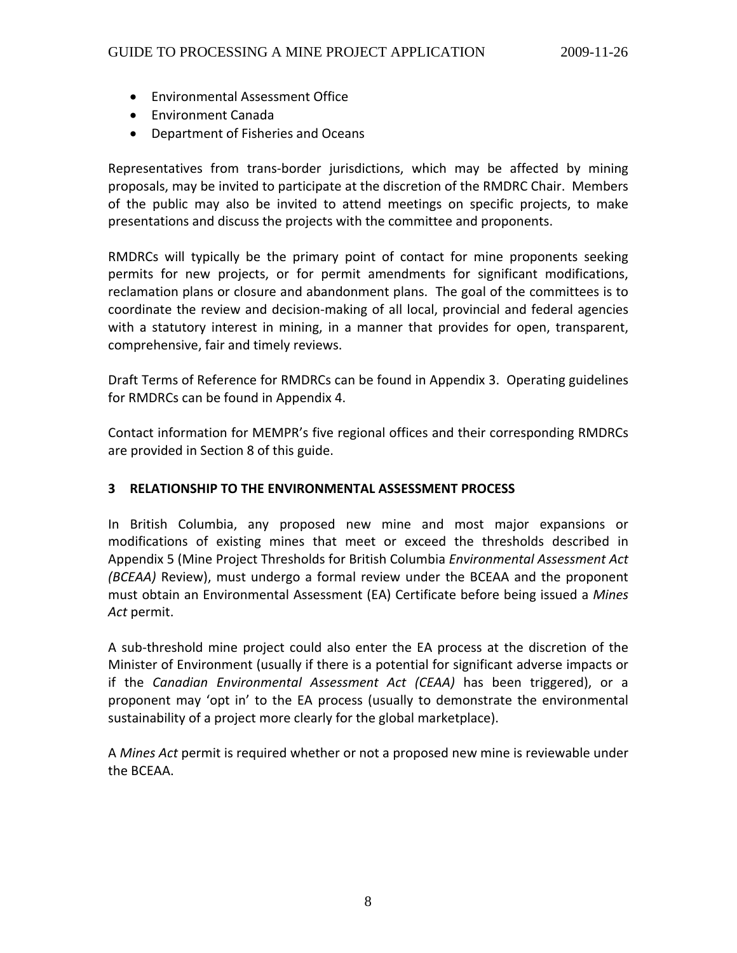- <span id="page-7-0"></span>• Environmental Assessment Office
- Environment Canada
- Department of Fisheries and Oceans

Representatives from trans‐border jurisdictions, which may be affected by mining proposals, may be invited to participate at the discretion of the RMDRC Chair. Members of the public may also be invited to attend meetings on specific projects, to make presentations and discuss the projects with the committee and proponents.

RMDRCs will typically be the primary point of contact for mine proponents seeking permits for new projects, or for permit amendments for significant modifications, reclamation plans or closure and abandonment plans. The goal of the committees is to coordinate the review and decision‐making of all local, provincial and federal agencies with a statutory interest in mining, in a manner that provides for open, transparent, comprehensive, fair and timely reviews.

Draft Terms of Reference for RMDRCs can be found in Appendix 3. Operating guidelines for RMDRCs can be found in Appendix 4.

Contact information for MEMPR's five regional offices and their corresponding RMDRCs are provided in Section 8 of this guide.

#### **3 RELATIONSHIP TO THE ENVIRONMENTAL ASSESSMENT PROCESS**

In British Columbia, any proposed new mine and most major expansions or modifications of existing mines that meet or exceed the thresholds described in Appendix 5 (Mine Project Thresholds for British Columbia *Environmental Assessment Act (BCEAA)* Review), must undergo a formal review under the BCEAA and the proponent must obtain an Environmental Assessment (EA) Certificate before being issued a *Mines Act* permit.

A sub‐threshold mine project could also enter the EA process at the discretion of the Minister of Environment (usually if there is a potential for significant adverse impacts or if the *Canadian Environmental Assessment Act (CEAA)* has been triggered), or a proponent may 'opt in' to the EA process (usually to demonstrate the environmental sustainability of a project more clearly for the global marketplace).

A *Mines Act* permit is required whether or not a proposed new mine is reviewable under the BCEAA.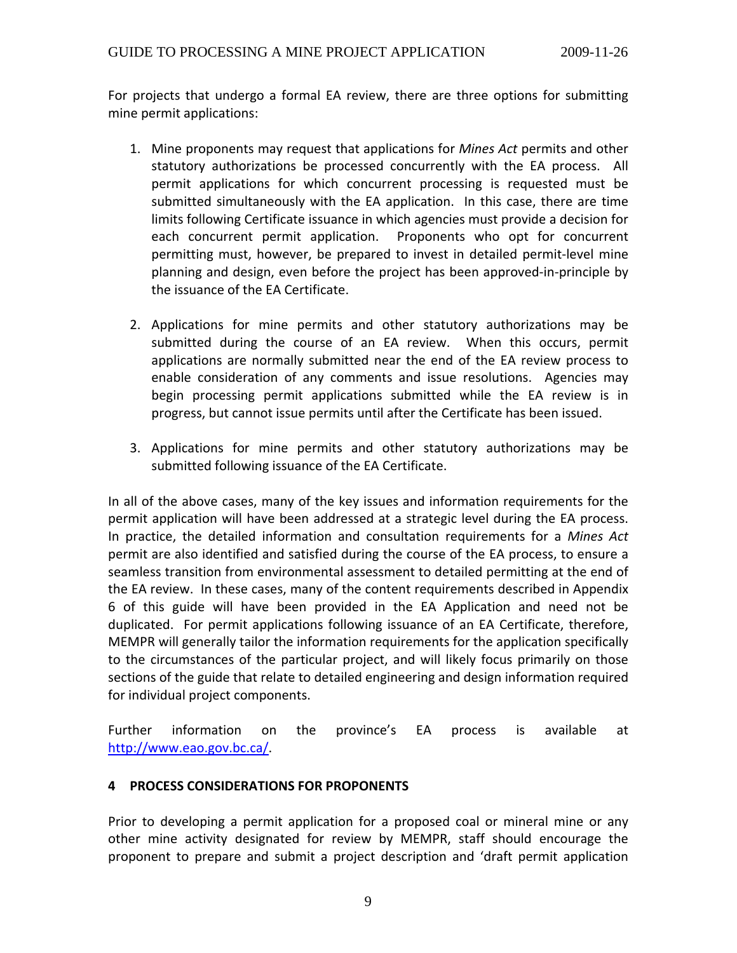<span id="page-8-0"></span>For projects that undergo a formal EA review, there are three options for submitting mine permit applications:

- 1. Mine proponents may request that applications for *Mines Act* permits and other statutory authorizations be processed concurrently with the EA process. All permit applications for which concurrent processing is requested must be submitted simultaneously with the EA application. In this case, there are time limits following Certificate issuance in which agencies must provide a decision for each concurrent permit application. Proponents who opt for concurrent permitting must, however, be prepared to invest in detailed permit‐level mine planning and design, even before the project has been approved‐in‐principle by the issuance of the EA Certificate.
- 2. Applications for mine permits and other statutory authorizations may be submitted during the course of an EA review. When this occurs, permit applications are normally submitted near the end of the EA review process to enable consideration of any comments and issue resolutions. Agencies may begin processing permit applications submitted while the EA review is in progress, but cannot issue permits until after the Certificate has been issued.
- 3. Applications for mine permits and other statutory authorizations may be submitted following issuance of the EA Certificate.

In all of the above cases, many of the key issues and information requirements for the permit application will have been addressed at a strategic level during the EA process. In practice, the detailed information and consultation requirements for a *Mines Act* permit are also identified and satisfied during the course of the EA process, to ensure a seamless transition from environmental assessment to detailed permitting at the end of the EA review. In these cases, many of the content requirements described in Appendix 6 of this guide will have been provided in the EA Application and need not be duplicated. For permit applications following issuance of an EA Certificate, therefore, MEMPR will generally tailor the information requirements for the application specifically to the circumstances of the particular project, and will likely focus primarily on those sections of the guide that relate to detailed engineering and design information required for individual project components.

Further information on the province's EA process is available at <http://www.eao.gov.bc.ca/>.

# **4 PROCESS CONSIDERATIONS FOR PROPONENTS**

Prior to developing a permit application for a proposed coal or mineral mine or any other mine activity designated for review by MEMPR, staff should encourage the proponent to prepare and submit a project description and 'draft permit application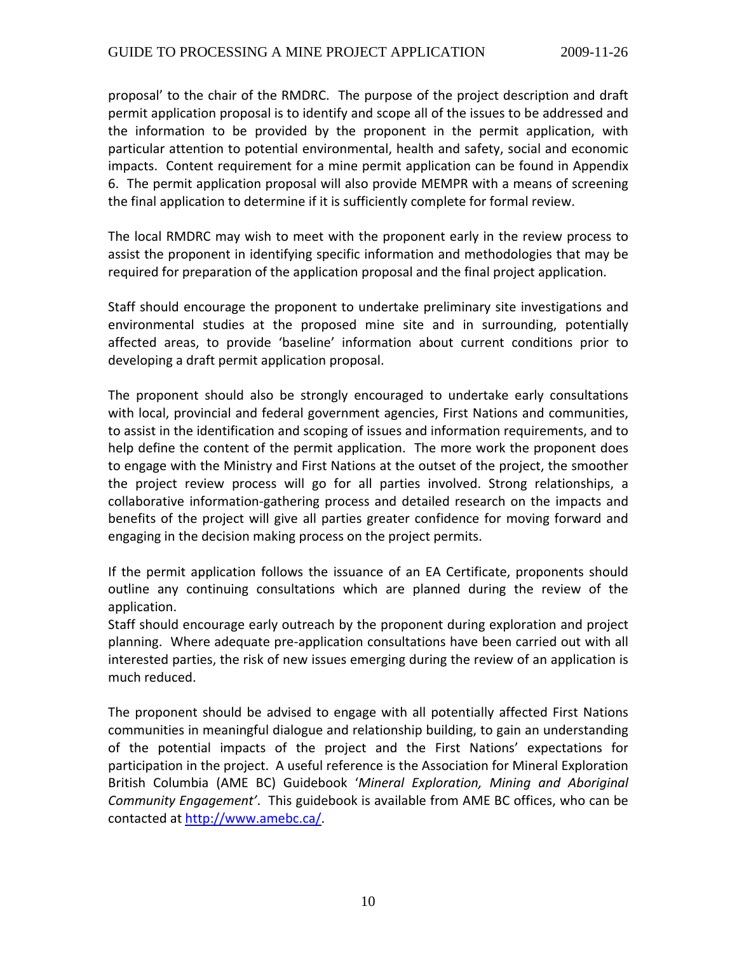proposal' to the chair of the RMDRC. The purpose of the project description and draft permit application proposal is to identify and scope all of the issues to be addressed and the information to be provided by the proponent in the permit application, with particular attention to potential environmental, health and safety, social and economic impacts. Content requirement for a mine permit application can be found in Appendix 6. The permit application proposal will also provide MEMPR with a means of screening the final application to determine if it is sufficiently complete for formal review.

The local RMDRC may wish to meet with the proponent early in the review process to assist the proponent in identifying specific information and methodologies that may be required for preparation of the application proposal and the final project application.

Staff should encourage the proponent to undertake preliminary site investigations and environmental studies at the proposed mine site and in surrounding, potentially affected areas, to provide 'baseline' information about current conditions prior to developing a draft permit application proposal.

The proponent should also be strongly encouraged to undertake early consultations with local, provincial and federal government agencies, First Nations and communities, to assist in the identification and scoping of issues and information requirements, and to help define the content of the permit application. The more work the proponent does to engage with the Ministry and First Nations at the outset of the project, the smoother the project review process will go for all parties involved. Strong relationships, a collaborative information‐gathering process and detailed research on the impacts and benefits of the project will give all parties greater confidence for moving forward and engaging in the decision making process on the project permits.

If the permit application follows the issuance of an EA Certificate, proponents should outline any continuing consultations which are planned during the review of the application.

Staff should encourage early outreach by the proponent during exploration and project planning. Where adequate pre‐application consultations have been carried out with all interested parties, the risk of new issues emerging during the review of an application is much reduced.

The proponent should be advised to engage with all potentially affected First Nations communities in meaningful dialogue and relationship building, to gain an understanding of the potential impacts of the project and the First Nations' expectations for participation in the project. A useful reference is the Association for Mineral Exploration British Columbia (AME BC) Guidebook '*Mineral Exploration, Mining and Aboriginal Community Engagement'*. This guidebook is available from AME BC offices, who can be contacted at [http://www.amebc.ca/.](http://www.amebc.ca/)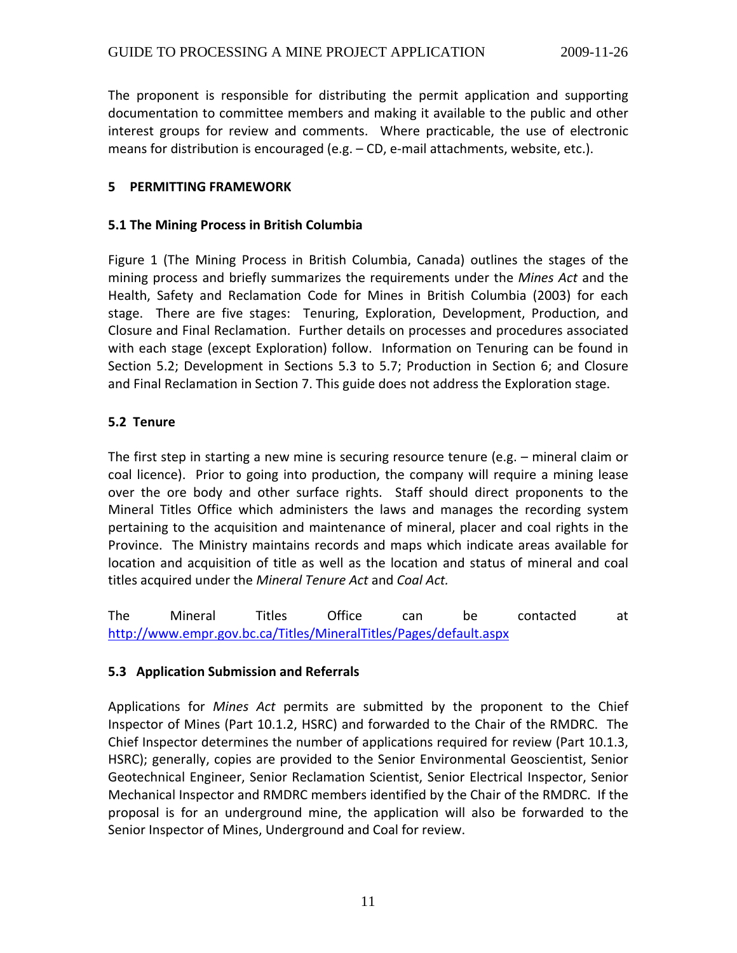<span id="page-10-0"></span>The proponent is responsible for distributing the permit application and supporting documentation to committee members and making it available to the public and other interest groups for review and comments. Where practicable, the use of electronic means for distribution is encouraged (e.g. – CD, e-mail attachments, website, etc.).

#### **5 PERMITTING FRAMEWORK**

#### **5.1 The Mining Process in British Columbia**

Figure 1 (The Mining Process in British Columbia, Canada) outlines the stages of the mining process and briefly summarizes the requirements under the *Mines Act* and the Health, Safety and Reclamation Code for Mines in British Columbia (2003) for each stage. There are five stages: Tenuring, Exploration, Development, Production, and Closure and Final Reclamation. Further details on processes and procedures associated with each stage (except Exploration) follow. Information on Tenuring can be found in Section 5.2; Development in Sections 5.3 to 5.7; Production in Section 6; and Closure and Final Reclamation in Section 7. This guide does not address the Exploration stage.

#### **5.2 Tenure**

The first step in starting a new mine is securing resource tenure (e.g. – mineral claim or coal licence). Prior to going into production, the company will require a mining lease over the ore body and other surface rights. Staff should direct proponents to the Mineral Titles Office which administers the laws and manages the recording system pertaining to the acquisition and maintenance of mineral, placer and coal rights in the Province. The Ministry maintains records and maps which indicate areas available for location and acquisition of title as well as the location and status of mineral and coal titles acquired under the *Mineral Tenure Act* and *Coal Act.*

The Mineral Titles Office can be contacted at <http://www.empr.gov.bc.ca/Titles/MineralTitles/Pages/default.aspx>

#### **5.3 Application Submission and Referrals**

Applications for *Mines Act* permits are submitted by the proponent to the Chief Inspector of Mines (Part 10.1.2, HSRC) and forwarded to the Chair of the RMDRC. The Chief Inspector determines the number of applications required for review (Part 10.1.3, HSRC); generally, copies are provided to the Senior Environmental Geoscientist, Senior Geotechnical Engineer, Senior Reclamation Scientist, Senior Electrical Inspector, Senior Mechanical Inspector and RMDRC members identified by the Chair of the RMDRC. If the proposal is for an underground mine, the application will also be forwarded to the Senior Inspector of Mines, Underground and Coal for review.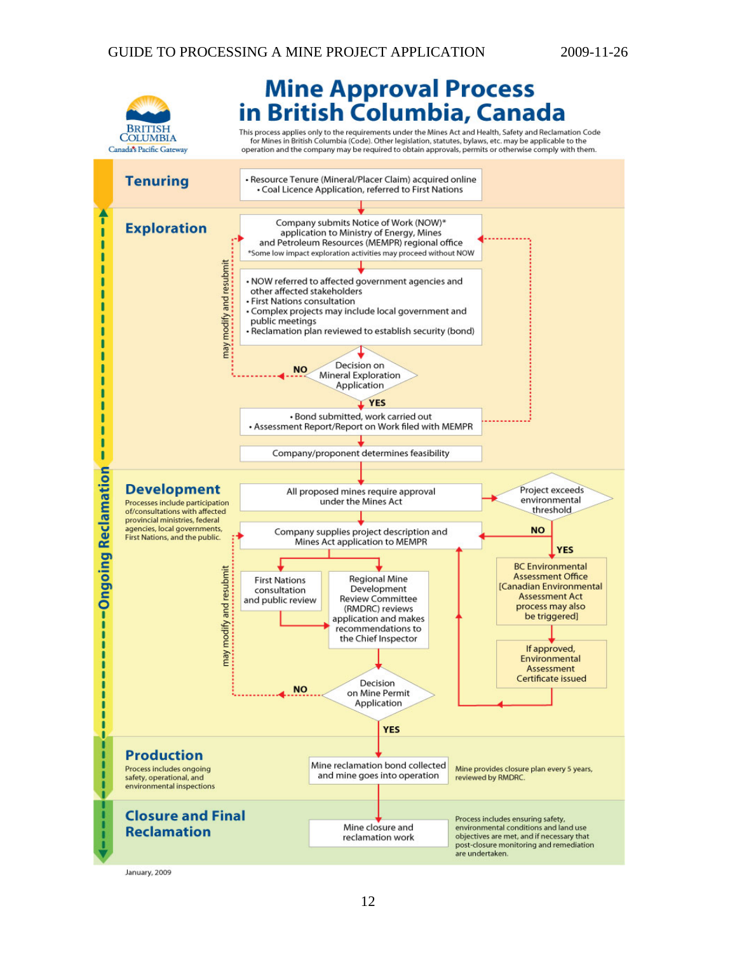

# **Mine Approval Process<br>in British Columbia, Canada**

This process applies only to the requirements under the Mines Act and Health, Safety and Reclamation Code<br>for Mines in British Columbia (Code). Other legislation, statutes, bylaws, etc. may be applicable to the<br>operation a



January, 2009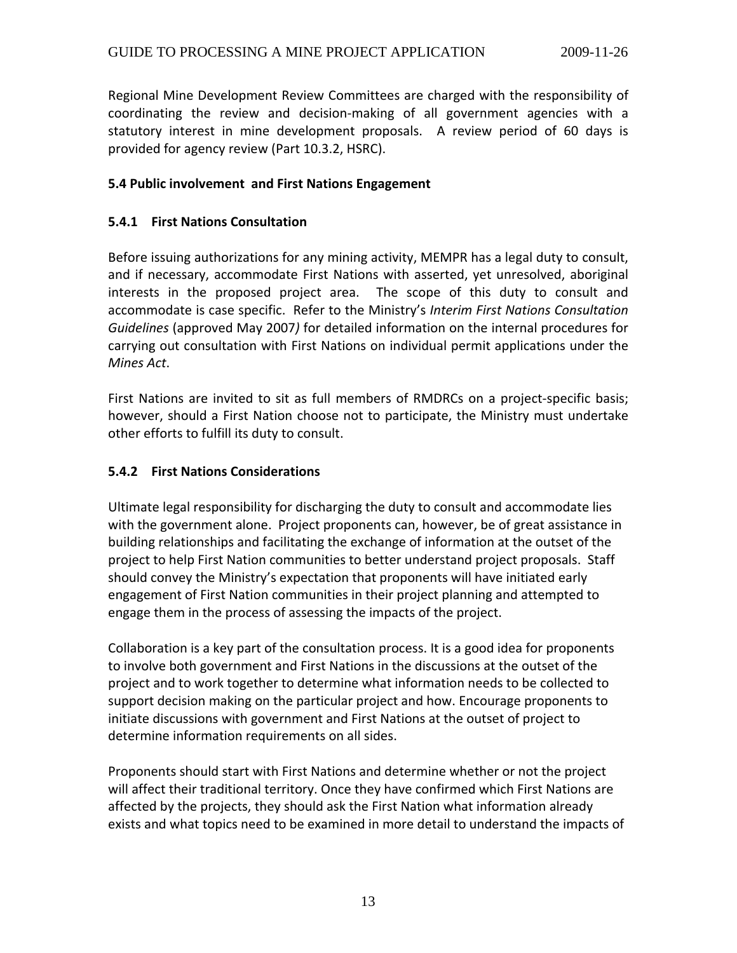<span id="page-12-0"></span>Regional Mine Development Review Committees are charged with the responsibility of coordinating the review and decision‐making of all government agencies with a statutory interest in mine development proposals. A review period of 60 days is provided for agency review (Part 10.3.2, HSRC).

#### **5.4 Public involvement and First Nations Engagement**

# **5.4.1 First Nations Consultation**

Before issuing authorizations for any mining activity, MEMPR has a legal duty to consult, and if necessary, accommodate First Nations with asserted, yet unresolved, aboriginal interests in the proposed project area. The scope of this duty to consult and accommodate is case specific. Refer to the Ministry's *Interim First Nations Consultation Guidelines* (approved May 2007*)* for detailed information on the internal procedures for carrying out consultation with First Nations on individual permit applications under the *Mines Act*.

First Nations are invited to sit as full members of RMDRCs on a project-specific basis; however, should a First Nation choose not to participate, the Ministry must undertake other efforts to fulfill its duty to consult.

## **5.4.2 First Nations Considerations**

Ultimate legal responsibility for discharging the duty to consult and accommodate lies with the government alone. Project proponents can, however, be of great assistance in building relationships and facilitating the exchange of information at the outset of the project to help First Nation communities to better understand project proposals. Staff should convey the Ministry's expectation that proponents will have initiated early engagement of First Nation communities in their project planning and attempted to engage them in the process of assessing the impacts of the project.

Collaboration is a key part of the consultation process. It is a good idea for proponents to involve both government and First Nations in the discussions at the outset of the project and to work together to determine what information needs to be collected to support decision making on the particular project and how. Encourage proponents to initiate discussions with government and First Nations at the outset of project to determine information requirements on all sides.

Proponents should start with First Nations and determine whether or not the project will affect their traditional territory. Once they have confirmed which First Nations are affected by the projects, they should ask the First Nation what information already exists and what topics need to be examined in more detail to understand the impacts of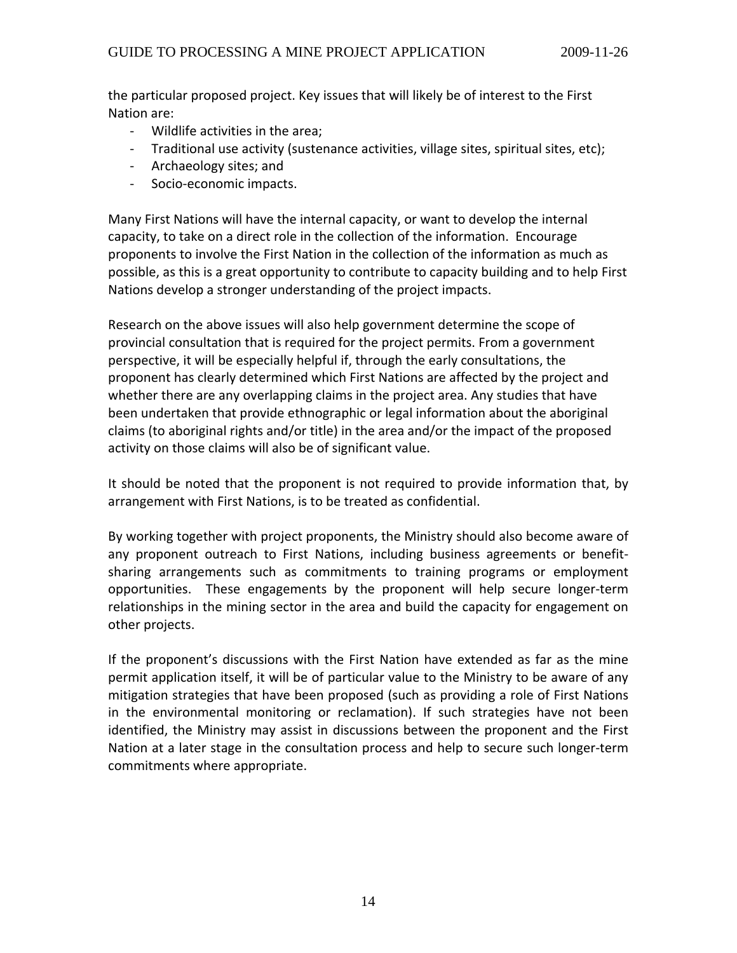the particular proposed project. Key issues that will likely be of interest to the First Nation are:

- ‐ Wildlife activities in the area;
- ‐ Traditional use activity (sustenance activities, village sites, spiritual sites, etc);
- ‐ Archaeology sites; and
- ‐ Socio‐economic impacts.

Many First Nations will have the internal capacity, or want to develop the internal capacity, to take on a direct role in the collection of the information. Encourage proponents to involve the First Nation in the collection of the information as much as possible, as this is a great opportunity to contribute to capacity building and to help First Nations develop a stronger understanding of the project impacts.

Research on the above issues will also help government determine the scope of provincial consultation that is required for the project permits. From a government perspective, it will be especially helpful if, through the early consultations, the proponent has clearly determined which First Nations are affected by the project and whether there are any overlapping claims in the project area. Any studies that have been undertaken that provide ethnographic or legal information about the aboriginal claims (to aboriginal rights and/or title) in the area and/or the impact of the proposed activity on those claims will also be of significant value.

It should be noted that the proponent is not required to provide information that, by arrangement with First Nations, is to be treated as confidential.

By working together with project proponents, the Ministry should also become aware of any proponent outreach to First Nations, including business agreements or benefit‐ sharing arrangements such as commitments to training programs or employment opportunities. These engagements by the proponent will help secure longer-term relationships in the mining sector in the area and build the capacity for engagement on other projects.

If the proponent's discussions with the First Nation have extended as far as the mine permit application itself, it will be of particular value to the Ministry to be aware of any mitigation strategies that have been proposed (such as providing a role of First Nations in the environmental monitoring or reclamation). If such strategies have not been identified, the Ministry may assist in discussions between the proponent and the First Nation at a later stage in the consultation process and help to secure such longer-term commitments where appropriate.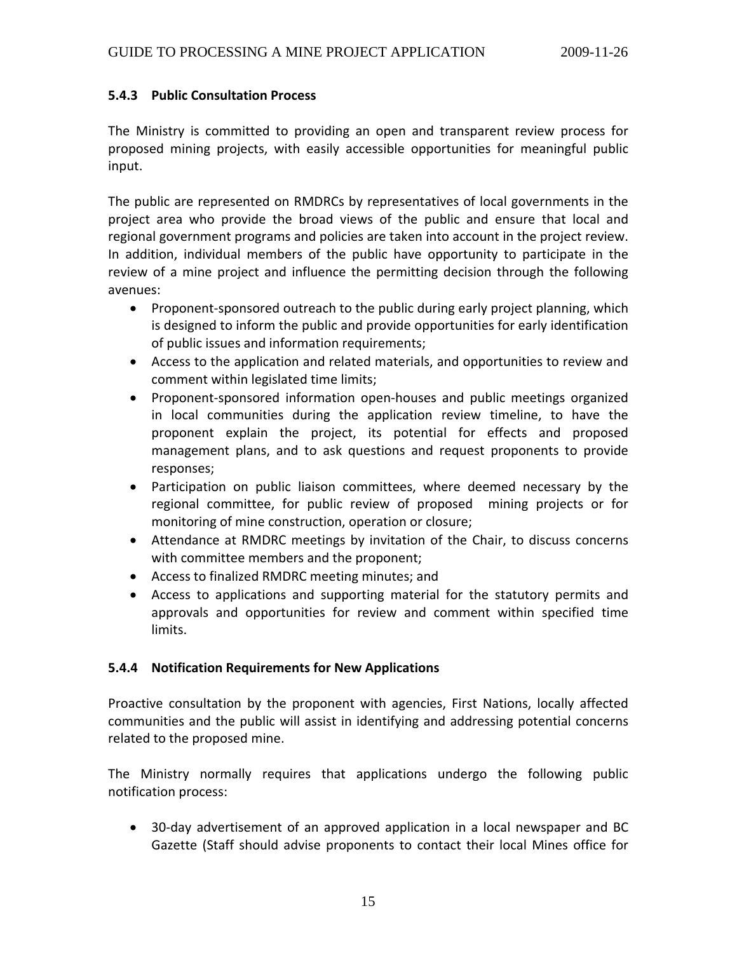#### <span id="page-14-0"></span>**5.4.3 Public Consultation Process**

The Ministry is committed to providing an open and transparent review process for proposed mining projects, with easily accessible opportunities for meaningful public input.

The public are represented on RMDRCs by representatives of local governments in the project area who provide the broad views of the public and ensure that local and regional government programs and policies are taken into account in the project review. In addition, individual members of the public have opportunity to participate in the review of a mine project and influence the permitting decision through the following avenues:

- Proponent-sponsored outreach to the public during early project planning, which is designed to inform the public and provide opportunities for early identification of public issues and information requirements;
- Access to the application and related materials, and opportunities to review and comment within legislated time limits;
- Proponent‐sponsored information open‐houses and public meetings organized in local communities during the application review timeline, to have the proponent explain the project, its potential for effects and proposed management plans, and to ask questions and request proponents to provide responses;
- Participation on public liaison committees, where deemed necessary by the regional committee, for public review of proposed mining projects or for monitoring of mine construction, operation or closure;
- Attendance at RMDRC meetings by invitation of the Chair, to discuss concerns with committee members and the proponent;
- Access to finalized RMDRC meeting minutes; and
- Access to applications and supporting material for the statutory permits and approvals and opportunities for review and comment within specified time limits.

# **5.4.4 Notification Requirements for New Applications**

Proactive consultation by the proponent with agencies, First Nations, locally affected communities and the public will assist in identifying and addressing potential concerns related to the proposed mine.

The Ministry normally requires that applications undergo the following public notification process:

• 30-day advertisement of an approved application in a local newspaper and BC Gazette (Staff should advise proponents to contact their local Mines office for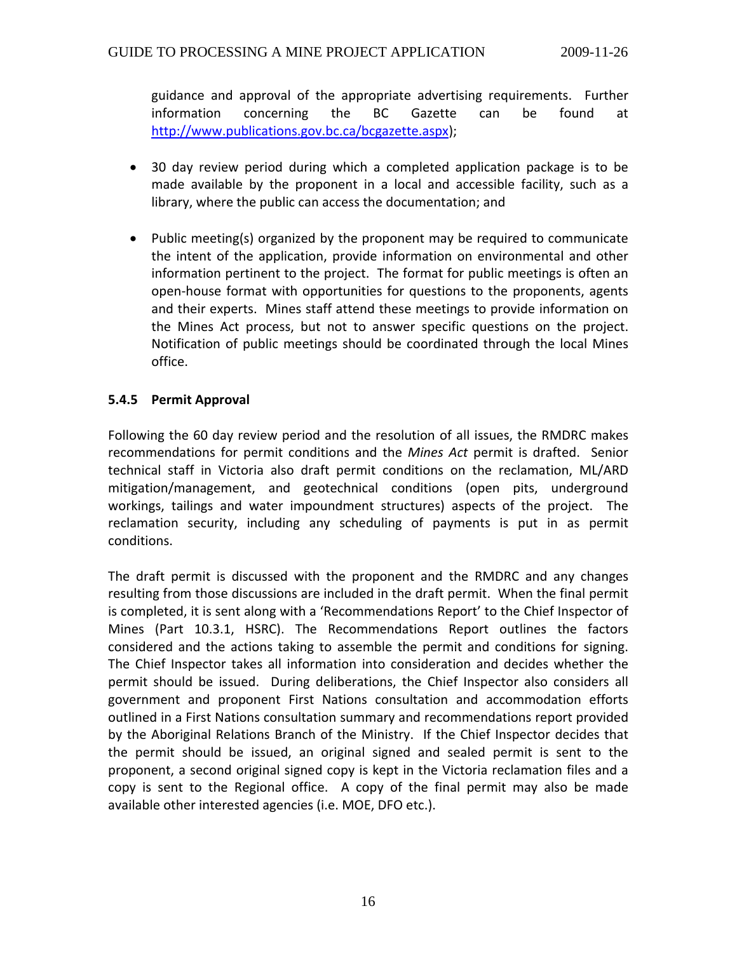<span id="page-15-0"></span>guidance and approval of the appropriate advertising requirements. Further information concerning the BC Gazette can be found at http://www.publications.gov.bc.ca/bcgazette.aspx);

- 30 day review period during which a completed application package is to be made available by the proponent in a local and accessible facility, such as a library, where the public can access the documentation; and
- Public meeting(s) organized by the proponent may be required to communicate the intent of the application, provide information on environmental and other information pertinent to the project. The format for public meetings is often an open‐house format with opportunities for questions to the proponents, agents and their experts. Mines staff attend these meetings to provide information on the Mines Act process, but not to answer specific questions on the project. Notification of public meetings should be coordinated through the local Mines office.

# **5.4.5 Permit Approval**

Following the 60 day review period and the resolution of all issues, the RMDRC makes recommendations for permit conditions and the *Mines Act* permit is drafted. Senior technical staff in Victoria also draft permit conditions on the reclamation, ML/ARD mitigation/management, and geotechnical conditions (open pits, underground workings, tailings and water impoundment structures) aspects of the project. The reclamation security, including any scheduling of payments is put in as permit conditions.

The draft permit is discussed with the proponent and the RMDRC and any changes resulting from those discussions are included in the draft permit. When the final permit is completed, it is sent along with a 'Recommendations Report' to the Chief Inspector of Mines (Part 10.3.1, HSRC). The Recommendations Report outlines the factors considered and the actions taking to assemble the permit and conditions for signing. The Chief Inspector takes all information into consideration and decides whether the permit should be issued. During deliberations, the Chief Inspector also considers all government and proponent First Nations consultation and accommodation efforts outlined in a First Nations consultation summary and recommendations report provided by the Aboriginal Relations Branch of the Ministry. If the Chief Inspector decides that the permit should be issued, an original signed and sealed permit is sent to the proponent, a second original signed copy is kept in the Victoria reclamation files and a copy is sent to the Regional office. A copy of the final permit may also be made available other interested agencies (i.e. MOE, DFO etc.).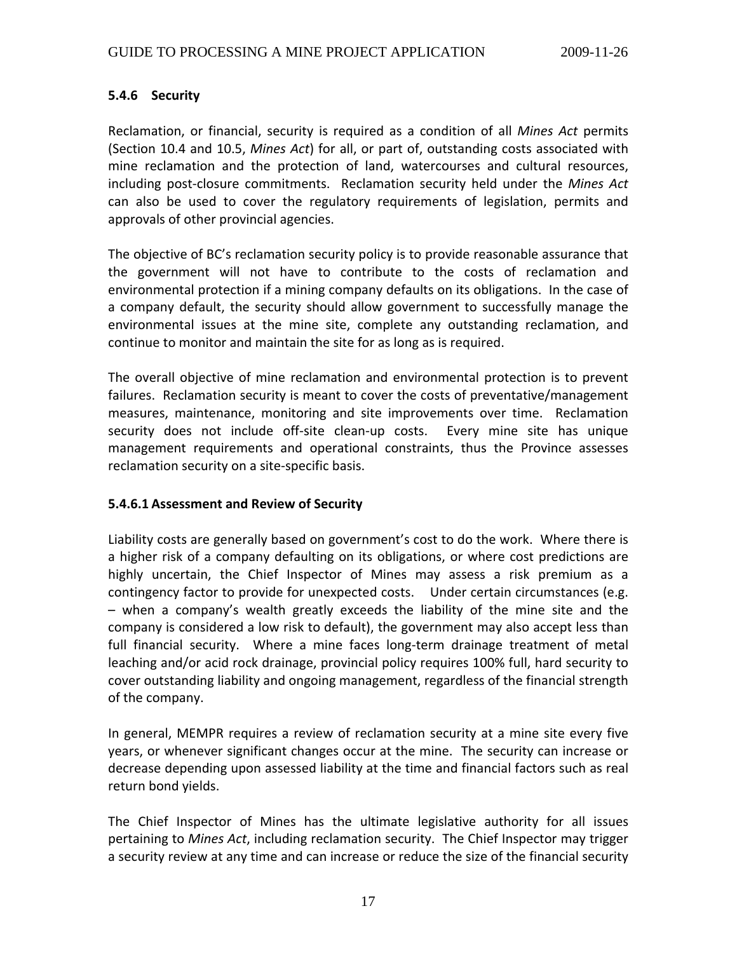# <span id="page-16-0"></span>**5.4.6 Security**

Reclamation, or financial, security is required as a condition of all *Mines Act* permits (Section 10.4 and 10.5, *Mines Act*) for all, or part of, outstanding costs associated with mine reclamation and the protection of land, watercourses and cultural resources, including post‐closure commitments. Reclamation security held under the *Mines Act* can also be used to cover the regulatory requirements of legislation, permits and approvals of other provincial agencies.

The objective of BC's reclamation security policy is to provide reasonable assurance that the government will not have to contribute to the costs of reclamation and environmental protection if a mining company defaults on its obligations. In the case of a company default, the security should allow government to successfully manage the environmental issues at the mine site, complete any outstanding reclamation, and continue to monitor and maintain the site for as long as is required.

The overall objective of mine reclamation and environmental protection is to prevent failures. Reclamation security is meant to cover the costs of preventative/management measures, maintenance, monitoring and site improvements over time. Reclamation security does not include off-site clean-up costs. Every mine site has unique management requirements and operational constraints, thus the Province assesses reclamation security on a site‐specific basis.

#### **5.4.6.1 Assessment and Review of Security**

Liability costs are generally based on government's cost to do the work. Where there is a higher risk of a company defaulting on its obligations, or where cost predictions are highly uncertain, the Chief Inspector of Mines may assess a risk premium as a contingency factor to provide for unexpected costs. Under certain circumstances (e.g. – when a company's wealth greatly exceeds the liability of the mine site and the company is considered a low risk to default), the government may also accept less than full financial security. Where a mine faces long-term drainage treatment of metal leaching and/or acid rock drainage, provincial policy requires 100% full, hard security to cover outstanding liability and ongoing management, regardless of the financial strength of the company.

In general, MEMPR requires a review of reclamation security at a mine site every five years, or whenever significant changes occur at the mine. The security can increase or decrease depending upon assessed liability at the time and financial factors such as real return bond yields.

The Chief Inspector of Mines has the ultimate legislative authority for all issues pertaining to *Mines Act*, including reclamation security. The Chief Inspector may trigger a security review at any time and can increase or reduce the size of the financial security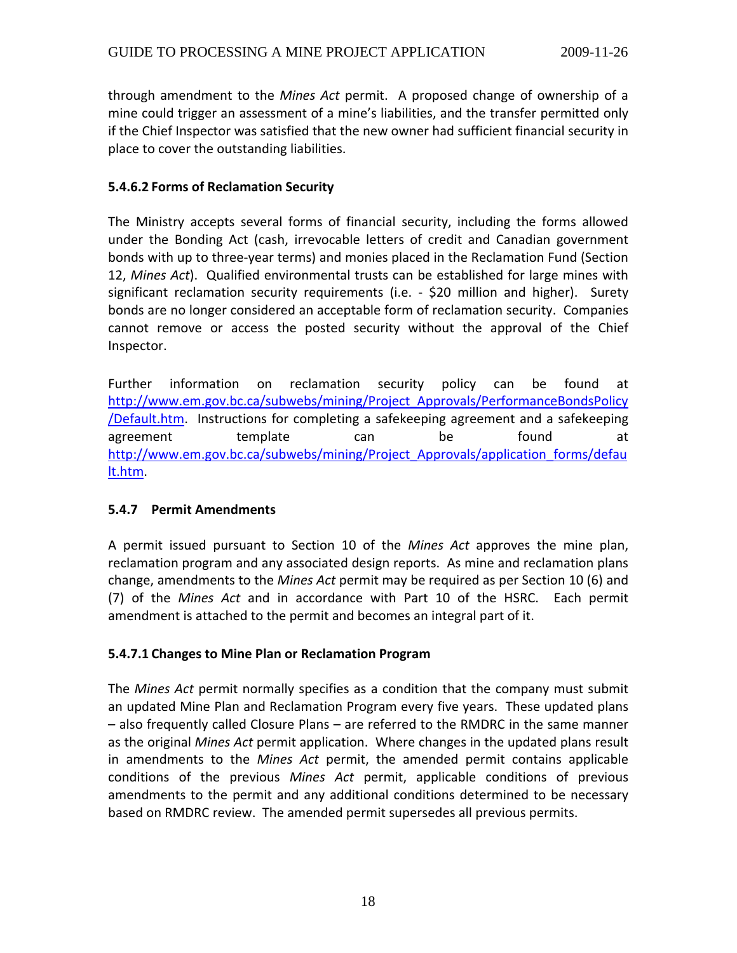<span id="page-17-0"></span>through amendment to the *Mines Act* permit. A proposed change of ownership of a mine could trigger an assessment of a mine's liabilities, and the transfer permitted only if the Chief Inspector was satisfied that the new owner had sufficient financial security in place to cover the outstanding liabilities.

#### **5.4.6.2 Forms of Reclamation Security**

The Ministry accepts several forms of financial security, including the forms allowed under the Bonding Act (cash, irrevocable letters of credit and Canadian government bonds with up to three‐year terms) and monies placed in the Reclamation Fund (Section 12, *Mines Act*). Qualified environmental trusts can be established for large mines with significant reclamation security requirements (i.e. - \$20 million and higher). Surety bonds are no longer considered an acceptable form of reclamation security. Companies cannot remove or access the posted security without the approval of the Chief Inspector.

Further information on reclamation security policy can be found at [http://www.em.gov.bc.ca/subwebs/mining/Project\\_Approvals/PerformanceBondsPolicy](http://www.em.gov.bc.ca/subwebs/mining/Project_Approvals/PerformanceBondsPolicy/Default.htm) [/Default.htm](http://www.em.gov.bc.ca/subwebs/mining/Project_Approvals/PerformanceBondsPolicy/Default.htm). Instructions for completing a safekeeping agreement and a safekeeping agreement template can be found at [http://www.em.gov.bc.ca/subwebs/mining/Project\\_Approvals/application\\_forms/defau](http://www.em.gov.bc.ca/subwebs/mining/Project_Approvals/application_forms/default.htm) [lt.htm.](http://www.em.gov.bc.ca/subwebs/mining/Project_Approvals/application_forms/default.htm)

# **5.4.7 Permit Amendments**

A permit issued pursuant to Section 10 of the *Mines Act* approves the mine plan, reclamation program and any associated design reports. As mine and reclamation plans change, amendments to the *Mines Act* permit may be required as per Section 10 (6) and (7) of the *Mines Act* and in accordance with Part 10 of the HSRC. Each permit amendment is attached to the permit and becomes an integral part of it.

#### **5.4.7.1 Changes to Mine Plan or Reclamation Program**

The *Mines Act* permit normally specifies as a condition that the company must submit an updated Mine Plan and Reclamation Program every five years. These updated plans – also frequently called Closure Plans – are referred to the RMDRC in the same manner as the original *Mines Act* permit application. Where changes in the updated plans result in amendments to the *Mines Act* permit, the amended permit contains applicable conditions of the previous *Mines Act* permit, applicable conditions of previous amendments to the permit and any additional conditions determined to be necessary based on RMDRC review. The amended permit supersedes all previous permits.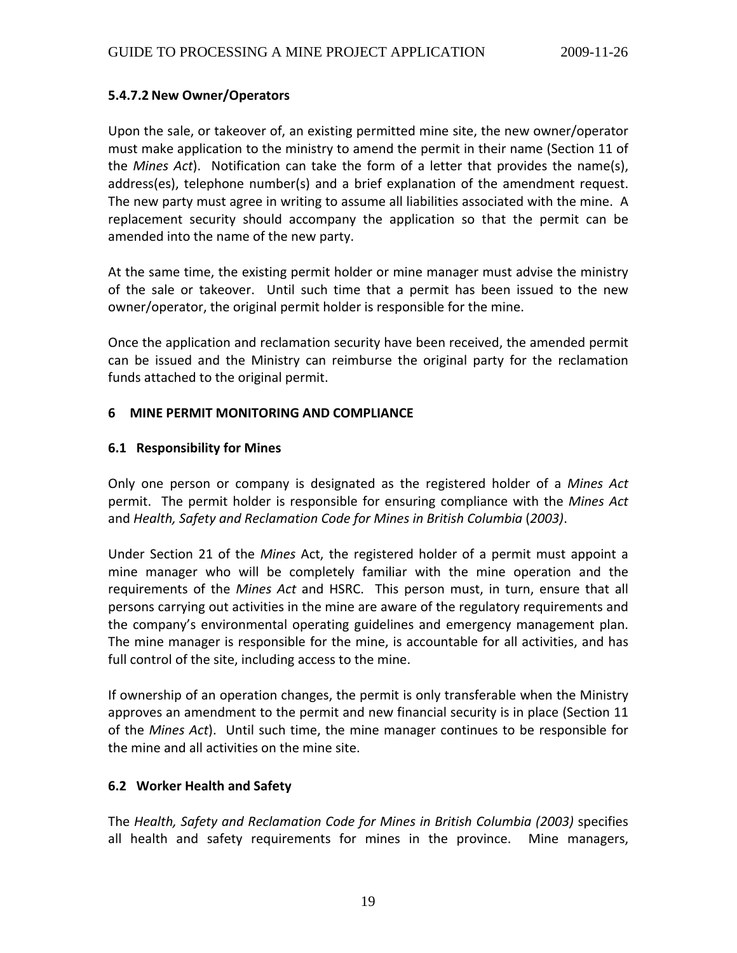# <span id="page-18-0"></span>**5.4.7.2 New Owner/Operators**

Upon the sale, or takeover of, an existing permitted mine site, the new owner/operator must make application to the ministry to amend the permit in their name (Section 11 of the *Mines Act*). Notification can take the form of a letter that provides the name(s), address(es), telephone number(s) and a brief explanation of the amendment request. The new party must agree in writing to assume all liabilities associated with the mine. A replacement security should accompany the application so that the permit can be amended into the name of the new party.

At the same time, the existing permit holder or mine manager must advise the ministry of the sale or takeover. Until such time that a permit has been issued to the new owner/operator, the original permit holder is responsible for the mine.

Once the application and reclamation security have been received, the amended permit can be issued and the Ministry can reimburse the original party for the reclamation funds attached to the original permit.

## **6 MINE PERMIT MONITORING AND COMPLIANCE**

#### **6.1 Responsibility for Mines**

Only one person or company is designated as the registered holder of a *Mines Act* permit. The permit holder is responsible for ensuring compliance with the *Mines Act* and *Health, Safety and Reclamation Code for Mines in British Columbia* (*2003)*.

Under Section 21 of the *Mines* Act, the registered holder of a permit must appoint a mine manager who will be completely familiar with the mine operation and the requirements of the *Mines Act* and HSRC. This person must, in turn, ensure that all persons carrying out activities in the mine are aware of the regulatory requirements and the company's environmental operating guidelines and emergency management plan. The mine manager is responsible for the mine, is accountable for all activities, and has full control of the site, including access to the mine.

If ownership of an operation changes, the permit is only transferable when the Ministry approves an amendment to the permit and new financial security is in place (Section 11 of the *Mines Act*). Until such time, the mine manager continues to be responsible for the mine and all activities on the mine site.

# **6.2 Worker Health and Safety**

The *Health, Safety and Reclamation Code for Mines in British Columbia (2003)* specifies all health and safety requirements for mines in the province. Mine managers,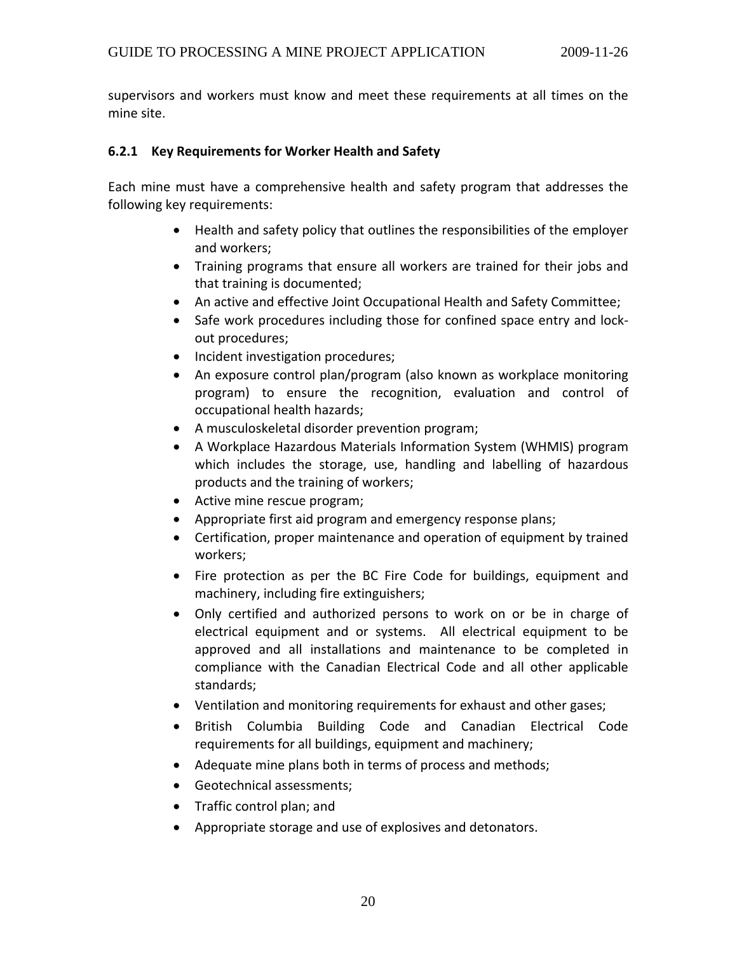<span id="page-19-0"></span>supervisors and workers must know and meet these requirements at all times on the mine site.

#### **6.2.1 Key Requirements for Worker Health and Safety**

Each mine must have a comprehensive health and safety program that addresses the following key requirements:

- Health and safety policy that outlines the responsibilities of the employer and workers;
- Training programs that ensure all workers are trained for their jobs and that training is documented;
- An active and effective Joint Occupational Health and Safety Committee;
- Safe work procedures including those for confined space entry and lock‐ out procedures;
- Incident investigation procedures;
- An exposure control plan/program (also known as workplace monitoring program) to ensure the recognition, evaluation and control of occupational health hazards;
- A musculoskeletal disorder prevention program;
- A Workplace Hazardous Materials Information System (WHMIS) program which includes the storage, use, handling and labelling of hazardous products and the training of workers;
- Active mine rescue program;
- Appropriate first aid program and emergency response plans;
- Certification, proper maintenance and operation of equipment by trained workers;
- Fire protection as per the BC Fire Code for buildings, equipment and machinery, including fire extinguishers;
- Only certified and authorized persons to work on or be in charge of electrical equipment and or systems. All electrical equipment to be approved and all installations and maintenance to be completed in compliance with the Canadian Electrical Code and all other applicable standards;
- Ventilation and monitoring requirements for exhaust and other gases;
- British Columbia Building Code and Canadian Electrical Code requirements for all buildings, equipment and machinery;
- Adequate mine plans both in terms of process and methods;
- Geotechnical assessments;
- Traffic control plan; and
- Appropriate storage and use of explosives and detonators.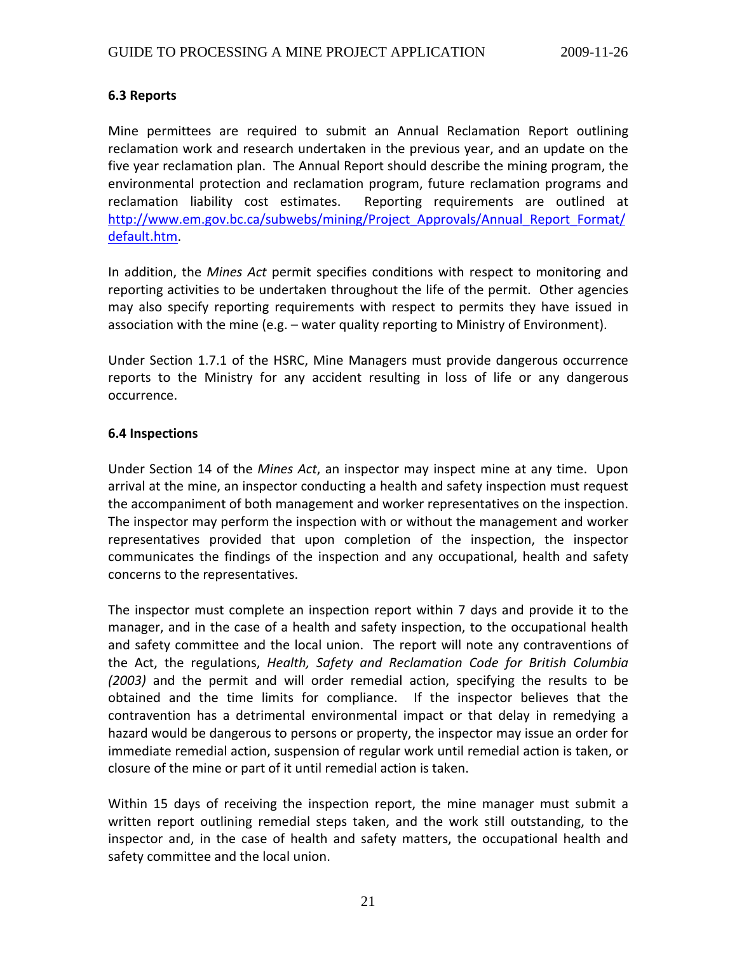## <span id="page-20-0"></span>**6.3 Reports**

Mine permittees are required to submit an Annual Reclamation Report outlining reclamation work and research undertaken in the previous year, and an update on the five year reclamation plan. The Annual Report should describe the mining program, the environmental protection and reclamation program, future reclamation programs and reclamation liability cost estimates. Reporting requirements are outlined at [http://www.em.gov.bc.ca/subwebs/mining/Project\\_Approvals/Annual\\_Report\\_Format/](http://www.em.gov.bc.ca/subwebs/mining/Project_Approvals/Annual_Report_Format/default.htm) [default.htm.](http://www.em.gov.bc.ca/subwebs/mining/Project_Approvals/Annual_Report_Format/default.htm)

In addition, the *Mines Act* permit specifies conditions with respect to monitoring and reporting activities to be undertaken throughout the life of the permit. Other agencies may also specify reporting requirements with respect to permits they have issued in association with the mine (e.g. – water quality reporting to Ministry of Environment).

Under Section 1.7.1 of the HSRC, Mine Managers must provide dangerous occurrence reports to the Ministry for any accident resulting in loss of life or any dangerous occurrence.

## **6.4 Inspections**

Under Section 14 of the *Mines Act*, an inspector may inspect mine at any time. Upon arrival at the mine, an inspector conducting a health and safety inspection must request the accompaniment of both management and worker representatives on the inspection. The inspector may perform the inspection with or without the management and worker representatives provided that upon completion of the inspection, the inspector communicates the findings of the inspection and any occupational, health and safety concerns to the representatives.

The inspector must complete an inspection report within 7 days and provide it to the manager, and in the case of a health and safety inspection, to the occupational health and safety committee and the local union. The report will note any contraventions of the Act, the regulations, *Health, Safety and Reclamation Code for British Columbia (2003)* and the permit and will order remedial action, specifying the results to be obtained and the time limits for compliance. If the inspector believes that the contravention has a detrimental environmental impact or that delay in remedying a hazard would be dangerous to persons or property, the inspector may issue an order for immediate remedial action, suspension of regular work until remedial action is taken, or closure of the mine or part of it until remedial action is taken.

Within 15 days of receiving the inspection report, the mine manager must submit a written report outlining remedial steps taken, and the work still outstanding, to the inspector and, in the case of health and safety matters, the occupational health and safety committee and the local union.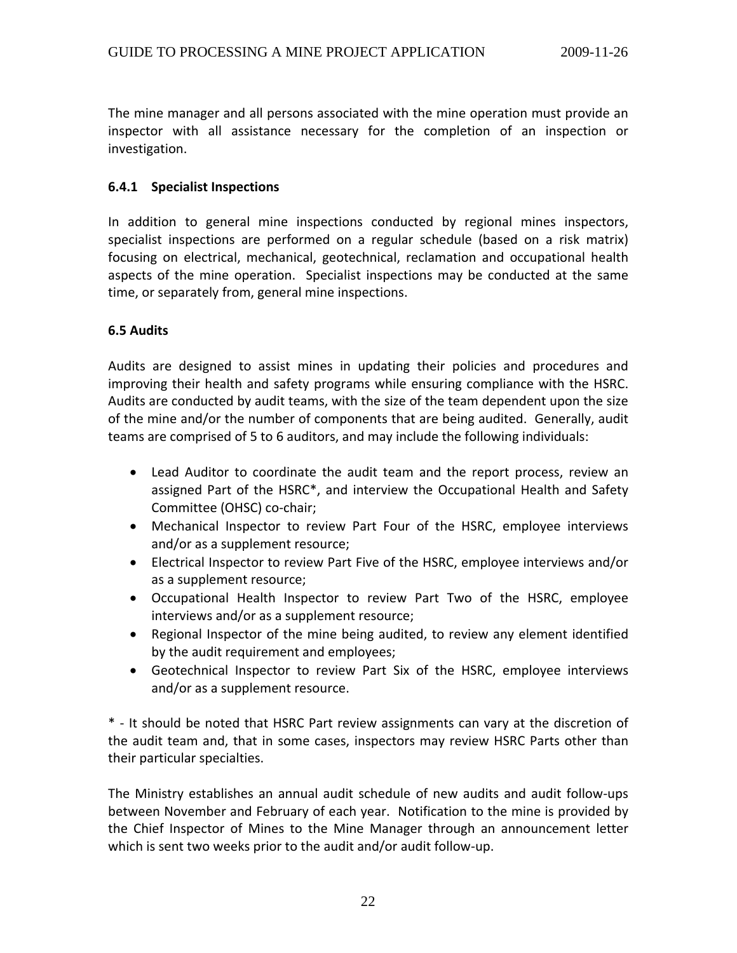<span id="page-21-0"></span>The mine manager and all persons associated with the mine operation must provide an inspector with all assistance necessary for the completion of an inspection or investigation.

#### **6.4.1 Specialist Inspections**

In addition to general mine inspections conducted by regional mines inspectors, specialist inspections are performed on a regular schedule (based on a risk matrix) focusing on electrical, mechanical, geotechnical, reclamation and occupational health aspects of the mine operation. Specialist inspections may be conducted at the same time, or separately from, general mine inspections.

## **6.5 Audits**

Audits are designed to assist mines in updating their policies and procedures and improving their health and safety programs while ensuring compliance with the HSRC. Audits are conducted by audit teams, with the size of the team dependent upon the size of the mine and/or the number of components that are being audited. Generally, audit teams are comprised of 5 to 6 auditors, and may include the following individuals:

- Lead Auditor to coordinate the audit team and the report process, review an assigned Part of the HSRC\*, and interview the Occupational Health and Safety Committee (OHSC) co‐chair;
- Mechanical Inspector to review Part Four of the HSRC, employee interviews and/or as a supplement resource;
- Electrical Inspector to review Part Five of the HSRC, employee interviews and/or as a supplement resource;
- Occupational Health Inspector to review Part Two of the HSRC, employee interviews and/or as a supplement resource;
- Regional Inspector of the mine being audited, to review any element identified by the audit requirement and employees;
- Geotechnical Inspector to review Part Six of the HSRC, employee interviews and/or as a supplement resource.

\* ‐ It should be noted that HSRC Part review assignments can vary at the discretion of the audit team and, that in some cases, inspectors may review HSRC Parts other than their particular specialties.

The Ministry establishes an annual audit schedule of new audits and audit follow‐ups between November and February of each year. Notification to the mine is provided by the Chief Inspector of Mines to the Mine Manager through an announcement letter which is sent two weeks prior to the audit and/or audit follow‐up.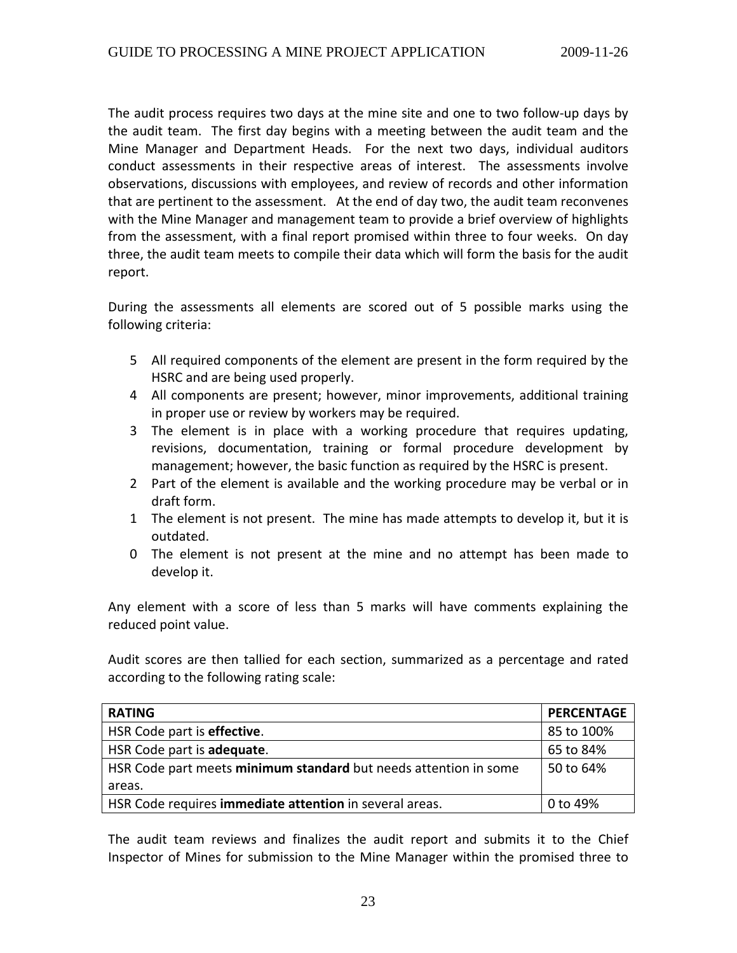The audit process requires two days at the mine site and one to two follow‐up days by the audit team. The first day begins with a meeting between the audit team and the Mine Manager and Department Heads. For the next two days, individual auditors conduct assessments in their respective areas of interest. The assessments involve observations, discussions with employees, and review of records and other information that are pertinent to the assessment. At the end of day two, the audit team reconvenes with the Mine Manager and management team to provide a brief overview of highlights from the assessment, with a final report promised within three to four weeks. On day three, the audit team meets to compile their data which will form the basis for the audit report.

During the assessments all elements are scored out of 5 possible marks using the following criteria:

- 5 All required components of the element are present in the form required by the HSRC and are being used properly.
- 4 All components are present; however, minor improvements, additional training in proper use or review by workers may be required.
- 3 The element is in place with a working procedure that requires updating, revisions, documentation, training or formal procedure development by management; however, the basic function as required by the HSRC is present.
- 2 Part of the element is available and the working procedure may be verbal or in draft form.
- 1 The element is not present. The mine has made attempts to develop it, but it is outdated.
- 0 The element is not present at the mine and no attempt has been made to develop it.

Any element with a score of less than 5 marks will have comments explaining the reduced point value.

Audit scores are then tallied for each section, summarized as a percentage and rated according to the following rating scale:

| <b>RATING</b>                                                    | <b>PERCENTAGE</b> |
|------------------------------------------------------------------|-------------------|
| HSR Code part is effective.                                      | 85 to 100%        |
| HSR Code part is adequate.                                       | 65 to 84%         |
| HSR Code part meets minimum standard but needs attention in some | 50 to 64%         |
| areas.                                                           |                   |
| HSR Code requires immediate attention in several areas.          | 0 to 49%          |

The audit team reviews and finalizes the audit report and submits it to the Chief Inspector of Mines for submission to the Mine Manager within the promised three to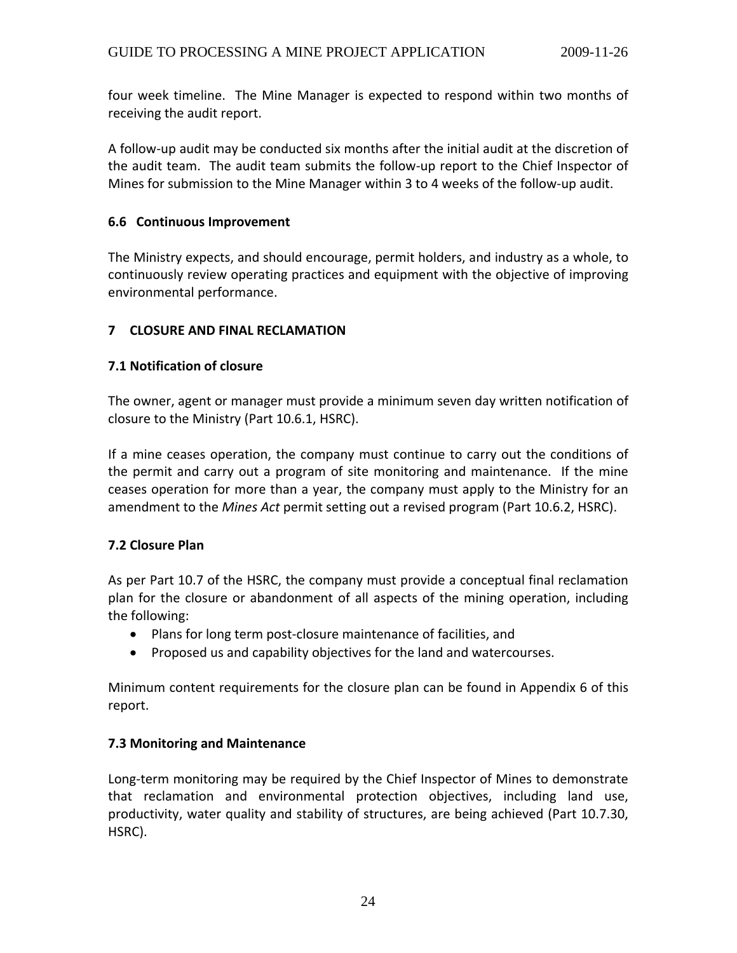<span id="page-23-0"></span>four week timeline. The Mine Manager is expected to respond within two months of receiving the audit report.

A follow‐up audit may be conducted six months after the initial audit at the discretion of the audit team. The audit team submits the follow‐up report to the Chief Inspector of Mines for submission to the Mine Manager within 3 to 4 weeks of the follow‐up audit.

# **6.6 Continuous Improvement**

The Ministry expects, and should encourage, permit holders, and industry as a whole, to continuously review operating practices and equipment with the objective of improving environmental performance.

# **7 CLOSURE AND FINAL RECLAMATION**

## **7.1 Notification of closure**

The owner, agent or manager must provide a minimum seven day written notification of closure to the Ministry (Part 10.6.1, HSRC).

If a mine ceases operation, the company must continue to carry out the conditions of the permit and carry out a program of site monitoring and maintenance. If the mine ceases operation for more than a year, the company must apply to the Ministry for an amendment to the *Mines Act* permit setting out a revised program (Part 10.6.2, HSRC).

# **7.2 Closure Plan**

As per Part 10.7 of the HSRC, the company must provide a conceptual final reclamation plan for the closure or abandonment of all aspects of the mining operation, including the following:

- Plans for long term post‐closure maintenance of facilities, and
- Proposed us and capability objectives for the land and watercourses.

Minimum content requirements for the closure plan can be found in Appendix 6 of this report.

#### **7.3 Monitoring and Maintenance**

Long-term monitoring may be required by the Chief Inspector of Mines to demonstrate that reclamation and environmental protection objectives, including land use, productivity, water quality and stability of structures, are being achieved (Part 10.7.30, HSRC).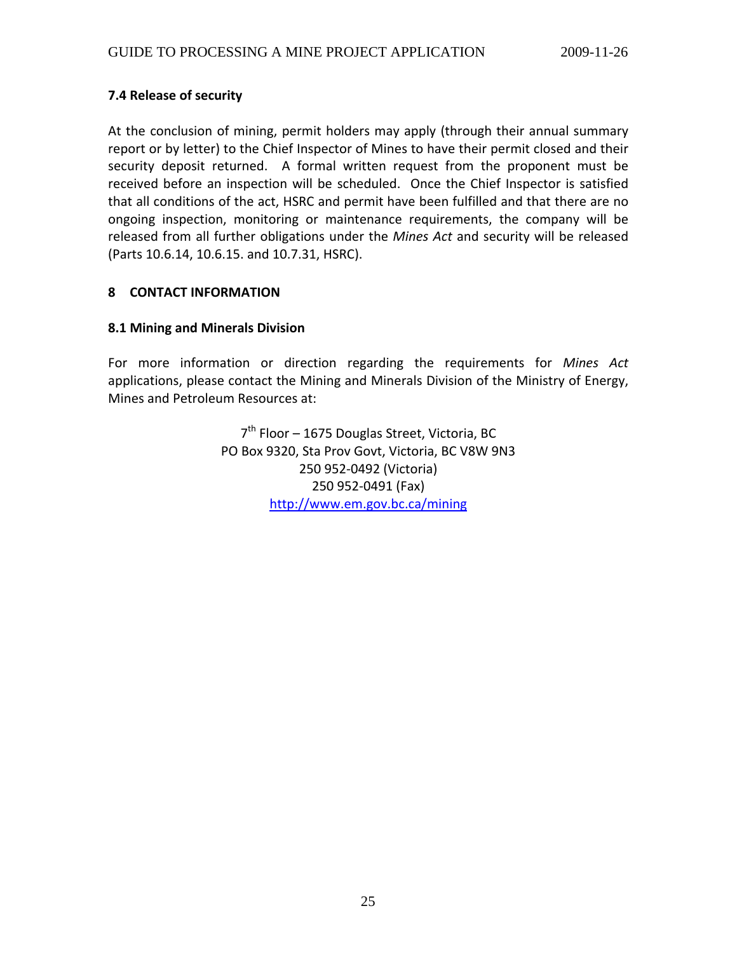# <span id="page-24-0"></span>**7.4 Release of security**

At the conclusion of mining, permit holders may apply (through their annual summary report or by letter) to the Chief Inspector of Mines to have their permit closed and their security deposit returned. A formal written request from the proponent must be received before an inspection will be scheduled. Once the Chief Inspector is satisfied that all conditions of the act, HSRC and permit have been fulfilled and that there are no ongoing inspection, monitoring or maintenance requirements, the company will be released from all further obligations under the *Mines Act* and security will be released (Parts 10.6.14, 10.6.15. and 10.7.31, HSRC).

## **8 CONTACT INFORMATION**

## **8.1 Mining and Minerals Division**

For more information or direction regarding the requirements for *Mines Act* applications, please contact the Mining and Minerals Division of the Ministry of Energy, Mines and Petroleum Resources at:

> 7<sup>th</sup> Floor – 1675 Douglas Street, Victoria, BC PO Box 9320, Sta Prov Govt, Victoria, BC V8W 9N3 250 952‐0492 (Victoria) 250 952‐0491 (Fax) <http://www.em.gov.bc.ca/mining>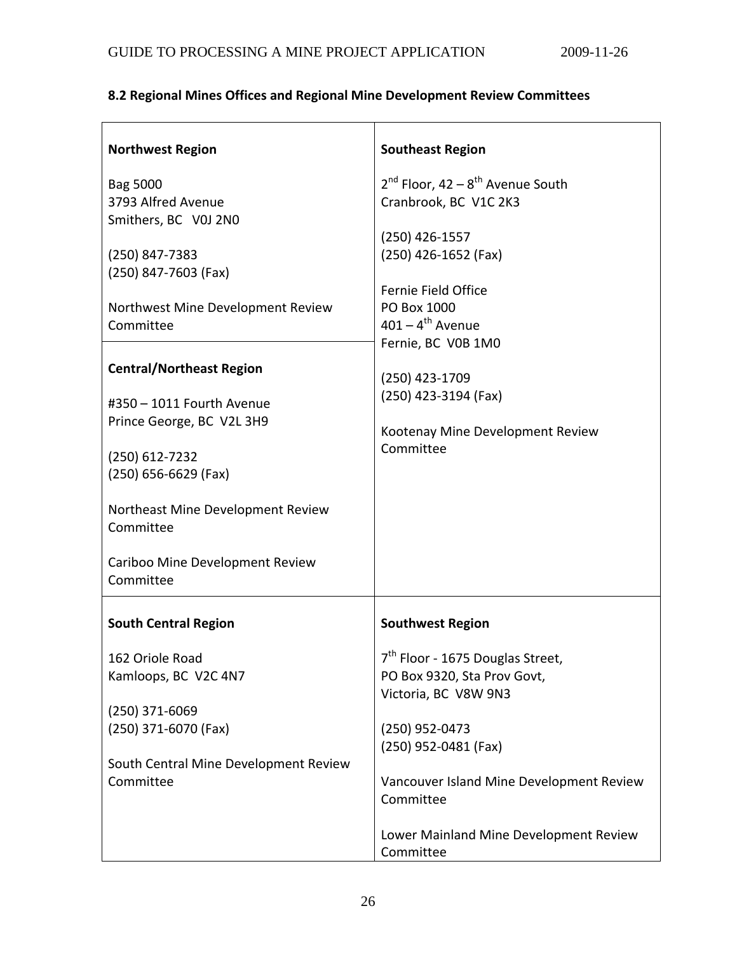# <span id="page-25-0"></span>**8.2 Regional Mines Offices and Regional Mine Development Review Committees**

| <b>Northwest Region</b>                        | <b>Southeast Region</b>                                             |
|------------------------------------------------|---------------------------------------------------------------------|
| Bag 5000<br>3793 Alfred Avenue                 | $2^{nd}$ Floor, 42 – $8^{th}$ Avenue South<br>Cranbrook, BC V1C 2K3 |
| Smithers, BC V0J 2N0                           |                                                                     |
|                                                | $(250)$ 426-1557                                                    |
| (250) 847-7383<br>(250) 847-7603 (Fax)         | (250) 426-1652 (Fax)                                                |
|                                                | Fernie Field Office                                                 |
| Northwest Mine Development Review              | PO Box 1000                                                         |
| Committee                                      | $401 - 4$ <sup>th</sup> Avenue<br>Fernie, BC V0B 1M0                |
| <b>Central/Northeast Region</b>                |                                                                     |
|                                                | (250) 423-1709                                                      |
| #350 - 1011 Fourth Avenue                      | (250) 423-3194 (Fax)                                                |
| Prince George, BC V2L 3H9                      | Kootenay Mine Development Review                                    |
| (250) 612-7232                                 | Committee                                                           |
| (250) 656-6629 (Fax)                           |                                                                     |
| Northeast Mine Development Review<br>Committee |                                                                     |
| Cariboo Mine Development Review<br>Committee   |                                                                     |
| <b>South Central Region</b>                    | <b>Southwest Region</b>                                             |
| 162 Oriole Road                                | 7 <sup>th</sup> Floor - 1675 Douglas Street,                        |
| Kamloops, BC V2C 4N7                           | PO Box 9320, Sta Prov Govt,                                         |
|                                                | Victoria, BC V8W 9N3                                                |
| (250) 371-6069<br>(250) 371-6070 (Fax)         | (250) 952-0473                                                      |
|                                                | (250) 952-0481 (Fax)                                                |
| South Central Mine Development Review          |                                                                     |
| Committee                                      | Vancouver Island Mine Development Review                            |
|                                                | Committee                                                           |
|                                                | Lower Mainland Mine Development Review                              |
|                                                | Committee                                                           |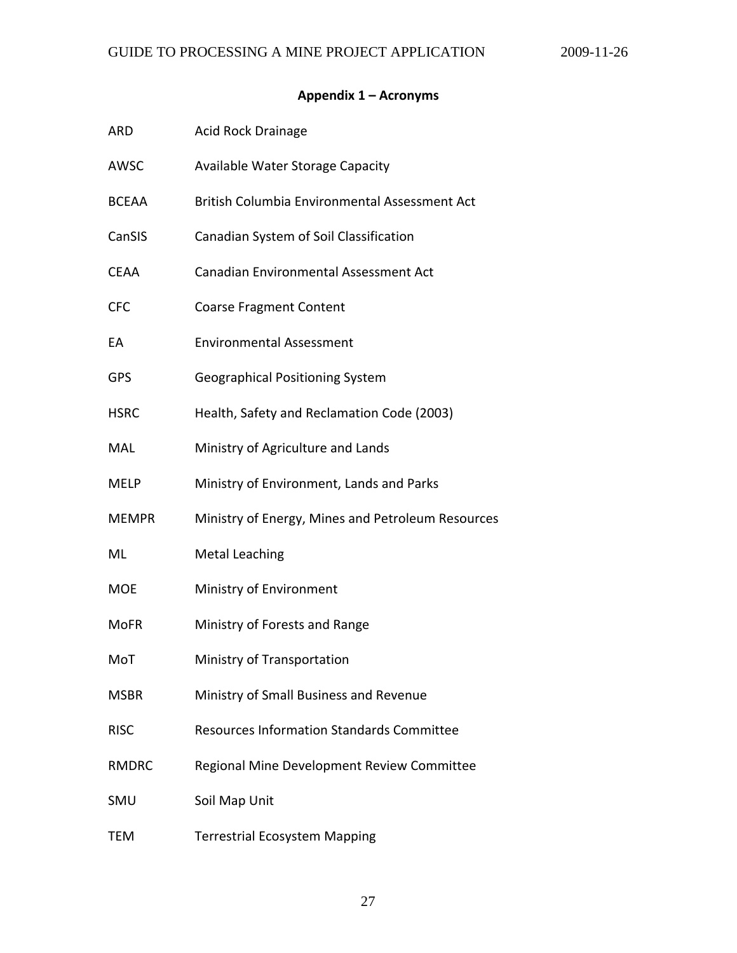# **Appendix 1 – Acronyms**

<span id="page-26-0"></span>

| ARD          | <b>Acid Rock Drainage</b>                         |
|--------------|---------------------------------------------------|
| AWSC         | Available Water Storage Capacity                  |
| <b>BCEAA</b> | British Columbia Environmental Assessment Act     |
| CanSIS       | Canadian System of Soil Classification            |
| CEAA         | Canadian Environmental Assessment Act             |
| <b>CFC</b>   | <b>Coarse Fragment Content</b>                    |
| EА           | <b>Environmental Assessment</b>                   |
| <b>GPS</b>   | Geographical Positioning System                   |
| <b>HSRC</b>  | Health, Safety and Reclamation Code (2003)        |
| MAL          | Ministry of Agriculture and Lands                 |
| MELP         | Ministry of Environment, Lands and Parks          |
| <b>MEMPR</b> | Ministry of Energy, Mines and Petroleum Resources |
| ML           | <b>Metal Leaching</b>                             |
| <b>MOE</b>   | Ministry of Environment                           |
| <b>MoFR</b>  | Ministry of Forests and Range                     |
| MoT          | Ministry of Transportation                        |
| <b>MSBR</b>  | Ministry of Small Business and Revenue            |
| <b>RISC</b>  | <b>Resources Information Standards Committee</b>  |
| <b>RMDRC</b> | Regional Mine Development Review Committee        |
| SMU          | Soil Map Unit                                     |
| TEM          | <b>Terrestrial Ecosystem Mapping</b>              |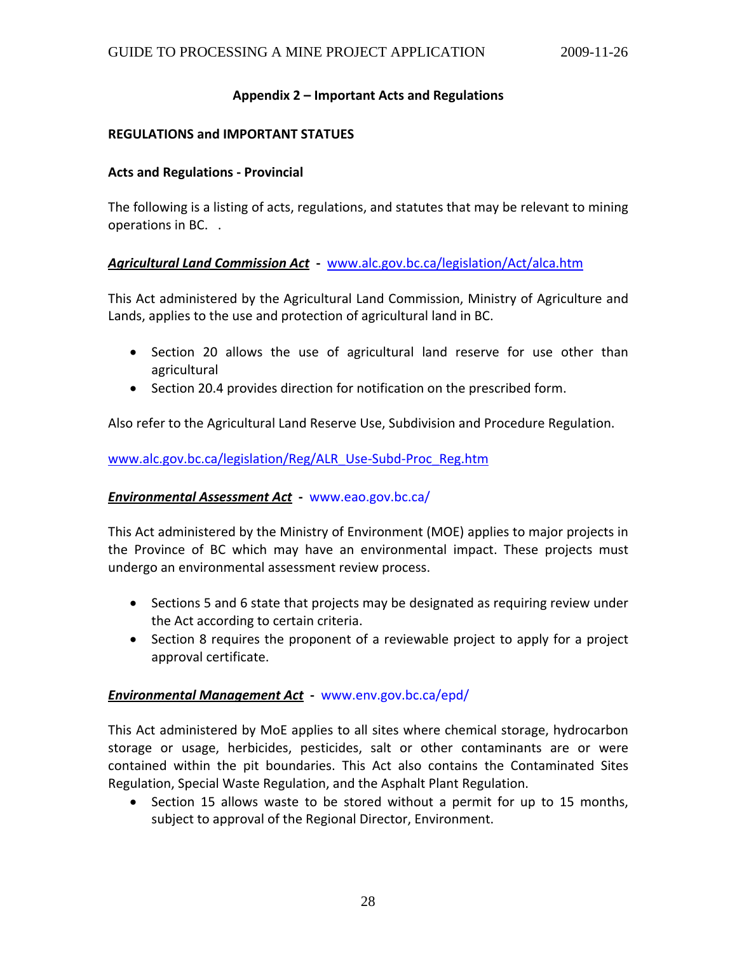#### **Appendix 2 – Important Acts and Regulations**

#### <span id="page-27-0"></span>**REGULATIONS and IMPORTANT STATUES**

#### **Acts and Regulations ‐ Provincial**

The following is a listing of acts, regulations, and statutes that may be relevant to mining operations in BC. .

#### *Agricultural Land Commission Act* **‐** [www.alc.gov.bc.ca/legislation/Act/alca.htm](http://www.alc.gov.bc.ca/legislation/Act/alca.htm)

This Act administered by the Agricultural Land Commission, Ministry of Agriculture and Lands, applies to the use and protection of agricultural land in BC.

- Section 20 allows the use of agricultural land reserve for use other than agricultural
- Section 20.4 provides direction for notification on the prescribed form.

Also refer to the Agricultural Land Reserve Use, Subdivision and Procedure Regulation.

[www.alc.gov.bc.ca/legislation/Reg/ALR\\_Use](http://www.alc.gov.bc.ca/legislation/Reg/ALR_Use-Subd-Proc_Reg.htm)-Subd-Proc\_Reg.htm

#### *Environmental Assessment Act* **‐** www.eao.gov.bc.ca/

This Act administered by the Ministry of Environment (MOE) applies to major projects in the Province of BC which may have an environmental impact. These projects must undergo an environmental assessment review process.

- Sections 5 and 6 state that projects may be designated as requiring review under the Act according to certain criteria.
- Section 8 requires the proponent of a reviewable project to apply for a project approval certificate.

#### *Environmental Management Act* **‐** www.env.gov.bc.ca/epd/

This Act administered by MoE applies to all sites where chemical storage, hydrocarbon storage or usage, herbicides, pesticides, salt or other contaminants are or were contained within the pit boundaries. This Act also contains the Contaminated Sites Regulation, Special Waste Regulation, and the Asphalt Plant Regulation.

• Section 15 allows waste to be stored without a permit for up to 15 months, subject to approval of the Regional Director, Environment.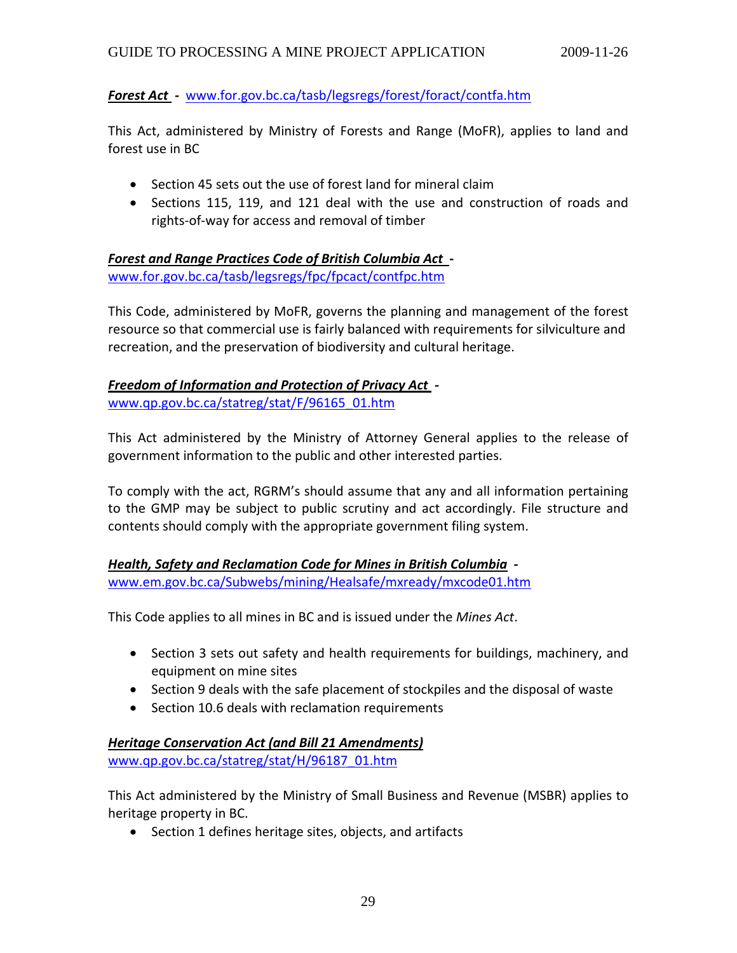## *Forest Act ‐* [www.for.gov.bc.ca/tasb/legsregs/forest/foract/contfa.htm](http://www.for.gov.bc.ca/tasb/legsregs/forest/foract/contfa.htm)

This Act, administered by Ministry of Forests and Range (MoFR), applies to land and forest use in BC

- Section 45 sets out the use of forest land for mineral claim
- Sections 115, 119, and 121 deal with the use and construction of roads and rights‐of‐way for access and removal of timber

# *Forest and Range Practices Code of British Columbia Act* **‐**

[www.for.gov.bc.ca/tasb/legsregs/fpc/fpcact/contfpc.htm](http://www.for.gov.bc.ca/tasb/legsregs/fpc/fpcact/contfpc.htm)

This Code, administered by MoFR, governs the planning and management of the forest resource so that commercial use is fairly balanced with requirements for silviculture and recreation, and the preservation of biodiversity and cultural heritage.

# *Freedom of Information and Protection of Privacy Act ‐*

[www.qp.gov.bc.ca/statreg/stat/F/96165\\_01.htm](http://www.qp.gov.bc.ca/statreg/stat/F/96165_01.htm)

This Act administered by the Ministry of Attorney General applies to the release of government information to the public and other interested parties.

To comply with the act, RGRM's should assume that any and all information pertaining to the GMP may be subject to public scrutiny and act accordingly. File structure and contents should comply with the appropriate government filing system.

# *Health, Safety and Reclamation Code for Mines in British Columbia ‐*  [www.em.gov.bc.ca/Subwebs/mining/Healsafe/mxready/mxcode01.htm](http://www.em.gov.bc.ca/Subwebs/mining/Healsafe/mxready/mxcode01.htm)

This Code applies to all mines in BC and is issued under the *Mines Act*.

- Section 3 sets out safety and health requirements for buildings, machinery, and equipment on mine sites
- Section 9 deals with the safe placement of stockpiles and the disposal of waste
- Section 10.6 deals with reclamation requirements

# *Heritage Conservation Act (and Bill 21 Amendments)*

[www.qp.gov.bc.ca/statreg/stat/H/96187\\_01.htm](http://www.qp.gov.bc.ca/statreg/stat/H/96187_01.htm)

This Act administered by the Ministry of Small Business and Revenue (MSBR) applies to heritage property in BC.

• Section 1 defines heritage sites, objects, and artifacts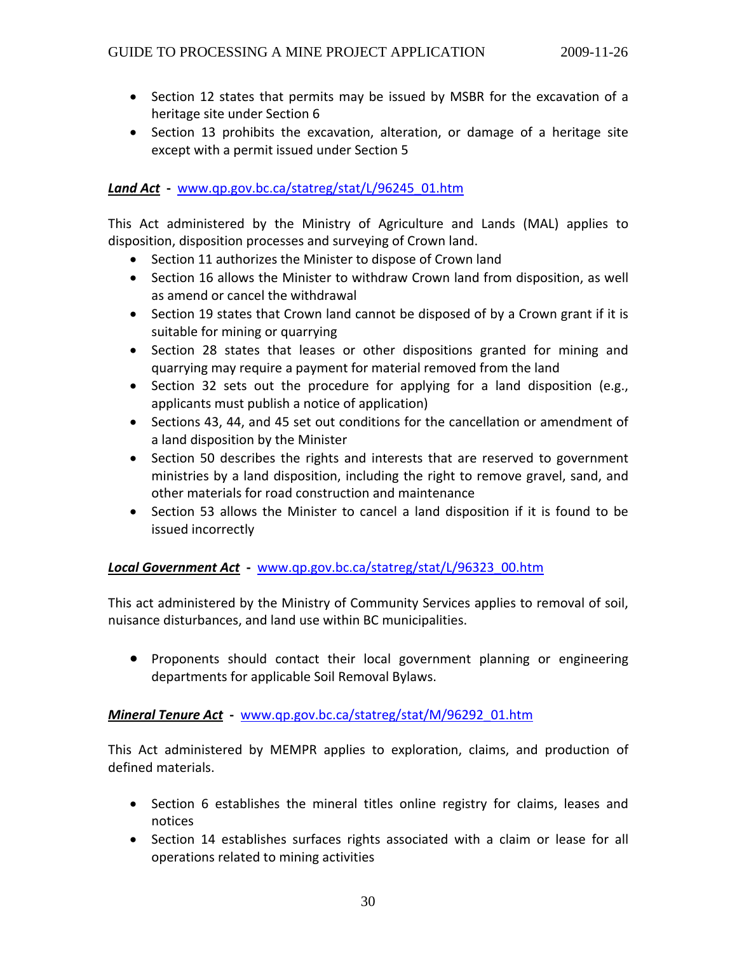- Section 12 states that permits may be issued by MSBR for the excavation of a heritage site under Section 6
- Section 13 prohibits the excavation, alteration, or damage of a heritage site except with a permit issued under Section 5

# *Land Act* **‐** [www.qp.gov.bc.ca/statreg/stat/L/96245\\_01.htm](http://www.qp.gov.bc.ca/statreg/stat/L/96245_01.htm)

This Act administered by the Ministry of Agriculture and Lands (MAL) applies to disposition, disposition processes and surveying of Crown land.

- Section 11 authorizes the Minister to dispose of Crown land
- Section 16 allows the Minister to withdraw Crown land from disposition, as well as amend or cancel the withdrawal
- Section 19 states that Crown land cannot be disposed of by a Crown grant if it is suitable for mining or quarrying
- Section 28 states that leases or other dispositions granted for mining and quarrying may require a payment for material removed from the land
- Section 32 sets out the procedure for applying for a land disposition (e.g., applicants must publish a notice of application)
- Sections 43, 44, and 45 set out conditions for the cancellation or amendment of a land disposition by the Minister
- Section 50 describes the rights and interests that are reserved to government ministries by a land disposition, including the right to remove gravel, sand, and other materials for road construction and maintenance
- Section 53 allows the Minister to cancel a land disposition if it is found to be issued incorrectly

# *Local Government Act* **‐** [www.qp.gov.bc.ca/statreg/stat/L/96323\\_00.htm](http://www.qp.gov.bc.ca/statreg/stat/L/96323_00.htm)

This act administered by the Ministry of Community Services applies to removal of soil, nuisance disturbances, and land use within BC municipalities.

• Proponents should contact their local government planning or engineering departments for applicable Soil Removal Bylaws.

#### *Mineral Tenure Act* **‐** [www.qp.gov.bc.ca/statreg/stat/M/96292\\_01.htm](http://www.qp.gov.bc.ca/statreg/stat/M/96292_01.htm)

This Act administered by MEMPR applies to exploration, claims, and production of defined materials.

- Section 6 establishes the mineral titles online registry for claims, leases and notices
- Section 14 establishes surfaces rights associated with a claim or lease for all operations related to mining activities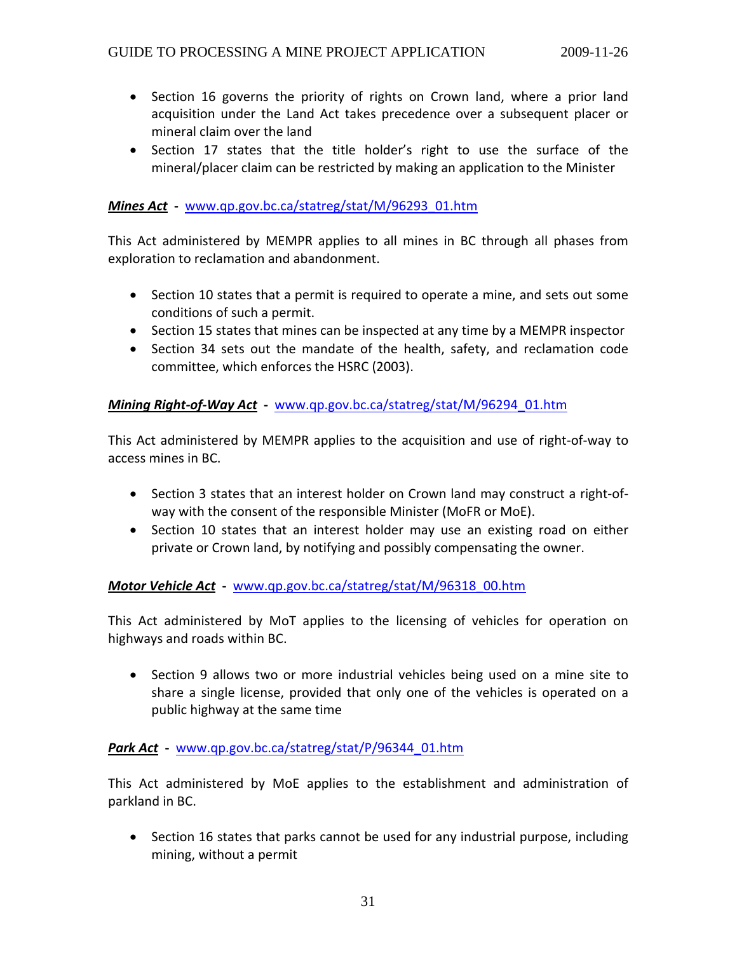- Section 16 governs the priority of rights on Crown land, where a prior land acquisition under the Land Act takes precedence over a subsequent placer or mineral claim over the land
- Section 17 states that the title holder's right to use the surface of the mineral/placer claim can be restricted by making an application to the Minister

# *Mines Act* **‐** [www.qp.gov.bc.ca/statreg/stat/M/96293\\_01.htm](http://www.qp.gov.bc.ca/statreg/stat/M/96293_01.htm)

This Act administered by MEMPR applies to all mines in BC through all phases from exploration to reclamation and abandonment.

- Section 10 states that a permit is required to operate a mine, and sets out some conditions of such a permit.
- Section 15 states that mines can be inspected at any time by a MEMPR inspector
- Section 34 sets out the mandate of the health, safety, and reclamation code committee, which enforces the HSRC (2003).

# *Mining Right‐of‐Way Act* **‐** [www.qp.gov.bc.ca/statreg/stat/M/96294\\_01.htm](http://www.qp.gov.bc.ca/statreg/stat/M/96294_01.htm)

This Act administered by MEMPR applies to the acquisition and use of right‐of‐way to access mines in BC.

- Section 3 states that an interest holder on Crown land may construct a right‐of‐ way with the consent of the responsible Minister (MoFR or MoE).
- Section 10 states that an interest holder may use an existing road on either private or Crown land, by notifying and possibly compensating the owner.

#### *Motor Vehicle Act* **‐** [www.qp.gov.bc.ca/statreg/stat/M/96318\\_00.htm](http://www.qp.gov.bc.ca/statreg/stat/M/96318_00.htm)

This Act administered by MoT applies to the licensing of vehicles for operation on highways and roads within BC.

• Section 9 allows two or more industrial vehicles being used on a mine site to share a single license, provided that only one of the vehicles is operated on a public highway at the same time

# *Park Act* **‐** [www.qp.gov.bc.ca/statreg/stat/P/96344\\_01.htm](http://www.qp.gov.bc.ca/statreg/stat/P/96344_01.htm)

This Act administered by MoE applies to the establishment and administration of parkland in BC.

• Section 16 states that parks cannot be used for any industrial purpose, including mining, without a permit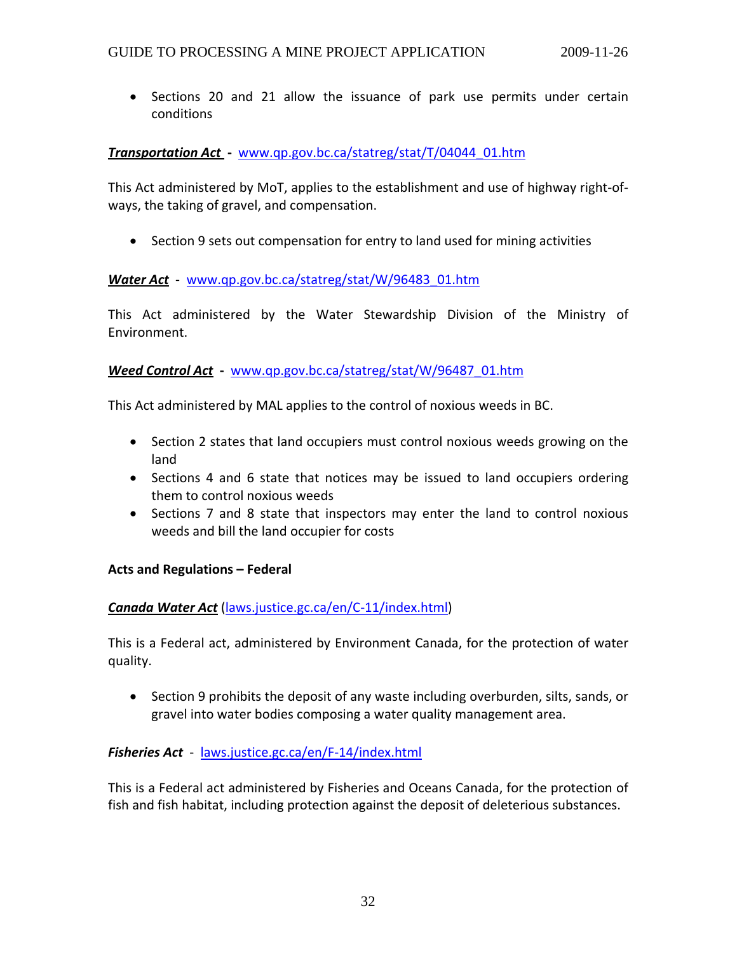• Sections 20 and 21 allow the issuance of park use permits under certain conditions

#### *Transportation Act*  **‐** [www.qp.gov.bc.ca/statreg/stat/T/04044\\_01.htm](http://www.qp.gov.bc.ca/statreg/stat/T/04044_01.htm)

This Act administered by MoT, applies to the establishment and use of highway right‐of‐ ways, the taking of gravel, and compensation.

• Section 9 sets out compensation for entry to land used for mining activities

#### *Water Act* ‐ [www.qp.gov.bc.ca/statreg/stat/W/96483\\_01.htm](http://www.qp.gov.bc.ca/statreg/stat/W/96483_01.htm)

This Act administered by the Water Stewardship Division of the Ministry of Environment.

#### *Weed Control Act* **‐** [www.qp.gov.bc.ca/statreg/stat/W/96487\\_01.htm](http://www.qp.gov.bc.ca/statreg/stat/W/96487_01.htm)

This Act administered by MAL applies to the control of noxious weeds in BC.

- Section 2 states that land occupiers must control noxious weeds growing on the land
- Sections 4 and 6 state that notices may be issued to land occupiers ordering them to control noxious weeds
- Sections 7 and 8 state that inspectors may enter the land to control noxious weeds and bill the land occupier for costs

#### **Acts and Regulations – Federal**

#### *Canada Water Act* [\(laws.justice.gc.ca/en/C](http://laws.justice.gc.ca/en/C-11/index.html)‐11/index.html)

This is a Federal act, administered by Environment Canada, for the protection of water quality.

• Section 9 prohibits the deposit of any waste including overburden, silts, sands, or gravel into water bodies composing a water quality management area.

#### *Fisheries Act* ‐ [laws.justice.gc.ca/en/F](http://laws.justice.gc.ca/en/F-14/index.html)‐14/index.html

This is a Federal act administered by Fisheries and Oceans Canada, for the protection of fish and fish habitat, including protection against the deposit of deleterious substances.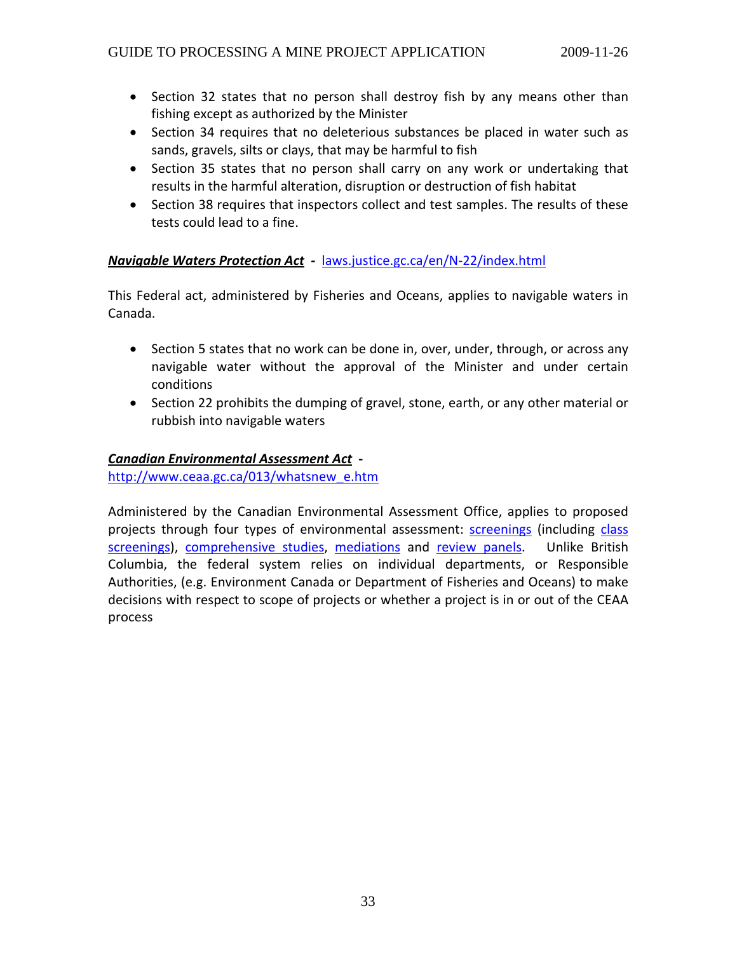- Section 32 states that no person shall destroy fish by any means other than fishing except as authorized by the Minister
- Section 34 requires that no deleterious substances be placed in water such as sands, gravels, silts or clays, that may be harmful to fish
- Section 35 states that no person shall carry on any work or undertaking that results in the harmful alteration, disruption or destruction of fish habitat
- Section 38 requires that inspectors collect and test samples. The results of these tests could lead to a fine.

# *Navigable Waters Protection Act ‐* [laws.justice.gc.ca/en/N](http://laws.justice.gc.ca/en/N-22/index.html)‐22/index.html

This Federal act, administered by Fisheries and Oceans, applies to navigable waters in Canada.

- Section 5 states that no work can be done in, over, under, through, or across any navigable water without the approval of the Minister and under certain conditions
- Section 22 prohibits the dumping of gravel, stone, earth, or any other material or rubbish into navigable waters

## *Canadian Environmental Assessment Act* **‐**

[http://www.ceaa.gc.ca/013/whatsnew\\_e.htm](http://www.ceaa.gc.ca/013/whatsnew_e.htm)

Administered by the Canadian Environmental Assessment Office, applies to proposed projects through four types of environmental assessment: [screenings](http://www.ceaa.gc.ca/010/basics_e.htm#screening) (including [class](http://www.ceaa.gc.ca/010/basics_e.htm#class) [screenings\)](http://www.ceaa.gc.ca/010/basics_e.htm#class), [comprehensive](http://www.ceaa.gc.ca/010/basics_e.htm#comp) studies, [mediations](http://www.ceaa.gc.ca/010/basics_e.htm#mediation) and [review](http://www.ceaa.gc.ca/010/basics_e.htm#panel) panels. Unlike British Columbia, the federal system relies on individual departments, or Responsible Authorities, (e.g. Environment Canada or Department of Fisheries and Oceans) to make decisions with respect to scope of projects or whether a project is in or out of the CEAA process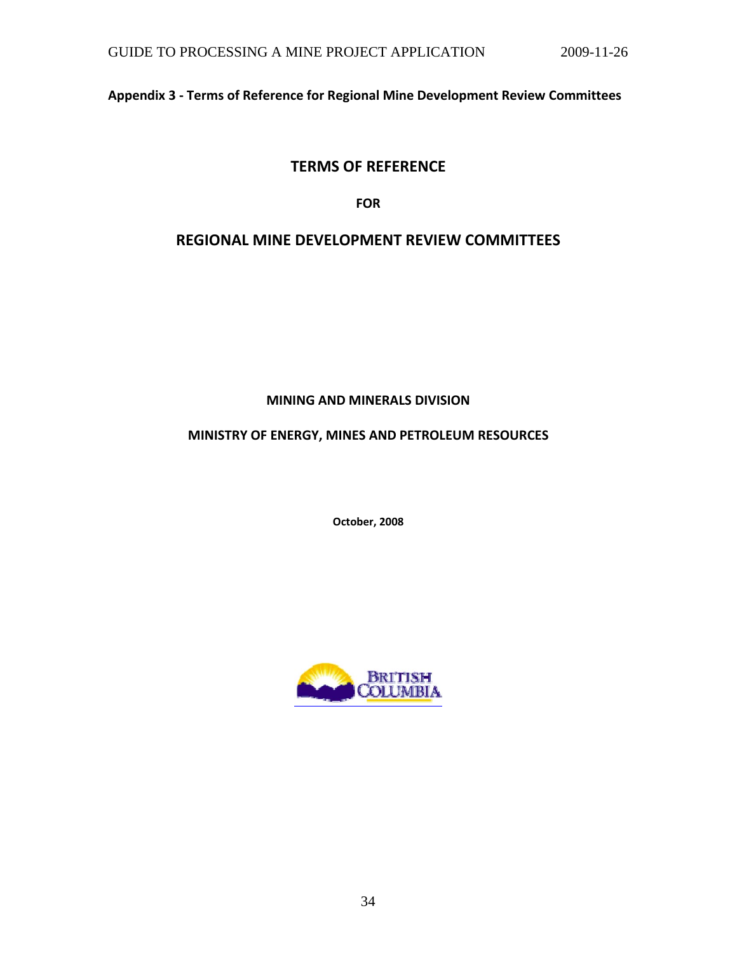<span id="page-33-0"></span>**Appendix 3 ‐ Terms of Reference for Regional Mine Development Review Committees** 

# **TERMS OF REFERENCE**

**FOR**

# **REGIONAL MINE DEVELOPMENT REVIEW COMMITTEES**

**MINING AND MINERALS DIVISION**

# **MINISTRY OF ENERGY, MINES AND PETROLEUM RESOURCES**

**October, 2008**

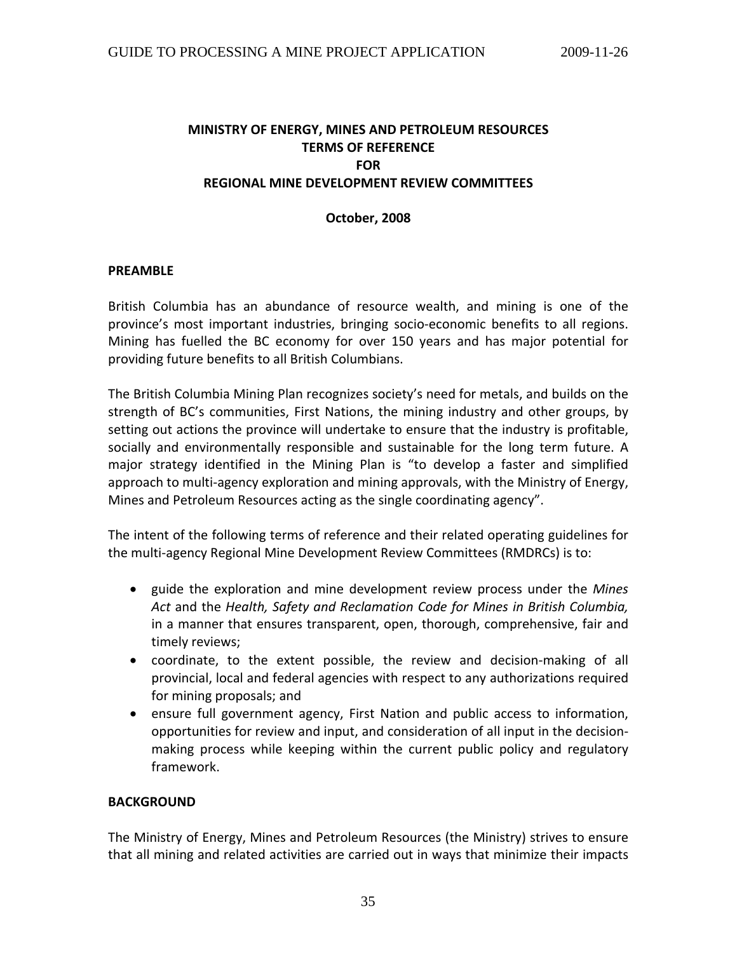# **MINISTRY OF ENERGY, MINES AND PETROLEUM RESOURCES TERMS OF REFERENCE FOR REGIONAL MINE DEVELOPMENT REVIEW COMMITTEES**

#### **October, 2008**

#### **PREAMBLE**

British Columbia has an abundance of resource wealth, and mining is one of the province's most important industries, bringing socio‐economic benefits to all regions. Mining has fuelled the BC economy for over 150 years and has major potential for providing future benefits to all British Columbians.

The British Columbia Mining Plan recognizes society's need for metals, and builds on the strength of BC's communities, First Nations, the mining industry and other groups, by setting out actions the province will undertake to ensure that the industry is profitable, socially and environmentally responsible and sustainable for the long term future. A major strategy identified in the Mining Plan is "to develop a faster and simplified approach to multi-agency exploration and mining approvals, with the Ministry of Energy, Mines and Petroleum Resources acting as the single coordinating agency".

The intent of the following terms of reference and their related operating guidelines for the multi‐agency Regional Mine Development Review Committees (RMDRCs) is to:

- guide the exploration and mine development review process under the *Mines Act* and the *Health, Safety and Reclamation Code for Mines in British Columbia,* in a manner that ensures transparent, open, thorough, comprehensive, fair and timely reviews;
- coordinate, to the extent possible, the review and decision-making of all provincial, local and federal agencies with respect to any authorizations required for mining proposals; and
- ensure full government agency, First Nation and public access to information, opportunities for review and input, and consideration of all input in the decision‐ making process while keeping within the current public policy and regulatory framework.

#### **BACKGROUND**

The Ministry of Energy, Mines and Petroleum Resources (the Ministry) strives to ensure that all mining and related activities are carried out in ways that minimize their impacts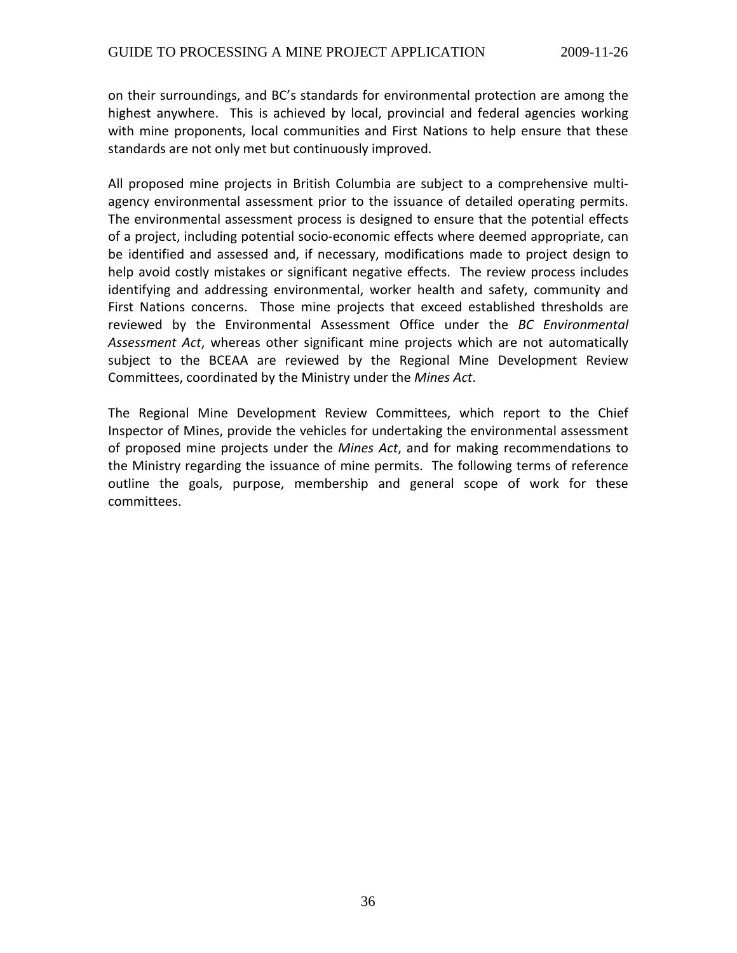on their surroundings, and BC's standards for environmental protection are among the highest anywhere. This is achieved by local, provincial and federal agencies working with mine proponents, local communities and First Nations to help ensure that these standards are not only met but continuously improved.

All proposed mine projects in British Columbia are subject to a comprehensive multi‐ agency environmental assessment prior to the issuance of detailed operating permits. The environmental assessment process is designed to ensure that the potential effects of a project, including potential socio‐economic effects where deemed appropriate, can be identified and assessed and, if necessary, modifications made to project design to help avoid costly mistakes or significant negative effects. The review process includes identifying and addressing environmental, worker health and safety, community and First Nations concerns. Those mine projects that exceed established thresholds are reviewed by the Environmental Assessment Office under the *BC Environmental Assessment Act*, whereas other significant mine projects which are not automatically subject to the BCEAA are reviewed by the Regional Mine Development Review Committees, coordinated by the Ministry under the *Mines Act*.

The Regional Mine Development Review Committees, which report to the Chief Inspector of Mines, provide the vehicles for undertaking the environmental assessment of proposed mine projects under the *Mines Act*, and for making recommendations to the Ministry regarding the issuance of mine permits. The following terms of reference outline the goals, purpose, membership and general scope of work for these committees.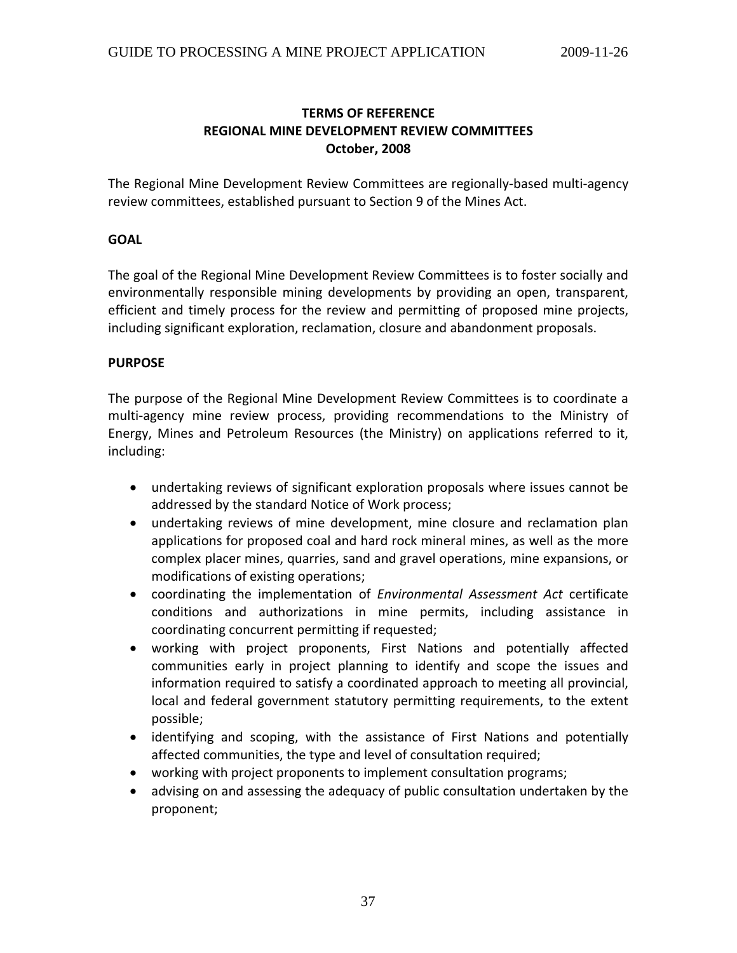### **TERMS OF REFERENCE REGIONAL MINE DEVELOPMENT REVIEW COMMITTEES October, 2008**

The Regional Mine Development Review Committees are regionally‐based multi‐agency review committees, established pursuant to Section 9 of the Mines Act.

#### **GOAL**

The goal of the Regional Mine Development Review Committees is to foster socially and environmentally responsible mining developments by providing an open, transparent, efficient and timely process for the review and permitting of proposed mine projects, including significant exploration, reclamation, closure and abandonment proposals.

#### **PURPOSE**

The purpose of the Regional Mine Development Review Committees is to coordinate a multi-agency mine review process, providing recommendations to the Ministry of Energy, Mines and Petroleum Resources (the Ministry) on applications referred to it, including:

- undertaking reviews of significant exploration proposals where issues cannot be addressed by the standard Notice of Work process;
- undertaking reviews of mine development, mine closure and reclamation plan applications for proposed coal and hard rock mineral mines, as well as the more complex placer mines, quarries, sand and gravel operations, mine expansions, or modifications of existing operations;
- coordinating the implementation of *Environmental Assessment Act* certificate conditions and authorizations in mine permits, including assistance in coordinating concurrent permitting if requested;
- working with project proponents, First Nations and potentially affected communities early in project planning to identify and scope the issues and information required to satisfy a coordinated approach to meeting all provincial, local and federal government statutory permitting requirements, to the extent possible;
- identifying and scoping, with the assistance of First Nations and potentially affected communities, the type and level of consultation required;
- working with project proponents to implement consultation programs;
- advising on and assessing the adequacy of public consultation undertaken by the proponent;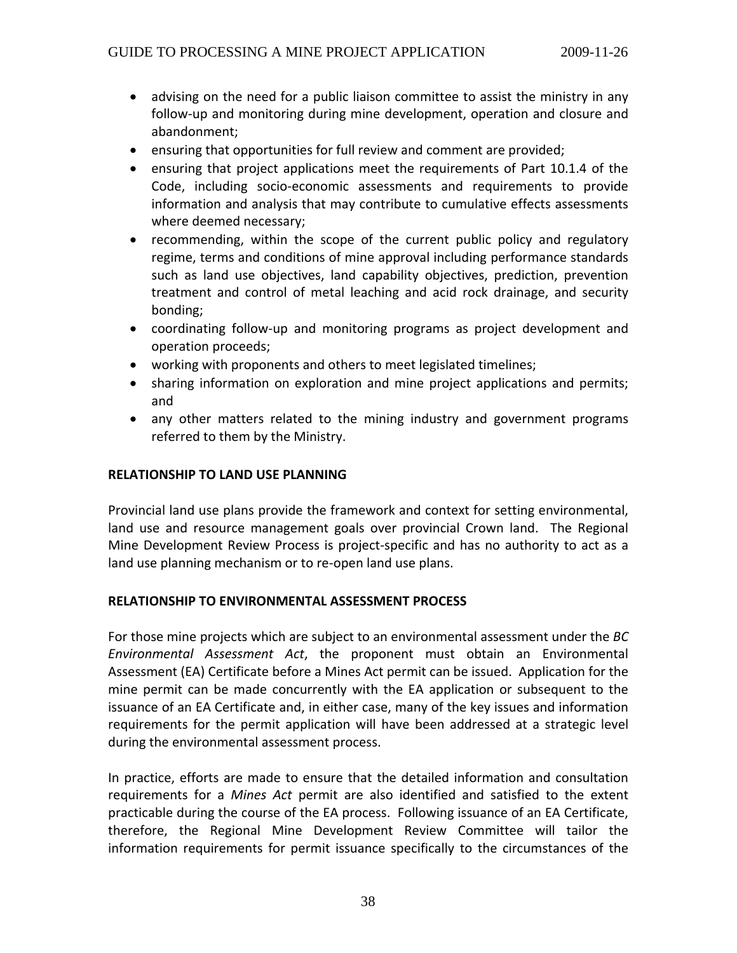- advising on the need for a public liaison committee to assist the ministry in any follow-up and monitoring during mine development, operation and closure and abandonment;
- ensuring that opportunities for full review and comment are provided;
- ensuring that project applications meet the requirements of Part 10.1.4 of the Code, including socio‐economic assessments and requirements to provide information and analysis that may contribute to cumulative effects assessments where deemed necessary;
- recommending, within the scope of the current public policy and regulatory regime, terms and conditions of mine approval including performance standards such as land use objectives, land capability objectives, prediction, prevention treatment and control of metal leaching and acid rock drainage, and security bonding;
- coordinating follow-up and monitoring programs as project development and operation proceeds;
- working with proponents and others to meet legislated timelines;
- sharing information on exploration and mine project applications and permits; and
- any other matters related to the mining industry and government programs referred to them by the Ministry.

#### **RELATIONSHIP TO LAND USE PLANNING**

Provincial land use plans provide the framework and context for setting environmental, land use and resource management goals over provincial Crown land. The Regional Mine Development Review Process is project‐specific and has no authority to act as a land use planning mechanism or to re‐open land use plans.

#### **RELATIONSHIP TO ENVIRONMENTAL ASSESSMENT PROCESS**

For those mine projects which are subject to an environmental assessment under the *BC Environmental Assessment Act*, the proponent must obtain an Environmental Assessment (EA) Certificate before a Mines Act permit can be issued. Application for the mine permit can be made concurrently with the EA application or subsequent to the issuance of an EA Certificate and, in either case, many of the key issues and information requirements for the permit application will have been addressed at a strategic level during the environmental assessment process.

In practice, efforts are made to ensure that the detailed information and consultation requirements for a *Mines Act* permit are also identified and satisfied to the extent practicable during the course of the EA process. Following issuance of an EA Certificate, therefore, the Regional Mine Development Review Committee will tailor the information requirements for permit issuance specifically to the circumstances of the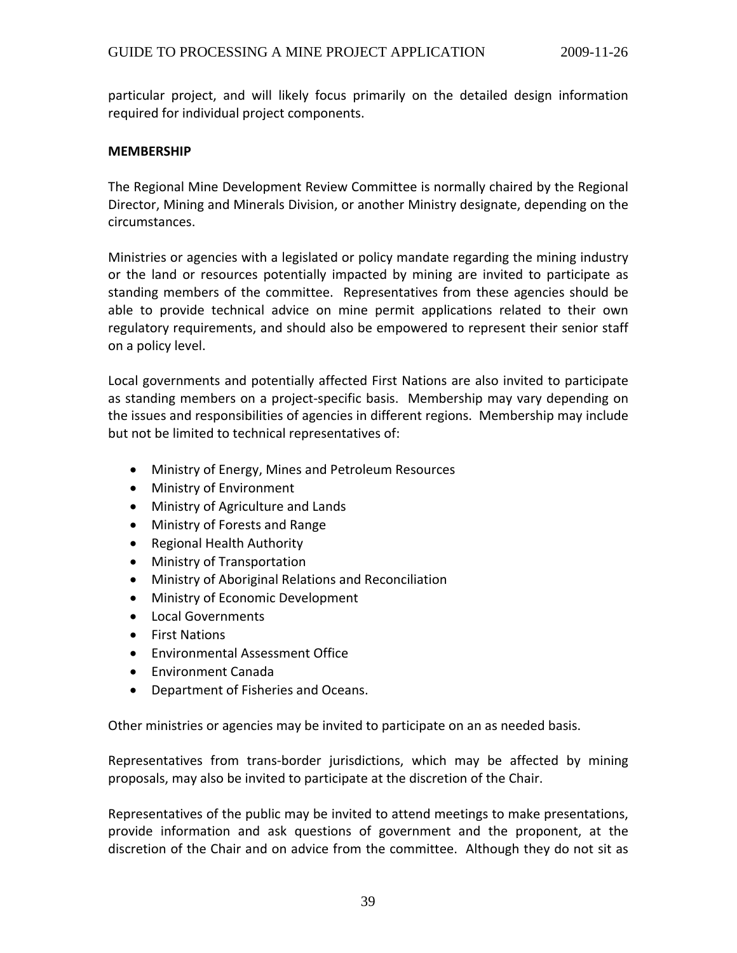particular project, and will likely focus primarily on the detailed design information required for individual project components.

#### **MEMBERSHIP**

The Regional Mine Development Review Committee is normally chaired by the Regional Director, Mining and Minerals Division, or another Ministry designate, depending on the circumstances.

Ministries or agencies with a legislated or policy mandate regarding the mining industry or the land or resources potentially impacted by mining are invited to participate as standing members of the committee. Representatives from these agencies should be able to provide technical advice on mine permit applications related to their own regulatory requirements, and should also be empowered to represent their senior staff on a policy level.

Local governments and potentially affected First Nations are also invited to participate as standing members on a project‐specific basis. Membership may vary depending on the issues and responsibilities of agencies in different regions. Membership may include but not be limited to technical representatives of:

- Ministry of Energy, Mines and Petroleum Resources
- Ministry of Environment
- Ministry of Agriculture and Lands
- Ministry of Forests and Range
- Regional Health Authority
- Ministry of Transportation
- Ministry of Aboriginal Relations and Reconciliation
- Ministry of Economic Development
- Local Governments
- First Nations
- Environmental Assessment Office
- Environment Canada
- Department of Fisheries and Oceans.

Other ministries or agencies may be invited to participate on an as needed basis.

Representatives from trans-border jurisdictions, which may be affected by mining proposals, may also be invited to participate at the discretion of the Chair.

Representatives of the public may be invited to attend meetings to make presentations, provide information and ask questions of government and the proponent, at the discretion of the Chair and on advice from the committee. Although they do not sit as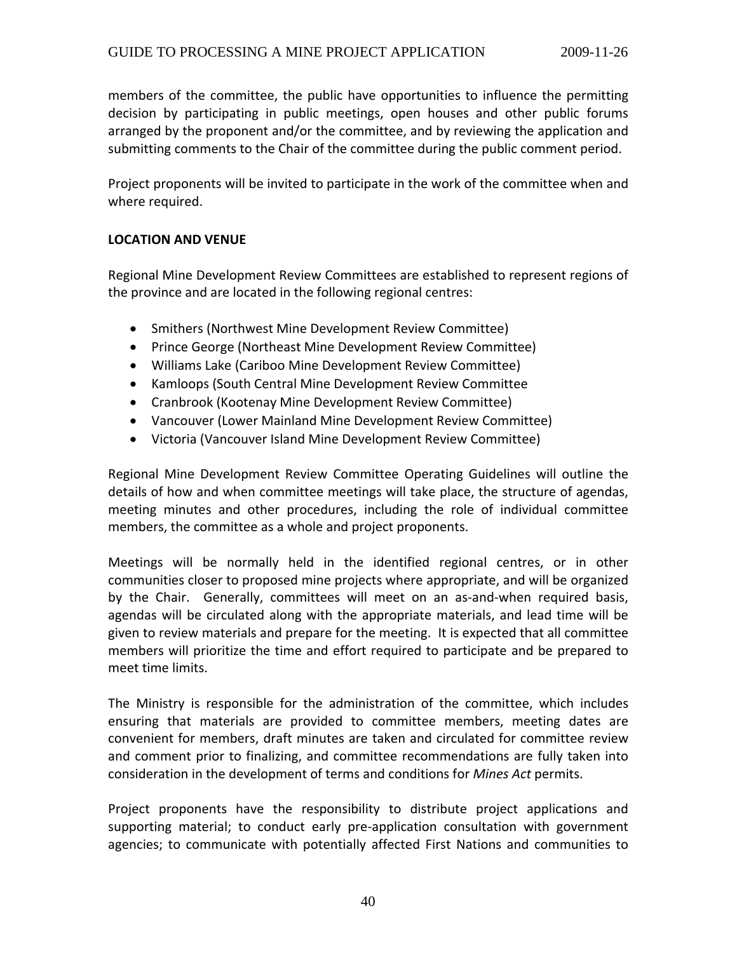members of the committee, the public have opportunities to influence the permitting decision by participating in public meetings, open houses and other public forums arranged by the proponent and/or the committee, and by reviewing the application and submitting comments to the Chair of the committee during the public comment period.

Project proponents will be invited to participate in the work of the committee when and where required.

#### **LOCATION AND VENUE**

Regional Mine Development Review Committees are established to represent regions of the province and are located in the following regional centres:

- Smithers (Northwest Mine Development Review Committee)
- Prince George (Northeast Mine Development Review Committee)
- Williams Lake (Cariboo Mine Development Review Committee)
- Kamloops (South Central Mine Development Review Committee
- Cranbrook (Kootenay Mine Development Review Committee)
- Vancouver (Lower Mainland Mine Development Review Committee)
- Victoria (Vancouver Island Mine Development Review Committee)

Regional Mine Development Review Committee Operating Guidelines will outline the details of how and when committee meetings will take place, the structure of agendas, meeting minutes and other procedures, including the role of individual committee members, the committee as a whole and project proponents.

Meetings will be normally held in the identified regional centres, or in other communities closer to proposed mine projects where appropriate, and will be organized by the Chair. Generally, committees will meet on an as-and-when required basis, agendas will be circulated along with the appropriate materials, and lead time will be given to review materials and prepare for the meeting. It is expected that all committee members will prioritize the time and effort required to participate and be prepared to meet time limits.

The Ministry is responsible for the administration of the committee, which includes ensuring that materials are provided to committee members, meeting dates are convenient for members, draft minutes are taken and circulated for committee review and comment prior to finalizing, and committee recommendations are fully taken into consideration in the development of terms and conditions for *Mines Act* permits.

Project proponents have the responsibility to distribute project applications and supporting material; to conduct early pre-application consultation with government agencies; to communicate with potentially affected First Nations and communities to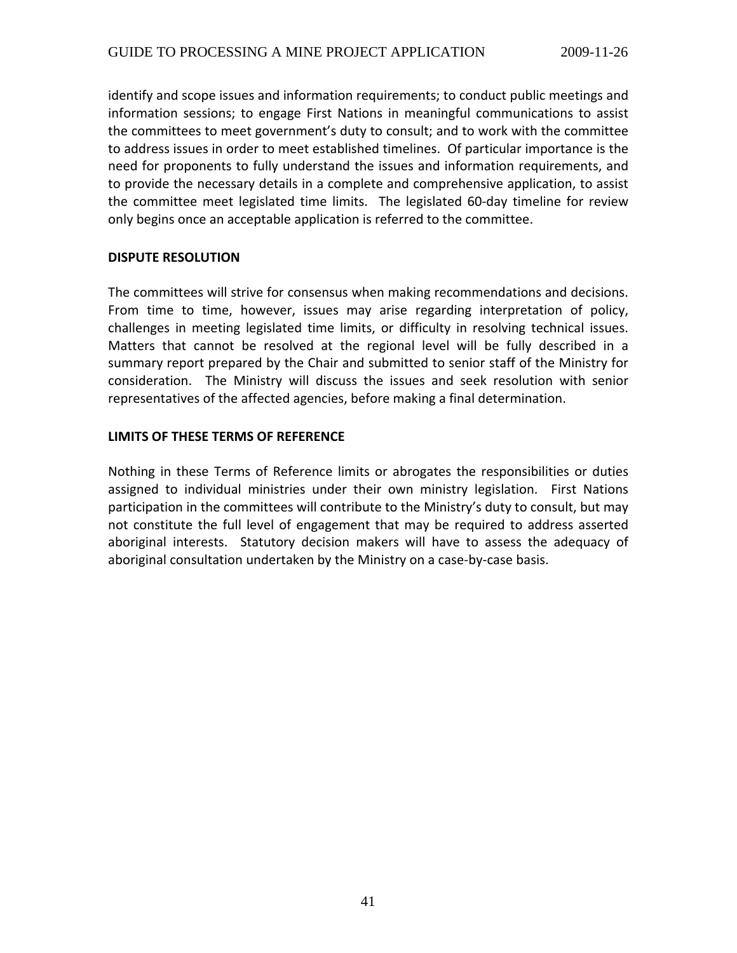identify and scope issues and information requirements; to conduct public meetings and information sessions; to engage First Nations in meaningful communications to assist the committees to meet government's duty to consult; and to work with the committee to address issues in order to meet established timelines. Of particular importance is the need for proponents to fully understand the issues and information requirements, and to provide the necessary details in a complete and comprehensive application, to assist the committee meet legislated time limits. The legislated 60‐day timeline for review only begins once an acceptable application is referred to the committee.

#### **DISPUTE RESOLUTION**

The committees will strive for consensus when making recommendations and decisions. From time to time, however, issues may arise regarding interpretation of policy, challenges in meeting legislated time limits, or difficulty in resolving technical issues. Matters that cannot be resolved at the regional level will be fully described in a summary report prepared by the Chair and submitted to senior staff of the Ministry for consideration. The Ministry will discuss the issues and seek resolution with senior representatives of the affected agencies, before making a final determination.

#### **LIMITS OF THESE TERMS OF REFERENCE**

Nothing in these Terms of Reference limits or abrogates the responsibilities or duties assigned to individual ministries under their own ministry legislation. First Nations participation in the committees will contribute to the Ministry's duty to consult, but may not constitute the full level of engagement that may be required to address asserted aboriginal interests. Statutory decision makers will have to assess the adequacy of aboriginal consultation undertaken by the Ministry on a case‐by‐case basis.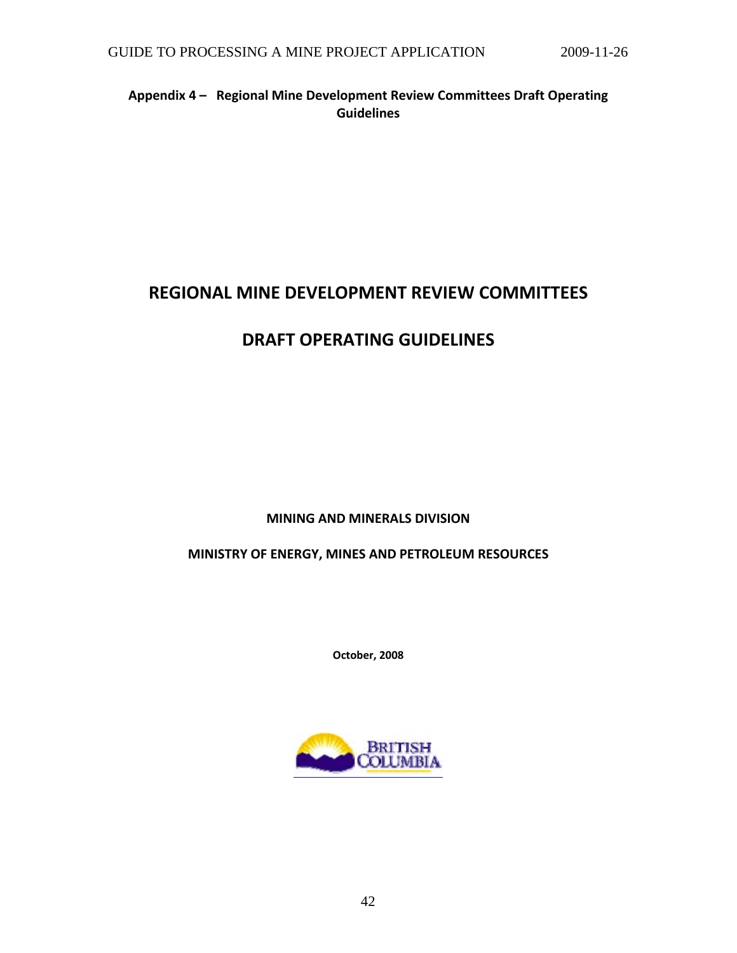### **Appendix 4 – Regional Mine Development Review Committees Draft Operating Guidelines**

# **REGIONAL MINE DEVELOPMENT REVIEW COMMITTEES**

# **DRAFT OPERATING GUIDELINES**

### **MINING AND MINERALS DIVISION**

### **MINISTRY OF ENERGY, MINES AND PETROLEUM RESOURCES**

**October, 2008**

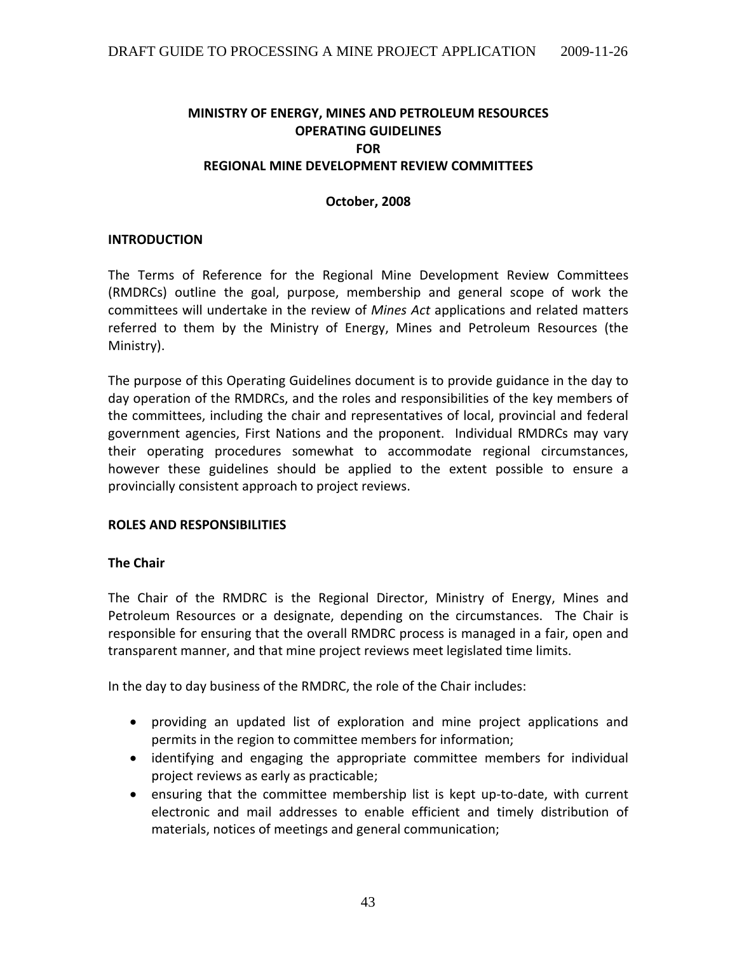### **MINISTRY OF ENERGY, MINES AND PETROLEUM RESOURCES OPERATING GUIDELINES FOR REGIONAL MINE DEVELOPMENT REVIEW COMMITTEES**

#### **October, 2008**

#### **INTRODUCTION**

The Terms of Reference for the Regional Mine Development Review Committees (RMDRCs) outline the goal, purpose, membership and general scope of work the committees will undertake in the review of *Mines Act* applications and related matters referred to them by the Ministry of Energy, Mines and Petroleum Resources (the Ministry).

The purpose of this Operating Guidelines document is to provide guidance in the day to day operation of the RMDRCs, and the roles and responsibilities of the key members of the committees, including the chair and representatives of local, provincial and federal government agencies, First Nations and the proponent. Individual RMDRCs may vary their operating procedures somewhat to accommodate regional circumstances, however these guidelines should be applied to the extent possible to ensure a provincially consistent approach to project reviews.

#### **ROLES AND RESPONSIBILITIES**

#### **The Chair**

The Chair of the RMDRC is the Regional Director, Ministry of Energy, Mines and Petroleum Resources or a designate, depending on the circumstances. The Chair is responsible for ensuring that the overall RMDRC process is managed in a fair, open and transparent manner, and that mine project reviews meet legislated time limits.

In the day to day business of the RMDRC, the role of the Chair includes:

- providing an updated list of exploration and mine project applications and permits in the region to committee members for information;
- identifying and engaging the appropriate committee members for individual project reviews as early as practicable;
- ensuring that the committee membership list is kept up-to-date, with current electronic and mail addresses to enable efficient and timely distribution of materials, notices of meetings and general communication;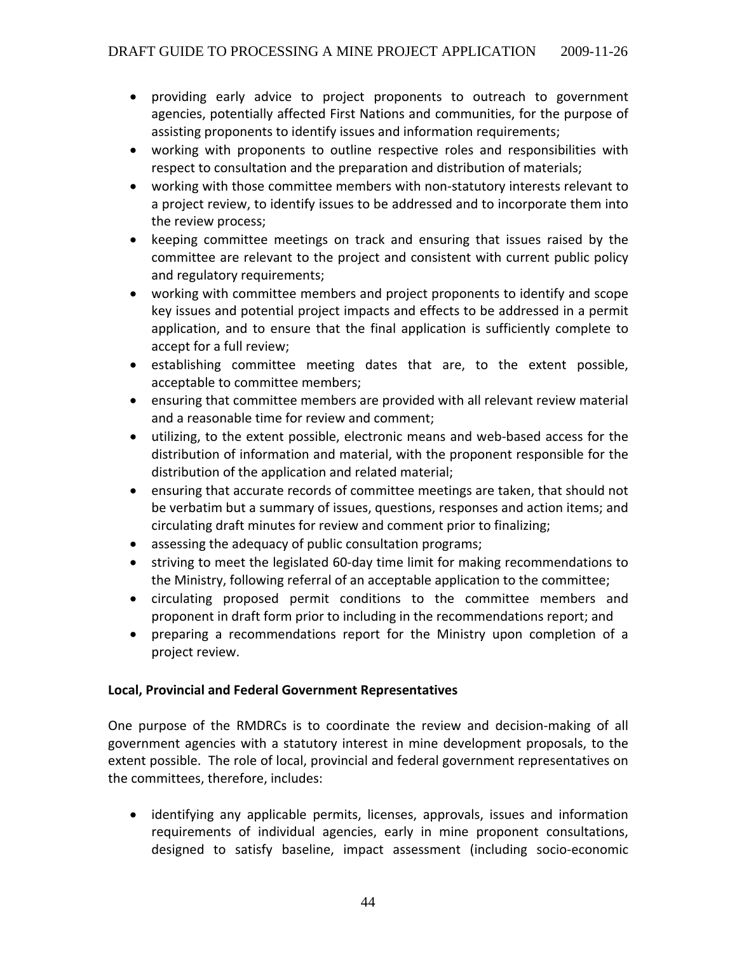- providing early advice to project proponents to outreach to government agencies, potentially affected First Nations and communities, for the purpose of assisting proponents to identify issues and information requirements;
- working with proponents to outline respective roles and responsibilities with respect to consultation and the preparation and distribution of materials;
- working with those committee members with non‐statutory interests relevant to a project review, to identify issues to be addressed and to incorporate them into the review process;
- keeping committee meetings on track and ensuring that issues raised by the committee are relevant to the project and consistent with current public policy and regulatory requirements;
- working with committee members and project proponents to identify and scope key issues and potential project impacts and effects to be addressed in a permit application, and to ensure that the final application is sufficiently complete to accept for a full review;
- establishing committee meeting dates that are, to the extent possible, acceptable to committee members;
- ensuring that committee members are provided with all relevant review material and a reasonable time for review and comment;
- utilizing, to the extent possible, electronic means and web‐based access for the distribution of information and material, with the proponent responsible for the distribution of the application and related material;
- ensuring that accurate records of committee meetings are taken, that should not be verbatim but a summary of issues, questions, responses and action items; and circulating draft minutes for review and comment prior to finalizing;
- assessing the adequacy of public consultation programs;
- striving to meet the legislated 60‐day time limit for making recommendations to the Ministry, following referral of an acceptable application to the committee;
- circulating proposed permit conditions to the committee members and proponent in draft form prior to including in the recommendations report; and
- preparing a recommendations report for the Ministry upon completion of a project review.

## **Local, Provincial and Federal Government Representatives**

One purpose of the RMDRCs is to coordinate the review and decision‐making of all government agencies with a statutory interest in mine development proposals, to the extent possible. The role of local, provincial and federal government representatives on the committees, therefore, includes:

• identifying any applicable permits, licenses, approvals, issues and information requirements of individual agencies, early in mine proponent consultations, designed to satisfy baseline, impact assessment (including socio‐economic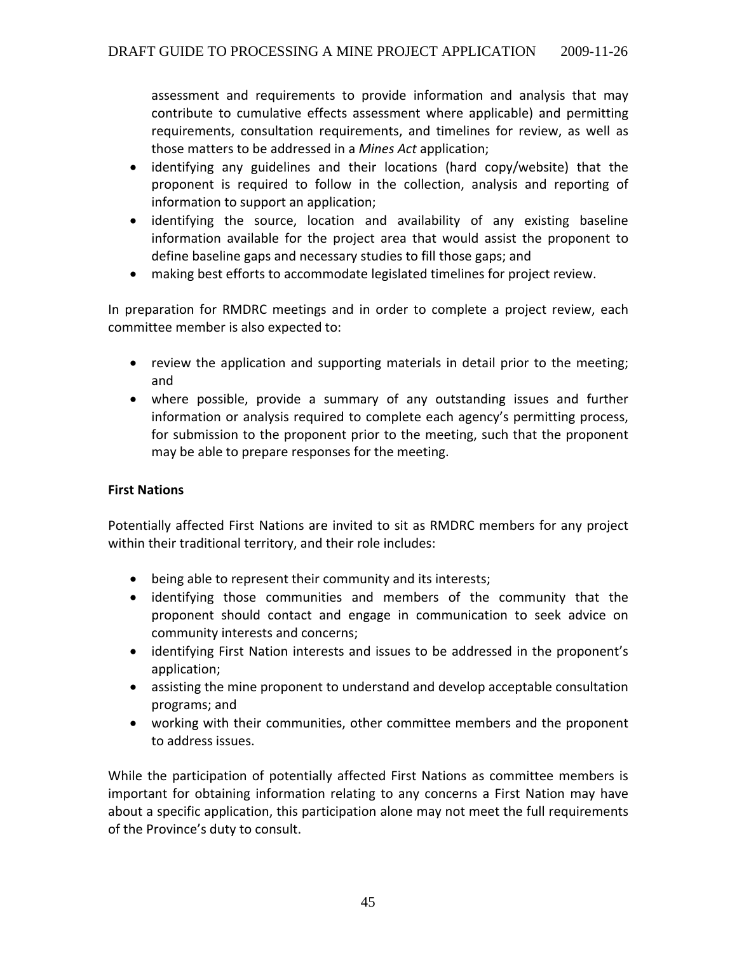assessment and requirements to provide information and analysis that may contribute to cumulative effects assessment where applicable) and permitting requirements, consultation requirements, and timelines for review, as well as those matters to be addressed in a *Mines Act* application;

- identifying any guidelines and their locations (hard copy/website) that the proponent is required to follow in the collection, analysis and reporting of information to support an application;
- identifying the source, location and availability of any existing baseline information available for the project area that would assist the proponent to define baseline gaps and necessary studies to fill those gaps; and
- making best efforts to accommodate legislated timelines for project review.

In preparation for RMDRC meetings and in order to complete a project review, each committee member is also expected to:

- review the application and supporting materials in detail prior to the meeting; and
- where possible, provide a summary of any outstanding issues and further information or analysis required to complete each agency's permitting process, for submission to the proponent prior to the meeting, such that the proponent may be able to prepare responses for the meeting.

## **First Nations**

Potentially affected First Nations are invited to sit as RMDRC members for any project within their traditional territory, and their role includes:

- being able to represent their community and its interests;
- identifying those communities and members of the community that the proponent should contact and engage in communication to seek advice on community interests and concerns;
- identifying First Nation interests and issues to be addressed in the proponent's application;
- assisting the mine proponent to understand and develop acceptable consultation programs; and
- working with their communities, other committee members and the proponent to address issues.

While the participation of potentially affected First Nations as committee members is important for obtaining information relating to any concerns a First Nation may have about a specific application, this participation alone may not meet the full requirements of the Province's duty to consult.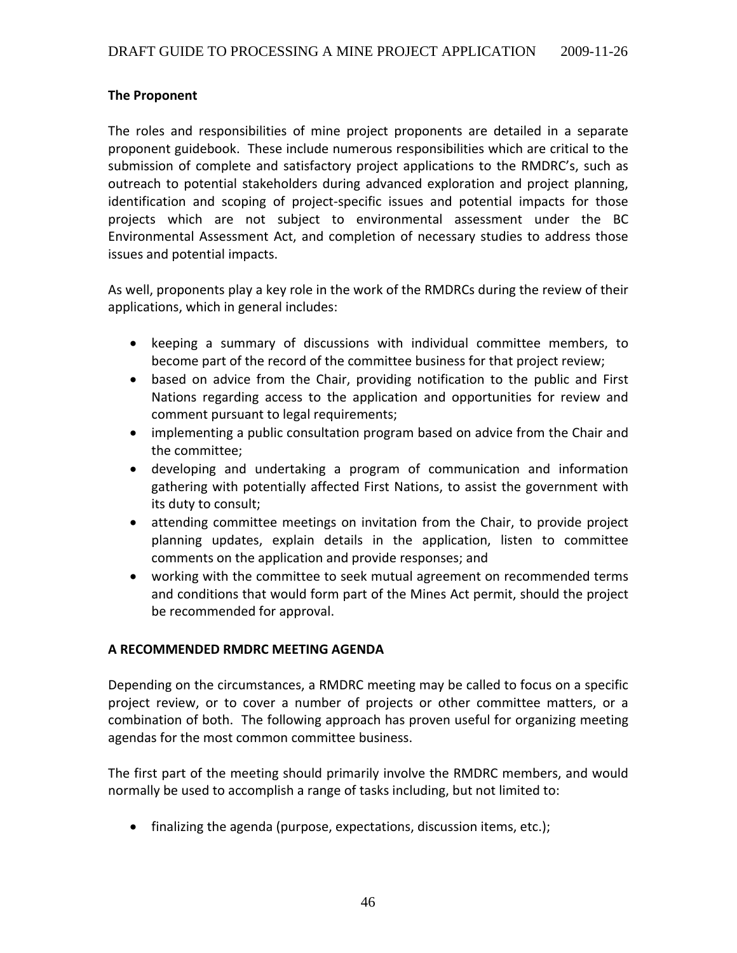#### **The Proponent**

The roles and responsibilities of mine project proponents are detailed in a separate proponent guidebook. These include numerous responsibilities which are critical to the submission of complete and satisfactory project applications to the RMDRC's, such as outreach to potential stakeholders during advanced exploration and project planning, identification and scoping of project-specific issues and potential impacts for those projects which are not subject to environmental assessment under the BC Environmental Assessment Act, and completion of necessary studies to address those issues and potential impacts.

As well, proponents play a key role in the work of the RMDRCs during the review of their applications, which in general includes:

- keeping a summary of discussions with individual committee members, to become part of the record of the committee business for that project review;
- based on advice from the Chair, providing notification to the public and First Nations regarding access to the application and opportunities for review and comment pursuant to legal requirements;
- implementing a public consultation program based on advice from the Chair and the committee;
- developing and undertaking a program of communication and information gathering with potentially affected First Nations, to assist the government with its duty to consult;
- attending committee meetings on invitation from the Chair, to provide project planning updates, explain details in the application, listen to committee comments on the application and provide responses; and
- working with the committee to seek mutual agreement on recommended terms and conditions that would form part of the Mines Act permit, should the project be recommended for approval.

### **A RECOMMENDED RMDRC MEETING AGENDA**

Depending on the circumstances, a RMDRC meeting may be called to focus on a specific project review, or to cover a number of projects or other committee matters, or a combination of both. The following approach has proven useful for organizing meeting agendas for the most common committee business.

The first part of the meeting should primarily involve the RMDRC members, and would normally be used to accomplish a range of tasks including, but not limited to:

• finalizing the agenda (purpose, expectations, discussion items, etc.);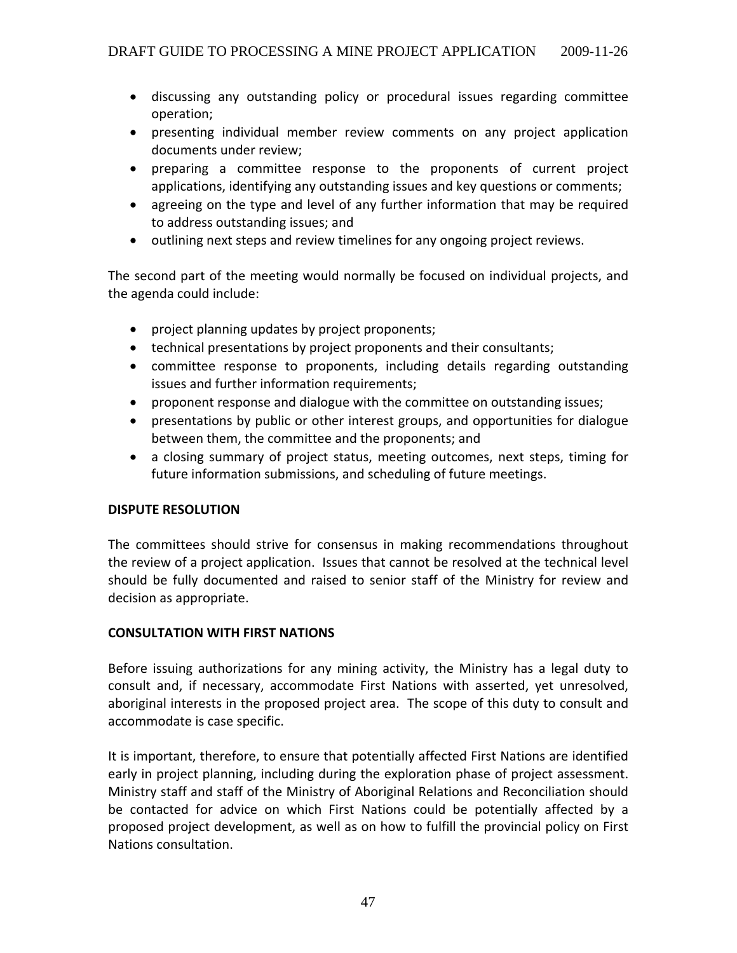- discussing any outstanding policy or procedural issues regarding committee operation;
- presenting individual member review comments on any project application documents under review;
- preparing a committee response to the proponents of current project applications, identifying any outstanding issues and key questions or comments;
- agreeing on the type and level of any further information that may be required to address outstanding issues; and
- outlining next steps and review timelines for any ongoing project reviews.

The second part of the meeting would normally be focused on individual projects, and the agenda could include:

- project planning updates by project proponents;
- technical presentations by project proponents and their consultants;
- committee response to proponents, including details regarding outstanding issues and further information requirements;
- proponent response and dialogue with the committee on outstanding issues;
- presentations by public or other interest groups, and opportunities for dialogue between them, the committee and the proponents; and
- a closing summary of project status, meeting outcomes, next steps, timing for future information submissions, and scheduling of future meetings.

### **DISPUTE RESOLUTION**

The committees should strive for consensus in making recommendations throughout the review of a project application. Issues that cannot be resolved at the technical level should be fully documented and raised to senior staff of the Ministry for review and decision as appropriate.

### **CONSULTATION WITH FIRST NATIONS**

Before issuing authorizations for any mining activity, the Ministry has a legal duty to consult and, if necessary, accommodate First Nations with asserted, yet unresolved, aboriginal interests in the proposed project area. The scope of this duty to consult and accommodate is case specific.

It is important, therefore, to ensure that potentially affected First Nations are identified early in project planning, including during the exploration phase of project assessment. Ministry staff and staff of the Ministry of Aboriginal Relations and Reconciliation should be contacted for advice on which First Nations could be potentially affected by a proposed project development, as well as on how to fulfill the provincial policy on First Nations consultation.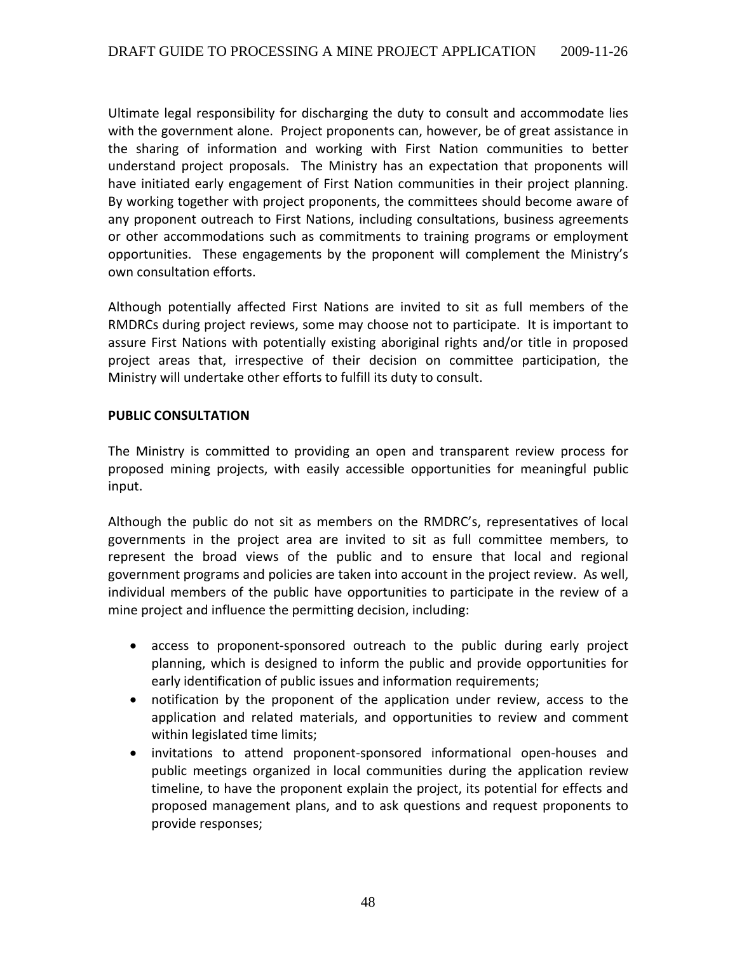Ultimate legal responsibility for discharging the duty to consult and accommodate lies with the government alone. Project proponents can, however, be of great assistance in the sharing of information and working with First Nation communities to better understand project proposals. The Ministry has an expectation that proponents will have initiated early engagement of First Nation communities in their project planning. By working together with project proponents, the committees should become aware of any proponent outreach to First Nations, including consultations, business agreements or other accommodations such as commitments to training programs or employment opportunities. These engagements by the proponent will complement the Ministry's own consultation efforts.

Although potentially affected First Nations are invited to sit as full members of the RMDRCs during project reviews, some may choose not to participate. It is important to assure First Nations with potentially existing aboriginal rights and/or title in proposed project areas that, irrespective of their decision on committee participation, the Ministry will undertake other efforts to fulfill its duty to consult.

#### **PUBLIC CONSULTATION**

The Ministry is committed to providing an open and transparent review process for proposed mining projects, with easily accessible opportunities for meaningful public input.

Although the public do not sit as members on the RMDRC's, representatives of local governments in the project area are invited to sit as full committee members, to represent the broad views of the public and to ensure that local and regional government programs and policies are taken into account in the project review. As well, individual members of the public have opportunities to participate in the review of a mine project and influence the permitting decision, including:

- access to proponent‐sponsored outreach to the public during early project planning, which is designed to inform the public and provide opportunities for early identification of public issues and information requirements;
- notification by the proponent of the application under review, access to the application and related materials, and opportunities to review and comment within legislated time limits;
- invitations to attend proponent‐sponsored informational open‐houses and public meetings organized in local communities during the application review timeline, to have the proponent explain the project, its potential for effects and proposed management plans, and to ask questions and request proponents to provide responses;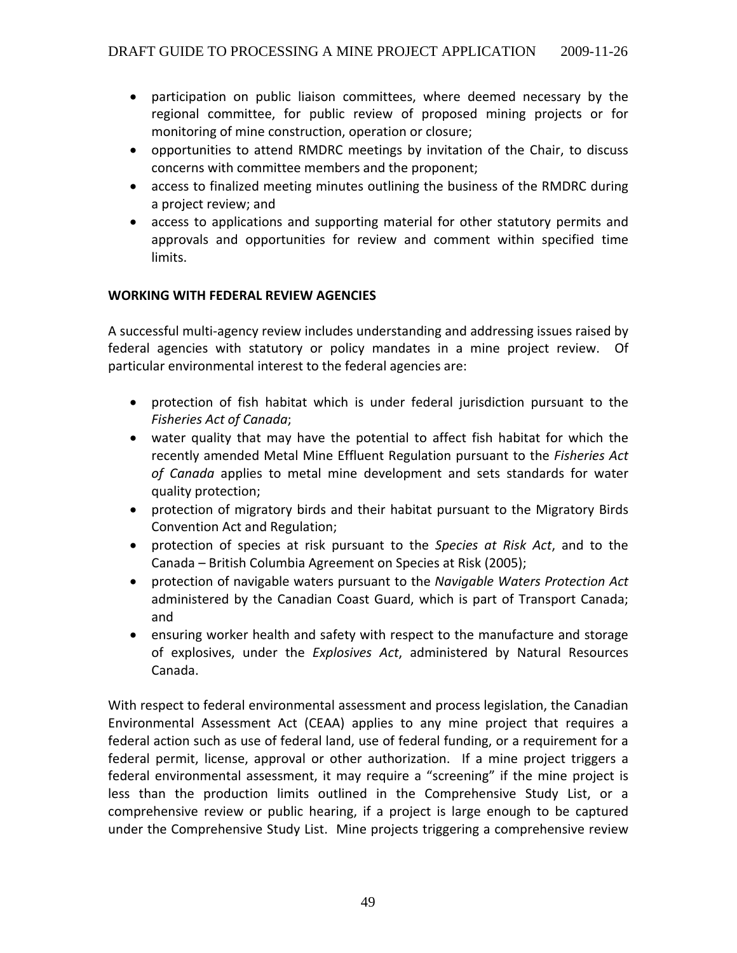- participation on public liaison committees, where deemed necessary by the regional committee, for public review of proposed mining projects or for monitoring of mine construction, operation or closure;
- opportunities to attend RMDRC meetings by invitation of the Chair, to discuss concerns with committee members and the proponent;
- access to finalized meeting minutes outlining the business of the RMDRC during a project review; and
- access to applications and supporting material for other statutory permits and approvals and opportunities for review and comment within specified time limits.

### **WORKING WITH FEDERAL REVIEW AGENCIES**

A successful multi‐agency review includes understanding and addressing issues raised by federal agencies with statutory or policy mandates in a mine project review. Of particular environmental interest to the federal agencies are:

- protection of fish habitat which is under federal jurisdiction pursuant to the *Fisheries Act of Canada*;
- water quality that may have the potential to affect fish habitat for which the recently amended Metal Mine Effluent Regulation pursuant to the *Fisheries Act of Canada* applies to metal mine development and sets standards for water quality protection;
- protection of migratory birds and their habitat pursuant to the Migratory Birds Convention Act and Regulation;
- protection of species at risk pursuant to the *Species at Risk Act*, and to the Canada – British Columbia Agreement on Species at Risk (2005);
- protection of navigable waters pursuant to the *Navigable Waters Protection Act* administered by the Canadian Coast Guard, which is part of Transport Canada; and
- ensuring worker health and safety with respect to the manufacture and storage of explosives, under the *Explosives Act*, administered by Natural Resources Canada.

With respect to federal environmental assessment and process legislation, the Canadian Environmental Assessment Act (CEAA) applies to any mine project that requires a federal action such as use of federal land, use of federal funding, or a requirement for a federal permit, license, approval or other authorization. If a mine project triggers a federal environmental assessment, it may require a "screening" if the mine project is less than the production limits outlined in the Comprehensive Study List, or a comprehensive review or public hearing, if a project is large enough to be captured under the Comprehensive Study List. Mine projects triggering a comprehensive review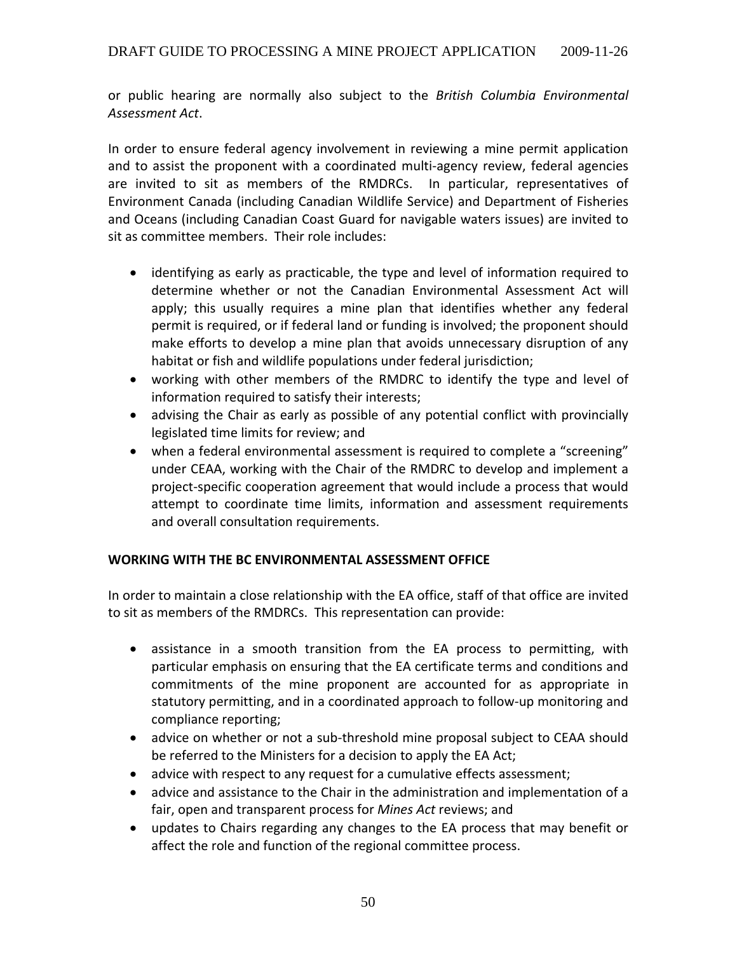or public hearing are normally also subject to the *British Columbia Environmental Assessment Act*.

In order to ensure federal agency involvement in reviewing a mine permit application and to assist the proponent with a coordinated multi-agency review, federal agencies are invited to sit as members of the RMDRCs. In particular, representatives of Environment Canada (including Canadian Wildlife Service) and Department of Fisheries and Oceans (including Canadian Coast Guard for navigable waters issues) are invited to sit as committee members. Their role includes:

- identifying as early as practicable, the type and level of information required to determine whether or not the Canadian Environmental Assessment Act will apply; this usually requires a mine plan that identifies whether any federal permit is required, or if federal land or funding is involved; the proponent should make efforts to develop a mine plan that avoids unnecessary disruption of any habitat or fish and wildlife populations under federal jurisdiction;
- working with other members of the RMDRC to identify the type and level of information required to satisfy their interests;
- advising the Chair as early as possible of any potential conflict with provincially legislated time limits for review; and
- when a federal environmental assessment is required to complete a "screening" under CEAA, working with the Chair of the RMDRC to develop and implement a project‐specific cooperation agreement that would include a process that would attempt to coordinate time limits, information and assessment requirements and overall consultation requirements.

### **WORKING WITH THE BC ENVIRONMENTAL ASSESSMENT OFFICE**

In order to maintain a close relationship with the EA office, staff of that office are invited to sit as members of the RMDRCs. This representation can provide:

- assistance in a smooth transition from the EA process to permitting, with particular emphasis on ensuring that the EA certificate terms and conditions and commitments of the mine proponent are accounted for as appropriate in statutory permitting, and in a coordinated approach to follow‐up monitoring and compliance reporting;
- advice on whether or not a sub-threshold mine proposal subject to CEAA should be referred to the Ministers for a decision to apply the EA Act;
- advice with respect to any request for a cumulative effects assessment;
- advice and assistance to the Chair in the administration and implementation of a fair, open and transparent process for *Mines Act* reviews; and
- updates to Chairs regarding any changes to the EA process that may benefit or affect the role and function of the regional committee process.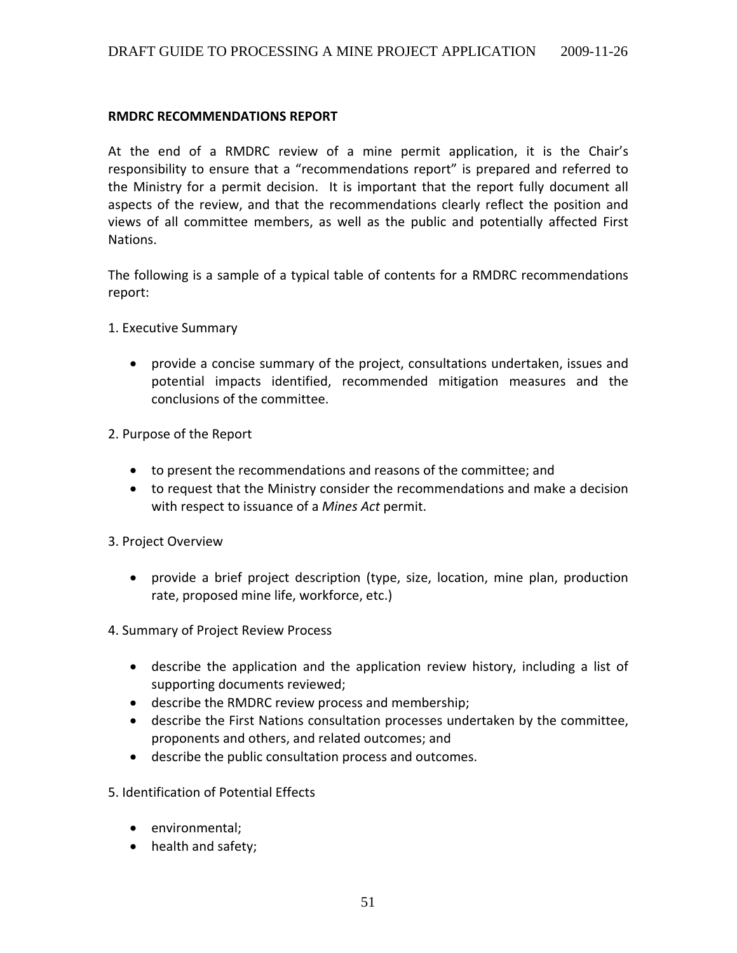#### **RMDRC RECOMMENDATIONS REPORT**

At the end of a RMDRC review of a mine permit application, it is the Chair's responsibility to ensure that a "recommendations report" is prepared and referred to the Ministry for a permit decision. It is important that the report fully document all aspects of the review, and that the recommendations clearly reflect the position and views of all committee members, as well as the public and potentially affected First Nations.

The following is a sample of a typical table of contents for a RMDRC recommendations report:

- 1. Executive Summary
	- provide a concise summary of the project, consultations undertaken, issues and potential impacts identified, recommended mitigation measures and the conclusions of the committee.
- 2. Purpose of the Report
	- to present the recommendations and reasons of the committee; and
	- to request that the Ministry consider the recommendations and make a decision with respect to issuance of a *Mines Act* permit.
- 3. Project Overview
	- provide a brief project description (type, size, location, mine plan, production rate, proposed mine life, workforce, etc.)
- 4. Summary of Project Review Process
	- describe the application and the application review history, including a list of supporting documents reviewed;
	- describe the RMDRC review process and membership;
	- describe the First Nations consultation processes undertaken by the committee, proponents and others, and related outcomes; and
	- describe the public consultation process and outcomes.

5. Identification of Potential Effects

- environmental;
- health and safety;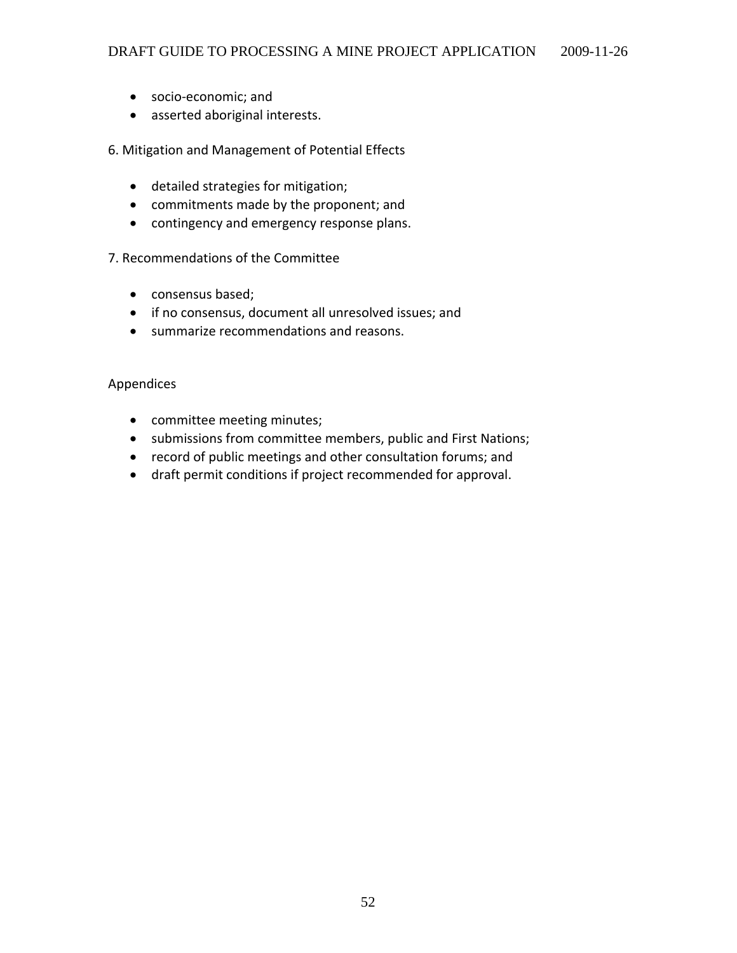- socio‐economic; and
- asserted aboriginal interests.

#### 6. Mitigation and Management of Potential Effects

- detailed strategies for mitigation;
- commitments made by the proponent; and
- contingency and emergency response plans.

#### 7. Recommendations of the Committee

- consensus based;
- if no consensus, document all unresolved issues; and
- summarize recommendations and reasons.

#### Appendices

- committee meeting minutes;
- submissions from committee members, public and First Nations;
- record of public meetings and other consultation forums; and
- draft permit conditions if project recommended for approval.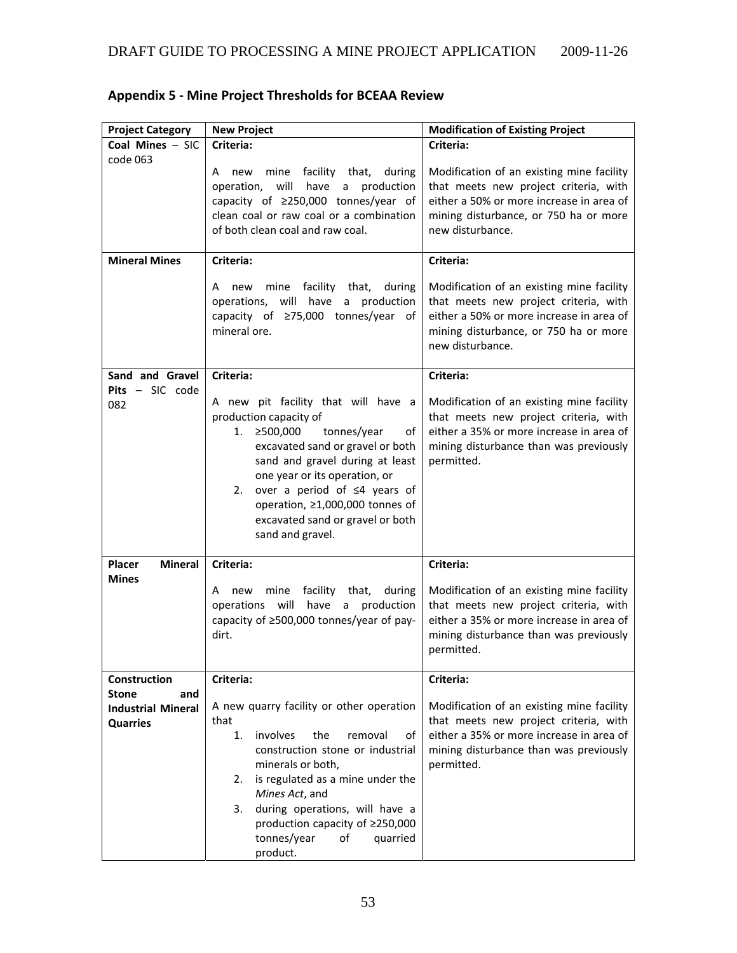| <b>Project Category</b>                                             | <b>New Project</b>                                                                                                                                                                                                                                                                                                                                  | <b>Modification of Existing Project</b>                                                                                                                                                     |  |  |
|---------------------------------------------------------------------|-----------------------------------------------------------------------------------------------------------------------------------------------------------------------------------------------------------------------------------------------------------------------------------------------------------------------------------------------------|---------------------------------------------------------------------------------------------------------------------------------------------------------------------------------------------|--|--|
| Coal Mines - SIC                                                    | Criteria:                                                                                                                                                                                                                                                                                                                                           | Criteria:                                                                                                                                                                                   |  |  |
| code 063                                                            | mine<br>facility that,<br>during<br>A new<br>operation,<br>will<br>have<br>a production<br>capacity of ≥250,000 tonnes/year of<br>clean coal or raw coal or a combination<br>of both clean coal and raw coal.                                                                                                                                       | Modification of an existing mine facility<br>that meets new project criteria, with<br>either a 50% or more increase in area of<br>mining disturbance, or 750 ha or more<br>new disturbance. |  |  |
| <b>Mineral Mines</b>                                                | Criteria:                                                                                                                                                                                                                                                                                                                                           | Criteria:                                                                                                                                                                                   |  |  |
|                                                                     | new mine facility that,<br>during<br>A<br>operations, will have a production<br>capacity of ≥75,000 tonnes/year of<br>mineral ore.                                                                                                                                                                                                                  | Modification of an existing mine facility<br>that meets new project criteria, with<br>either a 50% or more increase in area of<br>mining disturbance, or 750 ha or more<br>new disturbance. |  |  |
| Sand and Gravel                                                     | Criteria:                                                                                                                                                                                                                                                                                                                                           | Criteria:                                                                                                                                                                                   |  |  |
| Pits - SIC code<br>082                                              | A new pit facility that will have a<br>production capacity of<br>tonnes/year<br>≥500,000<br>1.<br>οf<br>excavated sand or gravel or both<br>sand and gravel during at least<br>one year or its operation, or<br>over a period of $\leq 4$ years of<br>2.<br>operation, ≥1,000,000 tonnes of<br>excavated sand or gravel or both<br>sand and gravel. | Modification of an existing mine facility<br>that meets new project criteria, with<br>either a 35% or more increase in area of<br>mining disturbance than was previously<br>permitted.      |  |  |
| <b>Mineral</b><br>Placer                                            | Criteria:                                                                                                                                                                                                                                                                                                                                           | Criteria:                                                                                                                                                                                   |  |  |
| <b>Mines</b>                                                        | mine<br>facility<br>that,<br>during<br>A new<br>operations will<br>have a production<br>capacity of ≥500,000 tonnes/year of pay-<br>dirt.                                                                                                                                                                                                           | Modification of an existing mine facility<br>that meets new project criteria, with<br>either a 35% or more increase in area of<br>mining disturbance than was previously<br>permitted.      |  |  |
| Construction                                                        | Criteria:                                                                                                                                                                                                                                                                                                                                           | Criteria:                                                                                                                                                                                   |  |  |
| <b>Stone</b><br>and<br><b>Industrial Mineral</b><br><b>Quarries</b> | A new quarry facility or other operation<br>that<br>involves<br>the<br>1.<br>removal<br>of<br>construction stone or industrial<br>minerals or both,<br>is regulated as a mine under the<br>2.<br>Mines Act, and<br>during operations, will have a<br>3.<br>production capacity of ≥250,000<br>tonnes/year<br>of<br>quarried<br>product.             | Modification of an existing mine facility<br>that meets new project criteria, with<br>either a 35% or more increase in area of<br>mining disturbance than was previously<br>permitted.      |  |  |

# **Appendix 5 ‐ Mine Project Thresholds for BCEAA Review**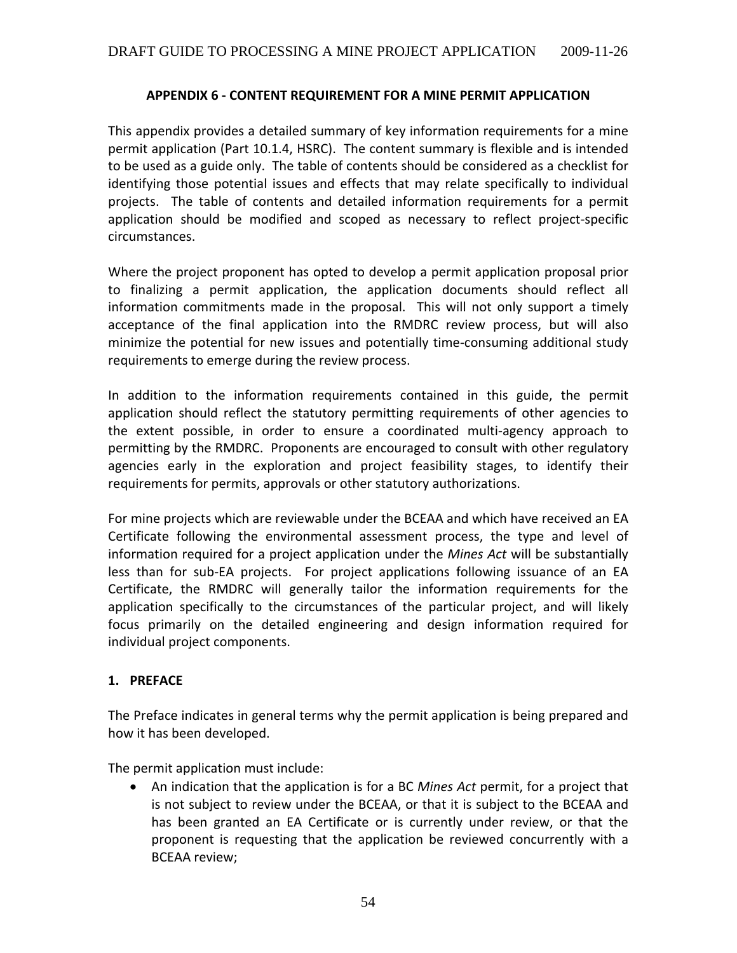#### **APPENDIX 6 ‐ CONTENT REQUIREMENT FOR A MINE PERMIT APPLICATION**

This appendix provides a detailed summary of key information requirements for a mine permit application (Part 10.1.4, HSRC). The content summary is flexible and is intended to be used as a guide only. The table of contents should be considered as a checklist for identifying those potential issues and effects that may relate specifically to individual projects. The table of contents and detailed information requirements for a permit application should be modified and scoped as necessary to reflect project‐specific circumstances.

Where the project proponent has opted to develop a permit application proposal prior to finalizing a permit application, the application documents should reflect all information commitments made in the proposal. This will not only support a timely acceptance of the final application into the RMDRC review process, but will also minimize the potential for new issues and potentially time‐consuming additional study requirements to emerge during the review process.

In addition to the information requirements contained in this guide, the permit application should reflect the statutory permitting requirements of other agencies to the extent possible, in order to ensure a coordinated multi‐agency approach to permitting by the RMDRC. Proponents are encouraged to consult with other regulatory agencies early in the exploration and project feasibility stages, to identify their requirements for permits, approvals or other statutory authorizations.

For mine projects which are reviewable under the BCEAA and which have received an EA Certificate following the environmental assessment process, the type and level of information required for a project application under the *Mines Act* will be substantially less than for sub-EA projects. For project applications following issuance of an EA Certificate, the RMDRC will generally tailor the information requirements for the application specifically to the circumstances of the particular project, and will likely focus primarily on the detailed engineering and design information required for individual project components.

### **1. PREFACE**

The Preface indicates in general terms why the permit application is being prepared and how it has been developed.

The permit application must include:

• An indication that the application is for a BC *Mines Act* permit, for a project that is not subject to review under the BCEAA, or that it is subject to the BCEAA and has been granted an EA Certificate or is currently under review, or that the proponent is requesting that the application be reviewed concurrently with a BCEAA review;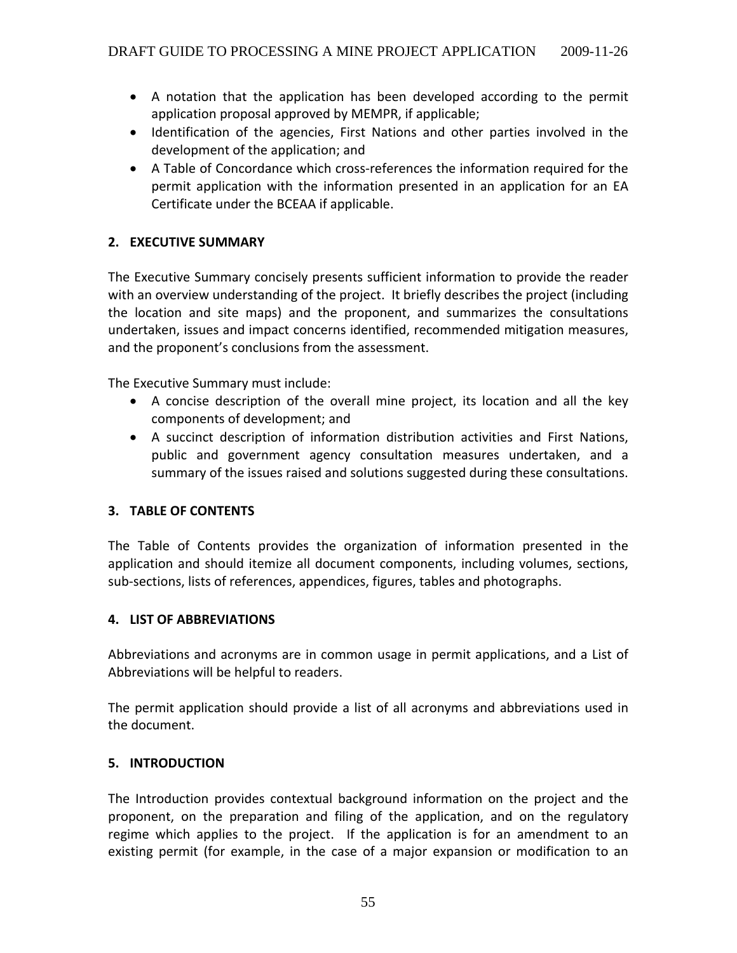- A notation that the application has been developed according to the permit application proposal approved by MEMPR, if applicable;
- Identification of the agencies, First Nations and other parties involved in the development of the application; and
- A Table of Concordance which cross‐references the information required for the permit application with the information presented in an application for an EA Certificate under the BCEAA if applicable.

### **2. EXECUTIVE SUMMARY**

The Executive Summary concisely presents sufficient information to provide the reader with an overview understanding of the project. It briefly describes the project (including the location and site maps) and the proponent, and summarizes the consultations undertaken, issues and impact concerns identified, recommended mitigation measures, and the proponent's conclusions from the assessment.

The Executive Summary must include:

- A concise description of the overall mine project, its location and all the key components of development; and
- A succinct description of information distribution activities and First Nations, public and government agency consultation measures undertaken, and a summary of the issues raised and solutions suggested during these consultations.

### **3. TABLE OF CONTENTS**

The Table of Contents provides the organization of information presented in the application and should itemize all document components, including volumes, sections, sub‐sections, lists of references, appendices, figures, tables and photographs.

### **4. LIST OF ABBREVIATIONS**

Abbreviations and acronyms are in common usage in permit applications, and a List of Abbreviations will be helpful to readers.

The permit application should provide a list of all acronyms and abbreviations used in the document.

#### **5. INTRODUCTION**

The Introduction provides contextual background information on the project and the proponent, on the preparation and filing of the application, and on the regulatory regime which applies to the project. If the application is for an amendment to an existing permit (for example, in the case of a major expansion or modification to an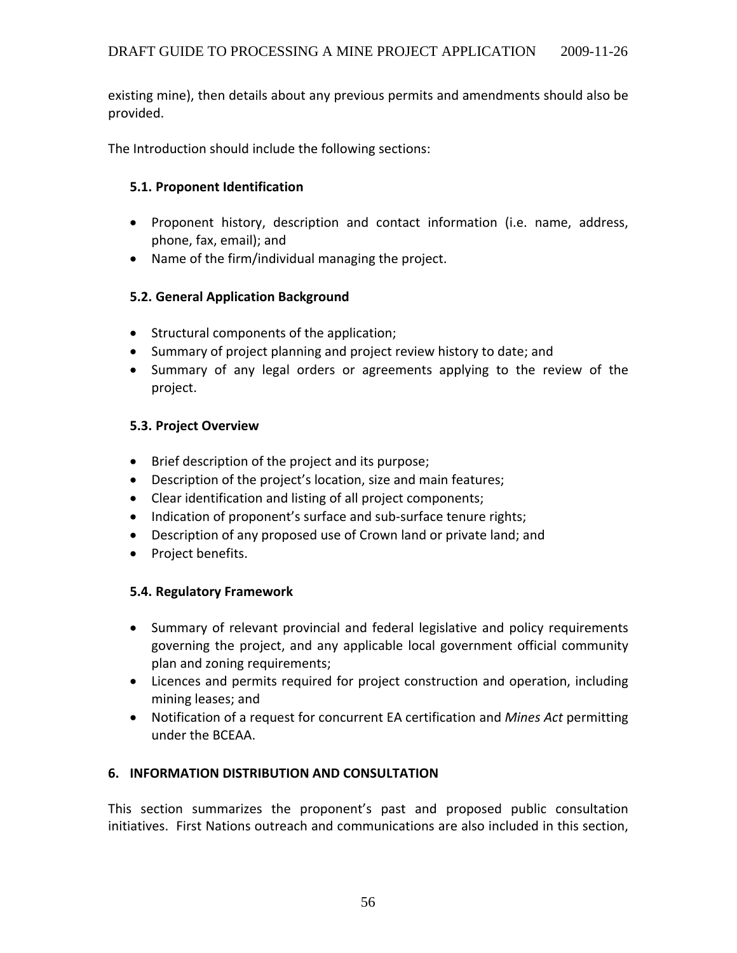existing mine), then details about any previous permits and amendments should also be provided.

The Introduction should include the following sections:

### **5.1. Proponent Identification**

- Proponent history, description and contact information (i.e. name, address, phone, fax, email); and
- Name of the firm/individual managing the project.

### **5.2. General Application Background**

- Structural components of the application;
- Summary of project planning and project review history to date; and
- Summary of any legal orders or agreements applying to the review of the project.

### **5.3. Project Overview**

- Brief description of the project and its purpose;
- Description of the project's location, size and main features;
- Clear identification and listing of all project components;
- Indication of proponent's surface and sub-surface tenure rights;
- Description of any proposed use of Crown land or private land; and
- Project benefits.

### **5.4. Regulatory Framework**

- Summary of relevant provincial and federal legislative and policy requirements governing the project, and any applicable local government official community plan and zoning requirements;
- Licences and permits required for project construction and operation, including mining leases; and
- Notification of a request for concurrent EA certification and *Mines Act* permitting under the BCEAA.

## **6. INFORMATION DISTRIBUTION AND CONSULTATION**

This section summarizes the proponent's past and proposed public consultation initiatives. First Nations outreach and communications are also included in this section,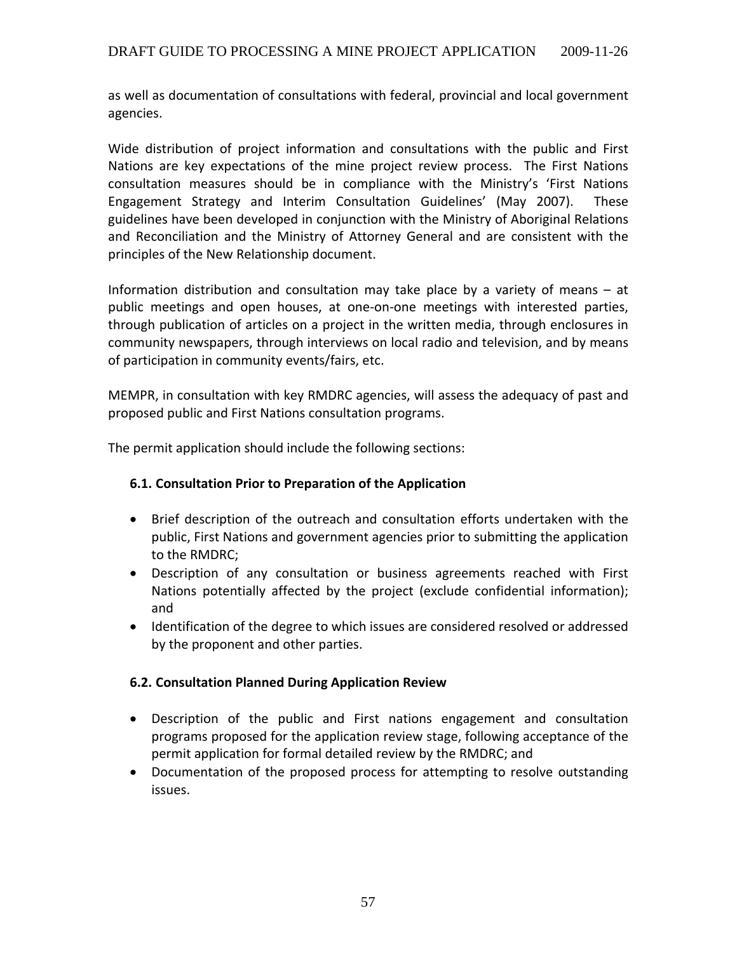as well as documentation of consultations with federal, provincial and local government agencies.

Wide distribution of project information and consultations with the public and First Nations are key expectations of the mine project review process. The First Nations consultation measures should be in compliance with the Ministry's 'First Nations Engagement Strategy and Interim Consultation Guidelines' (May 2007). These guidelines have been developed in conjunction with the Ministry of Aboriginal Relations and Reconciliation and the Ministry of Attorney General and are consistent with the principles of the New Relationship document.

Information distribution and consultation may take place by a variety of means – at public meetings and open houses, at one‐on‐one meetings with interested parties, through publication of articles on a project in the written media, through enclosures in community newspapers, through interviews on local radio and television, and by means of participation in community events/fairs, etc.

MEMPR, in consultation with key RMDRC agencies, will assess the adequacy of past and proposed public and First Nations consultation programs.

The permit application should include the following sections:

### **6.1. Consultation Prior to Preparation of the Application**

- Brief description of the outreach and consultation efforts undertaken with the public, First Nations and government agencies prior to submitting the application to the RMDRC;
- Description of any consultation or business agreements reached with First Nations potentially affected by the project (exclude confidential information); and
- Identification of the degree to which issues are considered resolved or addressed by the proponent and other parties.

### **6.2. Consultation Planned During Application Review**

- Description of the public and First nations engagement and consultation programs proposed for the application review stage, following acceptance of the permit application for formal detailed review by the RMDRC; and
- Documentation of the proposed process for attempting to resolve outstanding issues.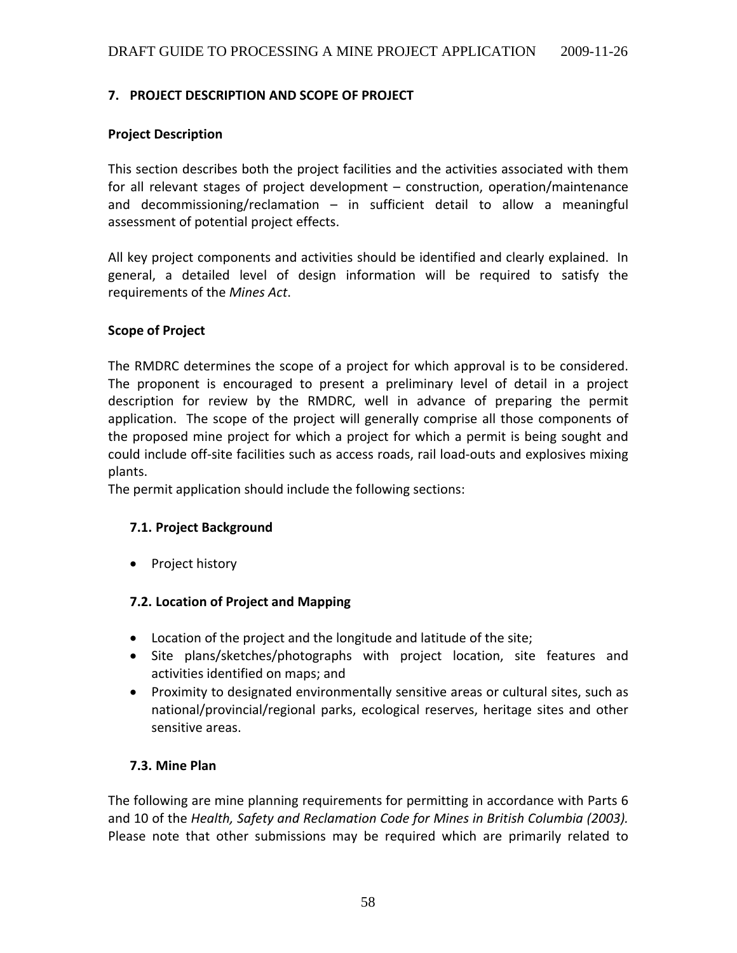### **7. PROJECT DESCRIPTION AND SCOPE OF PROJECT**

#### **Project Description**

This section describes both the project facilities and the activities associated with them for all relevant stages of project development – construction, operation/maintenance and decommissioning/reclamation – in sufficient detail to allow a meaningful assessment of potential project effects.

All key project components and activities should be identified and clearly explained. In general, a detailed level of design information will be required to satisfy the requirements of the *Mines Act*.

#### **Scope of Project**

The RMDRC determines the scope of a project for which approval is to be considered. The proponent is encouraged to present a preliminary level of detail in a project description for review by the RMDRC, well in advance of preparing the permit application. The scope of the project will generally comprise all those components of the proposed mine project for which a project for which a permit is being sought and could include off‐site facilities such as access roads, rail load‐outs and explosives mixing plants.

The permit application should include the following sections:

### **7.1. Project Background**

• Project history

### **7.2. Location of Project and Mapping**

- Location of the project and the longitude and latitude of the site;
- Site plans/sketches/photographs with project location, site features and activities identified on maps; and
- Proximity to designated environmentally sensitive areas or cultural sites, such as national/provincial/regional parks, ecological reserves, heritage sites and other sensitive areas.

#### **7.3. Mine Plan**

The following are mine planning requirements for permitting in accordance with Parts 6 and 10 of the *Health, Safety and Reclamation Code for Mines in British Columbia (2003).* Please note that other submissions may be required which are primarily related to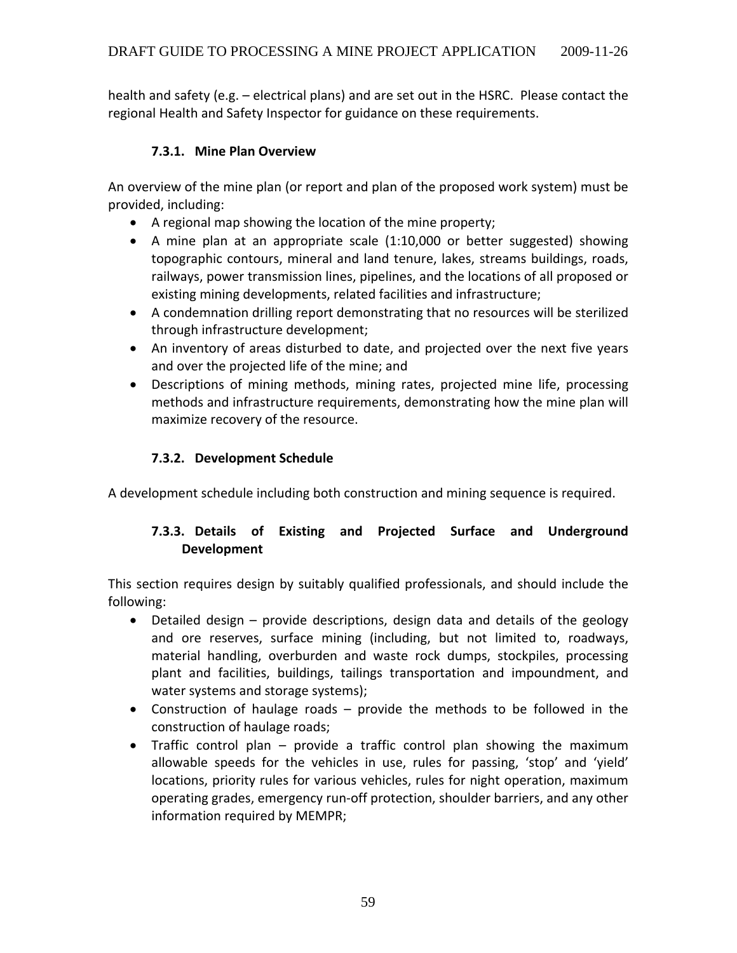health and safety (e.g. – electrical plans) and are set out in the HSRC. Please contact the regional Health and Safety Inspector for guidance on these requirements.

## **7.3.1. Mine Plan Overview**

An overview of the mine plan (or report and plan of the proposed work system) must be provided, including:

- A regional map showing the location of the mine property;
- A mine plan at an appropriate scale (1:10,000 or better suggested) showing topographic contours, mineral and land tenure, lakes, streams buildings, roads, railways, power transmission lines, pipelines, and the locations of all proposed or existing mining developments, related facilities and infrastructure;
- A condemnation drilling report demonstrating that no resources will be sterilized through infrastructure development;
- An inventory of areas disturbed to date, and projected over the next five years and over the projected life of the mine; and
- Descriptions of mining methods, mining rates, projected mine life, processing methods and infrastructure requirements, demonstrating how the mine plan will maximize recovery of the resource.

### **7.3.2. Development Schedule**

A development schedule including both construction and mining sequence is required.

## **7.3.3. Details of Existing and Projected Surface and Underground Development**

This section requires design by suitably qualified professionals, and should include the following:

- Detailed design provide descriptions, design data and details of the geology and ore reserves, surface mining (including, but not limited to, roadways, material handling, overburden and waste rock dumps, stockpiles, processing plant and facilities, buildings, tailings transportation and impoundment, and water systems and storage systems);
- Construction of haulage roads provide the methods to be followed in the construction of haulage roads;
- Traffic control plan provide a traffic control plan showing the maximum allowable speeds for the vehicles in use, rules for passing, 'stop' and 'yield' locations, priority rules for various vehicles, rules for night operation, maximum operating grades, emergency run‐off protection, shoulder barriers, and any other information required by MEMPR;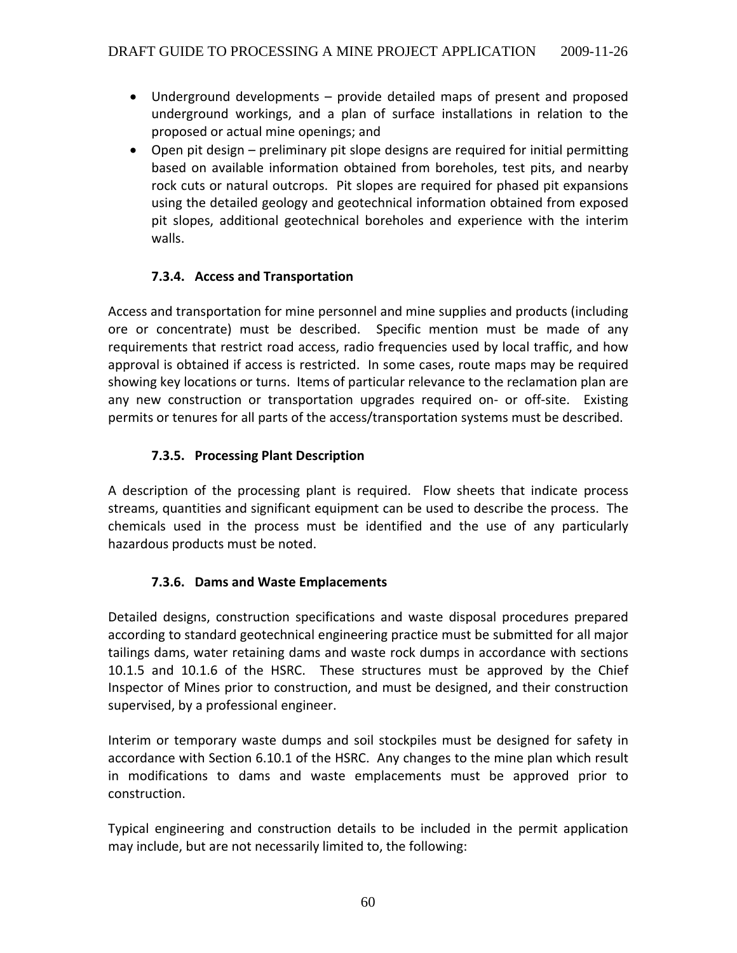- Underground developments provide detailed maps of present and proposed underground workings, and a plan of surface installations in relation to the proposed or actual mine openings; and
- Open pit design preliminary pit slope designs are required for initial permitting based on available information obtained from boreholes, test pits, and nearby rock cuts or natural outcrops. Pit slopes are required for phased pit expansions using the detailed geology and geotechnical information obtained from exposed pit slopes, additional geotechnical boreholes and experience with the interim walls.

## **7.3.4. Access and Transportation**

Access and transportation for mine personnel and mine supplies and products (including ore or concentrate) must be described. Specific mention must be made of any requirements that restrict road access, radio frequencies used by local traffic, and how approval is obtained if access is restricted. In some cases, route maps may be required showing key locations or turns. Items of particular relevance to the reclamation plan are any new construction or transportation upgrades required on- or off-site. Existing permits or tenures for all parts of the access/transportation systems must be described.

## **7.3.5. Processing Plant Description**

A description of the processing plant is required. Flow sheets that indicate process streams, quantities and significant equipment can be used to describe the process. The chemicals used in the process must be identified and the use of any particularly hazardous products must be noted.

## **7.3.6. Dams and Waste Emplacements**

Detailed designs, construction specifications and waste disposal procedures prepared according to standard geotechnical engineering practice must be submitted for all major tailings dams, water retaining dams and waste rock dumps in accordance with sections 10.1.5 and 10.1.6 of the HSRC. These structures must be approved by the Chief Inspector of Mines prior to construction, and must be designed, and their construction supervised, by a professional engineer.

Interim or temporary waste dumps and soil stockpiles must be designed for safety in accordance with Section 6.10.1 of the HSRC. Any changes to the mine plan which result in modifications to dams and waste emplacements must be approved prior to construction.

Typical engineering and construction details to be included in the permit application may include, but are not necessarily limited to, the following: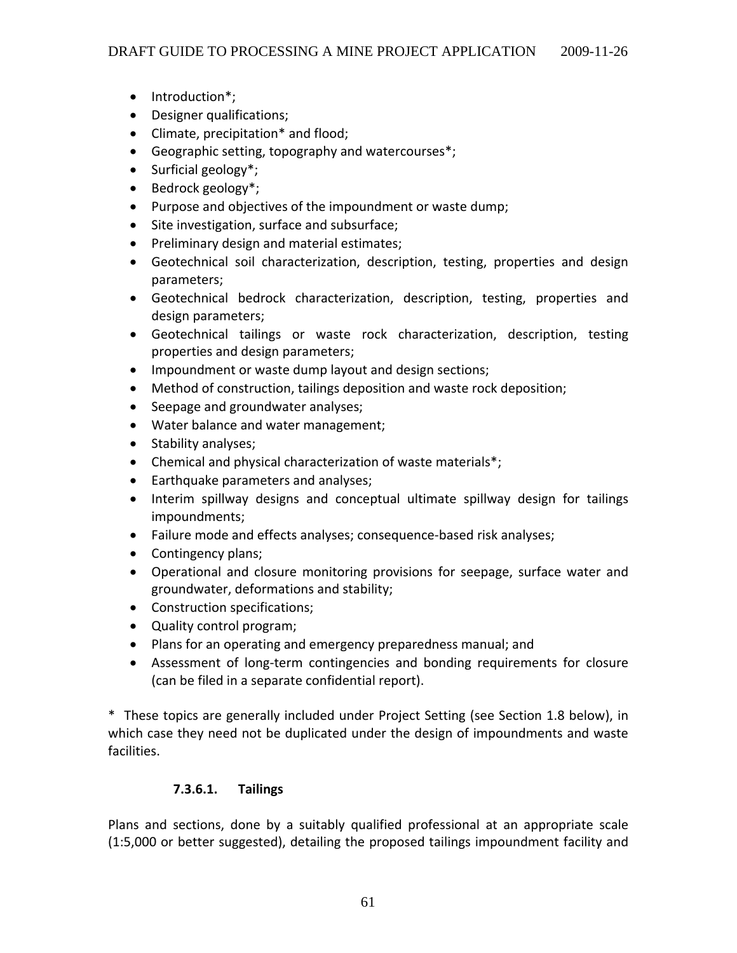- Introduction\*;
- Designer qualifications;
- Climate, precipitation\* and flood;
- Geographic setting, topography and watercourses\*;
- Surficial geology<sup>\*</sup>;
- Bedrock geology<sup>\*</sup>;
- Purpose and objectives of the impoundment or waste dump;
- Site investigation, surface and subsurface;
- Preliminary design and material estimates;
- Geotechnical soil characterization, description, testing, properties and design parameters;
- Geotechnical bedrock characterization, description, testing, properties and design parameters;
- Geotechnical tailings or waste rock characterization, description, testing properties and design parameters;
- Impoundment or waste dump layout and design sections;
- Method of construction, tailings deposition and waste rock deposition;
- Seepage and groundwater analyses;
- Water balance and water management;
- Stability analyses;
- Chemical and physical characterization of waste materials\*;
- Earthquake parameters and analyses;
- Interim spillway designs and conceptual ultimate spillway design for tailings impoundments;
- Failure mode and effects analyses; consequence‐based risk analyses;
- Contingency plans;
- Operational and closure monitoring provisions for seepage, surface water and groundwater, deformations and stability;
- Construction specifications;
- Quality control program;
- Plans for an operating and emergency preparedness manual; and
- Assessment of long‐term contingencies and bonding requirements for closure (can be filed in a separate confidential report).

\* These topics are generally included under Project Setting (see Section 1.8 below), in which case they need not be duplicated under the design of impoundments and waste facilities.

### **7.3.6.1. Tailings**

Plans and sections, done by a suitably qualified professional at an appropriate scale (1:5,000 or better suggested), detailing the proposed tailings impoundment facility and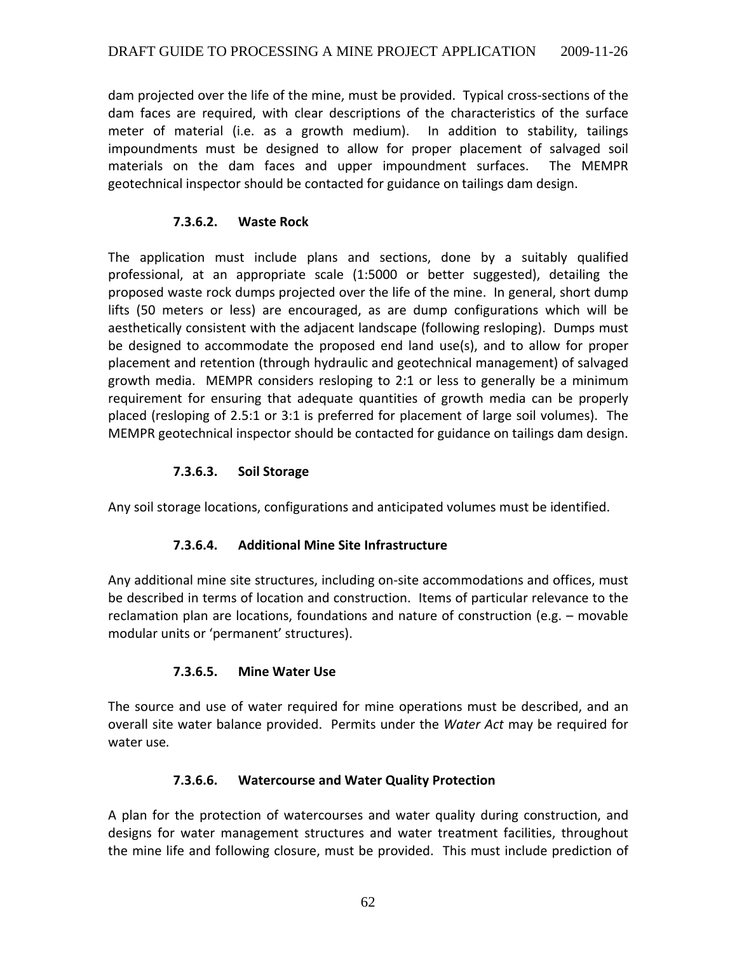dam projected over the life of the mine, must be provided. Typical cross‐sections of the dam faces are required, with clear descriptions of the characteristics of the surface meter of material (i.e. as a growth medium). In addition to stability, tailings impoundments must be designed to allow for proper placement of salvaged soil materials on the dam faces and upper impoundment surfaces. The MEMPR geotechnical inspector should be contacted for guidance on tailings dam design.

## **7.3.6.2. Waste Rock**

The application must include plans and sections, done by a suitably qualified professional, at an appropriate scale (1:5000 or better suggested), detailing the proposed waste rock dumps projected over the life of the mine. In general, short dump lifts (50 meters or less) are encouraged, as are dump configurations which will be aesthetically consistent with the adjacent landscape (following resloping). Dumps must be designed to accommodate the proposed end land use(s), and to allow for proper placement and retention (through hydraulic and geotechnical management) of salvaged growth media. MEMPR considers resloping to 2:1 or less to generally be a minimum requirement for ensuring that adequate quantities of growth media can be properly placed (resloping of 2.5:1 or 3:1 is preferred for placement of large soil volumes). The MEMPR geotechnical inspector should be contacted for guidance on tailings dam design.

### **7.3.6.3. Soil Storage**

Any soil storage locations, configurations and anticipated volumes must be identified.

## **7.3.6.4. Additional Mine Site Infrastructure**

Any additional mine site structures, including on‐site accommodations and offices, must be described in terms of location and construction. Items of particular relevance to the reclamation plan are locations, foundations and nature of construction (e.g. – movable modular units or 'permanent' structures).

### **7.3.6.5. Mine Water Use**

The source and use of water required for mine operations must be described, and an overall site water balance provided. Permits under the *Water Act* may be required for water use*.*

### **7.3.6.6. Watercourse and Water Quality Protection**

A plan for the protection of watercourses and water quality during construction, and designs for water management structures and water treatment facilities, throughout the mine life and following closure, must be provided. This must include prediction of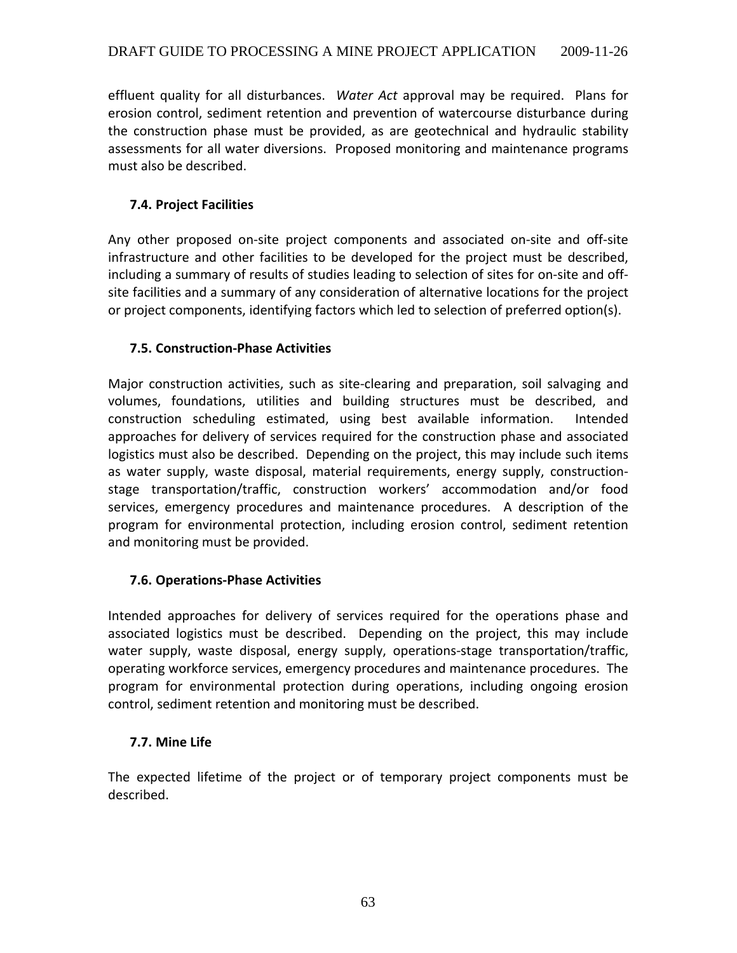effluent quality for all disturbances. *Water Act* approval may be required. Plans for erosion control, sediment retention and prevention of watercourse disturbance during the construction phase must be provided, as are geotechnical and hydraulic stability assessments for all water diversions. Proposed monitoring and maintenance programs must also be described.

## **7.4. Project Facilities**

Any other proposed on‐site project components and associated on‐site and off‐site infrastructure and other facilities to be developed for the project must be described, including a summary of results of studies leading to selection of sites for on‐site and off‐ site facilities and a summary of any consideration of alternative locations for the project or project components, identifying factors which led to selection of preferred option(s).

## **7.5. Construction‐Phase Activities**

Major construction activities, such as site‐clearing and preparation, soil salvaging and volumes, foundations, utilities and building structures must be described, and construction scheduling estimated, using best available information. Intended approaches for delivery of services required for the construction phase and associated logistics must also be described. Depending on the project, this may include such items as water supply, waste disposal, material requirements, energy supply, construction‐ stage transportation/traffic, construction workers' accommodation and/or food services, emergency procedures and maintenance procedures. A description of the program for environmental protection, including erosion control, sediment retention and monitoring must be provided.

## **7.6. Operations‐Phase Activities**

Intended approaches for delivery of services required for the operations phase and associated logistics must be described. Depending on the project, this may include water supply, waste disposal, energy supply, operations-stage transportation/traffic, operating workforce services, emergency procedures and maintenance procedures. The program for environmental protection during operations, including ongoing erosion control, sediment retention and monitoring must be described.

## **7.7. Mine Life**

The expected lifetime of the project or of temporary project components must be described.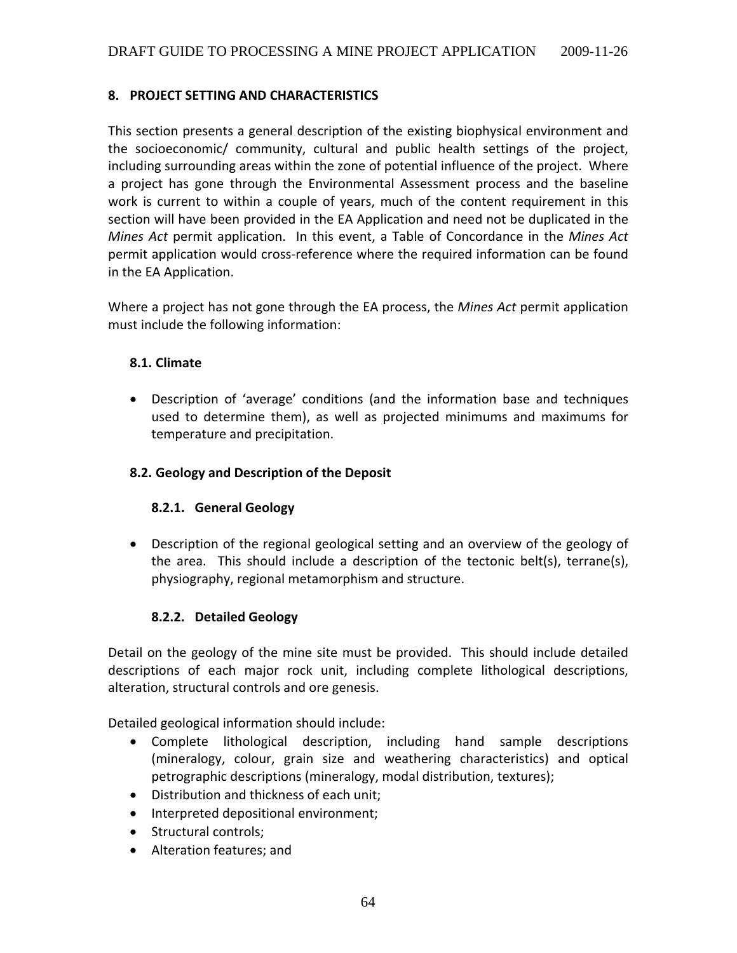### **8. PROJECT SETTING AND CHARACTERISTICS**

This section presents a general description of the existing biophysical environment and the socioeconomic/ community, cultural and public health settings of the project, including surrounding areas within the zone of potential influence of the project. Where a project has gone through the Environmental Assessment process and the baseline work is current to within a couple of years, much of the content requirement in this section will have been provided in the EA Application and need not be duplicated in the *Mines Act* permit application. In this event, a Table of Concordance in the *Mines Act* permit application would cross‐reference where the required information can be found in the EA Application.

Where a project has not gone through the EA process, the *Mines Act* permit application must include the following information:

#### **8.1. Climate**

• Description of 'average' conditions (and the information base and techniques used to determine them), as well as projected minimums and maximums for temperature and precipitation.

#### **8.2. Geology and Description of the Deposit**

#### **8.2.1. General Geology**

• Description of the regional geological setting and an overview of the geology of the area. This should include a description of the tectonic belt(s), terrane(s), physiography, regional metamorphism and structure.

#### **8.2.2. Detailed Geology**

Detail on the geology of the mine site must be provided. This should include detailed descriptions of each major rock unit, including complete lithological descriptions, alteration, structural controls and ore genesis.

Detailed geological information should include:

- Complete lithological description, including hand sample descriptions (mineralogy, colour, grain size and weathering characteristics) and optical petrographic descriptions (mineralogy, modal distribution, textures);
- Distribution and thickness of each unit;
- Interpreted depositional environment;
- Structural controls;
- Alteration features; and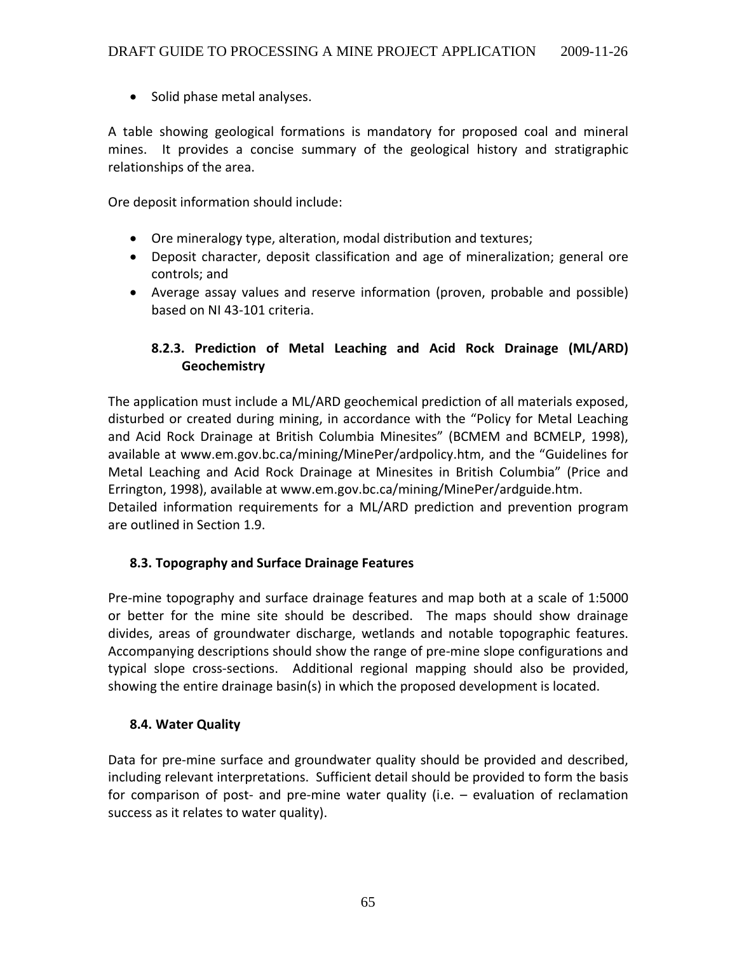• Solid phase metal analyses.

A table showing geological formations is mandatory for proposed coal and mineral mines. It provides a concise summary of the geological history and stratigraphic relationships of the area.

Ore deposit information should include:

- Ore mineralogy type, alteration, modal distribution and textures;
- Deposit character, deposit classification and age of mineralization; general ore controls; and
- Average assay values and reserve information (proven, probable and possible) based on NI 43‐101 criteria.

## **8.2.3. Prediction of Metal Leaching and Acid Rock Drainage (ML/ARD) Geochemistry**

The application must include a ML/ARD geochemical prediction of all materials exposed, disturbed or created during mining, in accordance with the "Policy for Metal Leaching and Acid Rock Drainage at British Columbia Minesites" (BCMEM and BCMELP, 1998), available at www.em.gov.bc.ca/mining/MinePer/ardpolicy.htm, and the "Guidelines for Metal Leaching and Acid Rock Drainage at Minesites in British Columbia" (Price and Errington, 1998), available at www.em.gov.bc.ca/mining/MinePer/ardguide.htm. Detailed information requirements for a ML/ARD prediction and prevention program are outlined in Section 1.9.

### **8.3. Topography and Surface Drainage Features**

Pre‐mine topography and surface drainage features and map both at a scale of 1:5000 or better for the mine site should be described. The maps should show drainage divides, areas of groundwater discharge, wetlands and notable topographic features. Accompanying descriptions should show the range of pre‐mine slope configurations and typical slope cross‐sections. Additional regional mapping should also be provided, showing the entire drainage basin(s) in which the proposed development is located.

### **8.4. Water Quality**

Data for pre-mine surface and groundwater quality should be provided and described, including relevant interpretations. Sufficient detail should be provided to form the basis for comparison of post- and pre-mine water quality (i.e. – evaluation of reclamation success as it relates to water quality).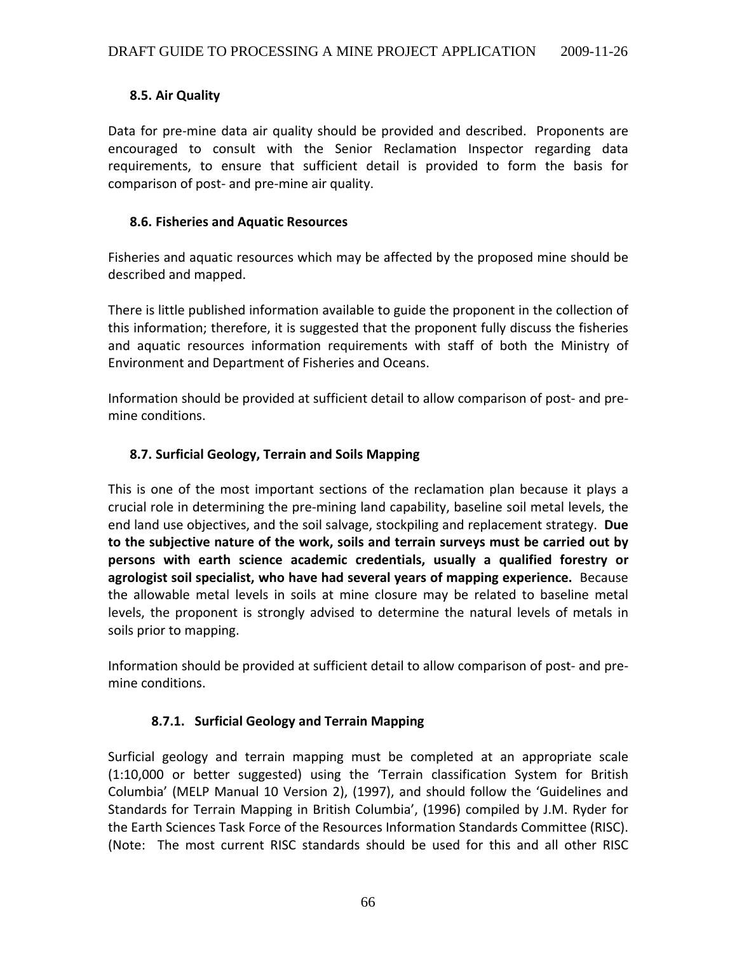### **8.5. Air Quality**

Data for pre-mine data air quality should be provided and described. Proponents are encouraged to consult with the Senior Reclamation Inspector regarding data requirements, to ensure that sufficient detail is provided to form the basis for comparison of post‐ and pre‐mine air quality.

### **8.6. Fisheries and Aquatic Resources**

Fisheries and aquatic resources which may be affected by the proposed mine should be described and mapped.

There is little published information available to guide the proponent in the collection of this information; therefore, it is suggested that the proponent fully discuss the fisheries and aquatic resources information requirements with staff of both the Ministry of Environment and Department of Fisheries and Oceans.

Information should be provided at sufficient detail to allow comparison of post‐ and pre‐ mine conditions.

## **8.7. Surficial Geology, Terrain and Soils Mapping**

This is one of the most important sections of the reclamation plan because it plays a crucial role in determining the pre‐mining land capability, baseline soil metal levels, the end land use objectives, and the soil salvage, stockpiling and replacement strategy. **Due to the subjective nature of the work, soils and terrain surveys must be carried out by persons with earth science academic credentials, usually a qualified forestry or agrologist soil specialist, who have had several years of mapping experience.** Because the allowable metal levels in soils at mine closure may be related to baseline metal levels, the proponent is strongly advised to determine the natural levels of metals in soils prior to mapping.

Information should be provided at sufficient detail to allow comparison of post‐ and pre‐ mine conditions.

## **8.7.1. Surficial Geology and Terrain Mapping**

Surficial geology and terrain mapping must be completed at an appropriate scale (1:10,000 or better suggested) using the 'Terrain classification System for British Columbia' (MELP Manual 10 Version 2), (1997), and should follow the 'Guidelines and Standards for Terrain Mapping in British Columbia', (1996) compiled by J.M. Ryder for the Earth Sciences Task Force of the Resources Information Standards Committee (RISC). (Note: The most current RISC standards should be used for this and all other RISC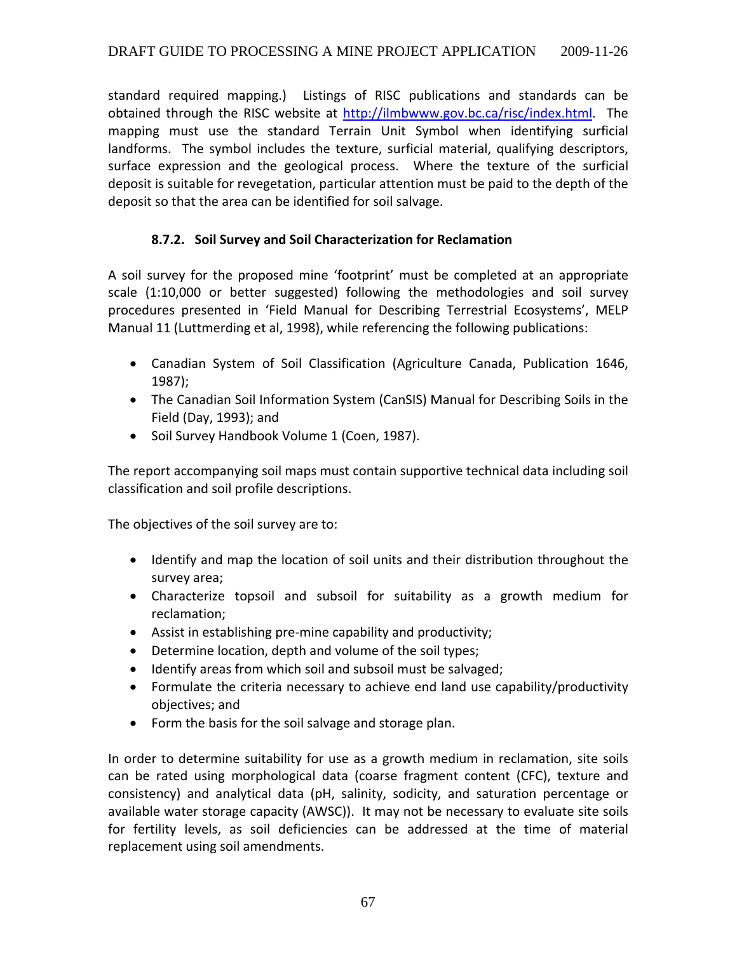standard required mapping.) Listings of RISC publications and standards can be obtained through the RISC website at http://ilmbwww.gov.bc.ca/risc/index.html. The mapping must use the standard Terrain Unit Symbol when identifying surficial landforms. The symbol includes the texture, surficial material, qualifying descriptors, surface expression and the geological process. Where the texture of the surficial deposit is suitable for revegetation, particular attention must be paid to the depth of the deposit so that the area can be identified for soil salvage.

## **8.7.2. Soil Survey and Soil Characterization for Reclamation**

A soil survey for the proposed mine 'footprint' must be completed at an appropriate scale (1:10,000 or better suggested) following the methodologies and soil survey procedures presented in 'Field Manual for Describing Terrestrial Ecosystems', MELP Manual 11 (Luttmerding et al, 1998), while referencing the following publications:

- Canadian System of Soil Classification (Agriculture Canada, Publication 1646, 1987);
- The Canadian Soil Information System (CanSIS) Manual for Describing Soils in the Field (Day, 1993); and
- Soil Survey Handbook Volume 1 (Coen, 1987).

The report accompanying soil maps must contain supportive technical data including soil classification and soil profile descriptions.

The objectives of the soil survey are to:

- Identify and map the location of soil units and their distribution throughout the survey area;
- Characterize topsoil and subsoil for suitability as a growth medium for reclamation;
- Assist in establishing pre‐mine capability and productivity;
- Determine location, depth and volume of the soil types;
- Identify areas from which soil and subsoil must be salvaged;
- Formulate the criteria necessary to achieve end land use capability/productivity objectives; and
- Form the basis for the soil salvage and storage plan.

In order to determine suitability for use as a growth medium in reclamation, site soils can be rated using morphological data (coarse fragment content (CFC), texture and consistency) and analytical data (pH, salinity, sodicity, and saturation percentage or available water storage capacity (AWSC)). It may not be necessary to evaluate site soils for fertility levels, as soil deficiencies can be addressed at the time of material replacement using soil amendments.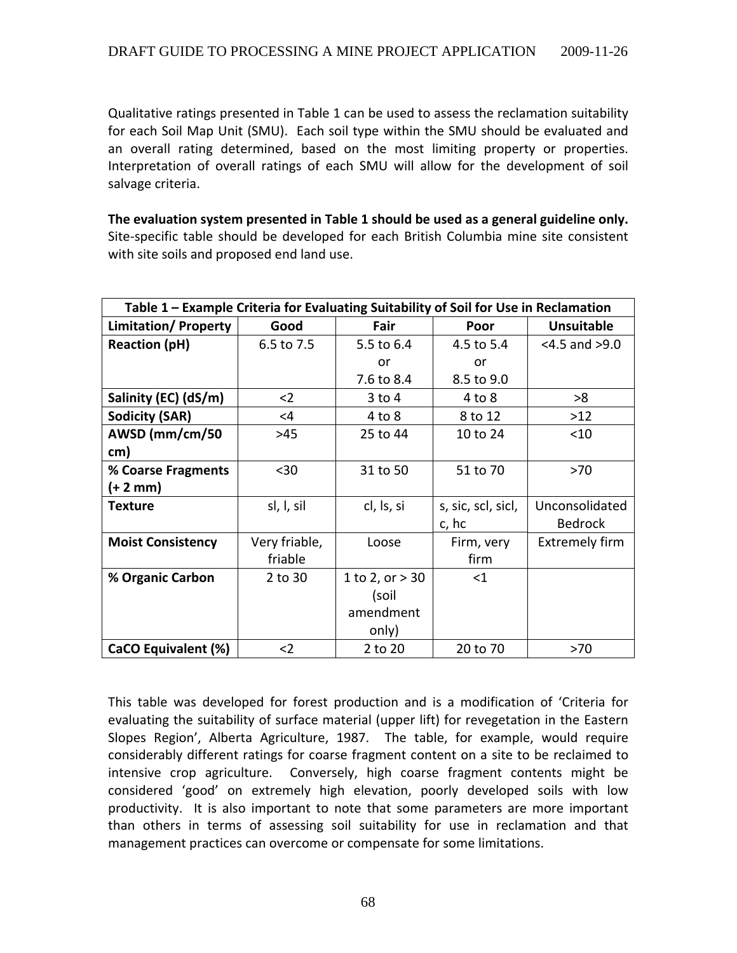Qualitative ratings presented in Table 1 can be used to assess the reclamation suitability for each Soil Map Unit (SMU). Each soil type within the SMU should be evaluated and an overall rating determined, based on the most limiting property or properties. Interpretation of overall ratings of each SMU will allow for the development of soil salvage criteria.

**The evaluation system presented in Table 1 should be used as a general guideline only.** Site‐specific table should be developed for each British Columbia mine site consistent with site soils and proposed end land use.

| Table 1 - Example Criteria for Evaluating Suitability of Soil for Use in Reclamation |               |                   |                    |                       |  |  |
|--------------------------------------------------------------------------------------|---------------|-------------------|--------------------|-----------------------|--|--|
| <b>Limitation/Property</b>                                                           | Good          | Fair              | Poor               | <b>Unsuitable</b>     |  |  |
| <b>Reaction (pH)</b>                                                                 | 6.5 to 7.5    | 5.5 to 6.4        | 4.5 to 5.4         | $<$ 4.5 and $>$ 9.0   |  |  |
|                                                                                      |               | or                | or                 |                       |  |  |
|                                                                                      |               | 7.6 to 8.4        | 8.5 to 9.0         |                       |  |  |
| Salinity (EC) (dS/m)                                                                 | $2$           | $3$ to $4$        | $4$ to $8$         | >8                    |  |  |
| <b>Sodicity (SAR)</b>                                                                | <4            | 4 to 8            | 8 to 12            | $>12$                 |  |  |
| AWSD (mm/cm/50                                                                       | >45           | 25 to 44          | 10 to 24           | < 10                  |  |  |
| cm)                                                                                  |               |                   |                    |                       |  |  |
| % Coarse Fragments                                                                   | $30$          | 31 to 50          | 51 to 70           | >70                   |  |  |
| (+ 2 mm)                                                                             |               |                   |                    |                       |  |  |
| <b>Texture</b>                                                                       | sl, l, sil    | cl, ls, si        | s, sic, scl, sicl, | Unconsolidated        |  |  |
|                                                                                      |               |                   | c, hc              | <b>Bedrock</b>        |  |  |
| <b>Moist Consistency</b>                                                             | Very friable, | Loose             | Firm, very         | <b>Extremely firm</b> |  |  |
|                                                                                      | friable       |                   | firm               |                       |  |  |
| % Organic Carbon                                                                     | 2 to 30       | 1 to 2, or $> 30$ | $<$ 1              |                       |  |  |
|                                                                                      |               | (soil             |                    |                       |  |  |
|                                                                                      |               | amendment         |                    |                       |  |  |
|                                                                                      |               | only)             |                    |                       |  |  |
| CaCO Equivalent (%)                                                                  | $2$           | 2 to 20           | 20 to 70           | >70                   |  |  |

This table was developed for forest production and is a modification of 'Criteria for evaluating the suitability of surface material (upper lift) for revegetation in the Eastern Slopes Region', Alberta Agriculture, 1987. The table, for example, would require considerably different ratings for coarse fragment content on a site to be reclaimed to intensive crop agriculture. Conversely, high coarse fragment contents might be considered 'good' on extremely high elevation, poorly developed soils with low productivity. It is also important to note that some parameters are more important than others in terms of assessing soil suitability for use in reclamation and that management practices can overcome or compensate for some limitations.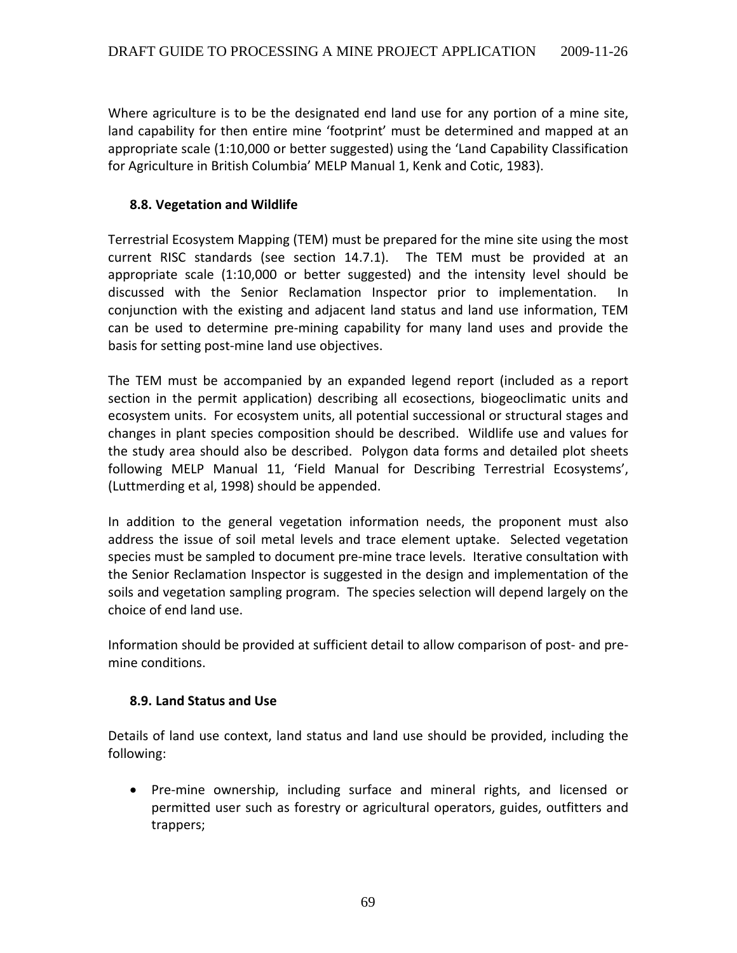Where agriculture is to be the designated end land use for any portion of a mine site, land capability for then entire mine 'footprint' must be determined and mapped at an appropriate scale (1:10,000 or better suggested) using the 'Land Capability Classification for Agriculture in British Columbia' MELP Manual 1, Kenk and Cotic, 1983).

#### **8.8. Vegetation and Wildlife**

Terrestrial Ecosystem Mapping (TEM) must be prepared for the mine site using the most current RISC standards (see section 14.7.1). The TEM must be provided at an appropriate scale (1:10,000 or better suggested) and the intensity level should be discussed with the Senior Reclamation Inspector prior to implementation. In conjunction with the existing and adjacent land status and land use information, TEM can be used to determine pre‐mining capability for many land uses and provide the basis for setting post‐mine land use objectives.

The TEM must be accompanied by an expanded legend report (included as a report section in the permit application) describing all ecosections, biogeoclimatic units and ecosystem units. For ecosystem units, all potential successional or structural stages and changes in plant species composition should be described. Wildlife use and values for the study area should also be described. Polygon data forms and detailed plot sheets following MELP Manual 11, 'Field Manual for Describing Terrestrial Ecosystems', (Luttmerding et al, 1998) should be appended.

In addition to the general vegetation information needs, the proponent must also address the issue of soil metal levels and trace element uptake. Selected vegetation species must be sampled to document pre-mine trace levels. Iterative consultation with the Senior Reclamation Inspector is suggested in the design and implementation of the soils and vegetation sampling program. The species selection will depend largely on the choice of end land use.

Information should be provided at sufficient detail to allow comparison of post‐ and pre‐ mine conditions.

### **8.9. Land Status and Use**

Details of land use context, land status and land use should be provided, including the following:

• Pre-mine ownership, including surface and mineral rights, and licensed or permitted user such as forestry or agricultural operators, guides, outfitters and trappers;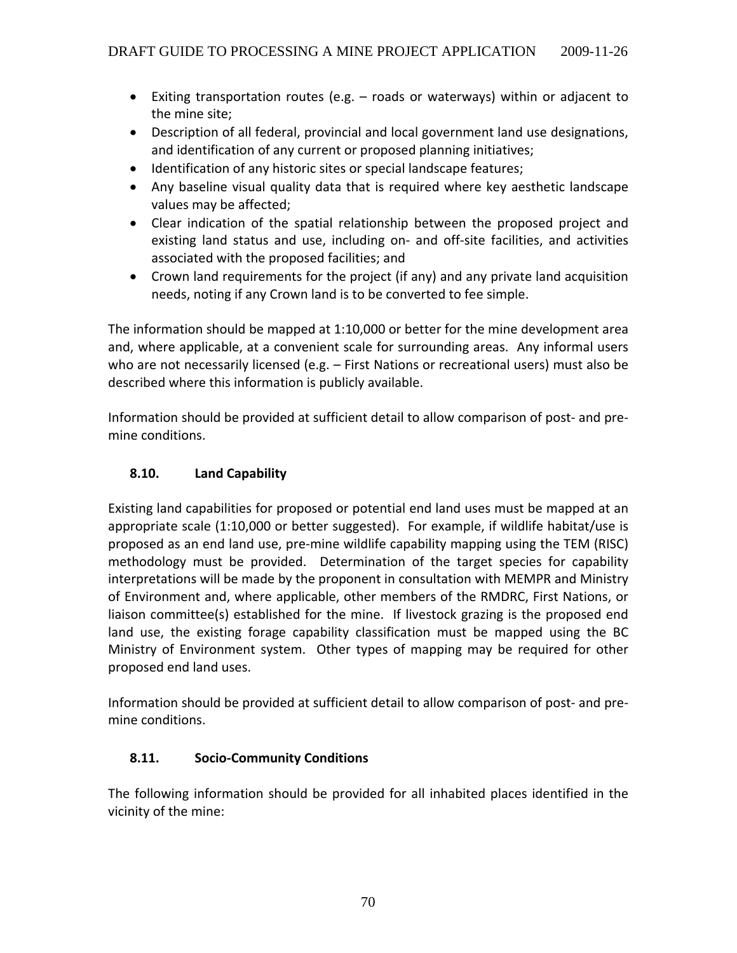- Exiting transportation routes (e.g. roads or waterways) within or adjacent to the mine site;
- Description of all federal, provincial and local government land use designations, and identification of any current or proposed planning initiatives;
- Identification of any historic sites or special landscape features;
- Any baseline visual quality data that is required where key aesthetic landscape values may be affected;
- Clear indication of the spatial relationship between the proposed project and existing land status and use, including on‐ and off‐site facilities, and activities associated with the proposed facilities; and
- Crown land requirements for the project (if any) and any private land acquisition needs, noting if any Crown land is to be converted to fee simple.

The information should be mapped at 1:10,000 or better for the mine development area and, where applicable, at a convenient scale for surrounding areas. Any informal users who are not necessarily licensed (e.g. – First Nations or recreational users) must also be described where this information is publicly available.

Information should be provided at sufficient detail to allow comparison of post‐ and pre‐ mine conditions.

## **8.10. Land Capability**

Existing land capabilities for proposed or potential end land uses must be mapped at an appropriate scale (1:10,000 or better suggested). For example, if wildlife habitat/use is proposed as an end land use, pre‐mine wildlife capability mapping using the TEM (RISC) methodology must be provided. Determination of the target species for capability interpretations will be made by the proponent in consultation with MEMPR and Ministry of Environment and, where applicable, other members of the RMDRC, First Nations, or liaison committee(s) established for the mine. If livestock grazing is the proposed end land use, the existing forage capability classification must be mapped using the BC Ministry of Environment system. Other types of mapping may be required for other proposed end land uses.

Information should be provided at sufficient detail to allow comparison of post‐ and pre‐ mine conditions.

## **8.11. Socio‐Community Conditions**

The following information should be provided for all inhabited places identified in the vicinity of the mine: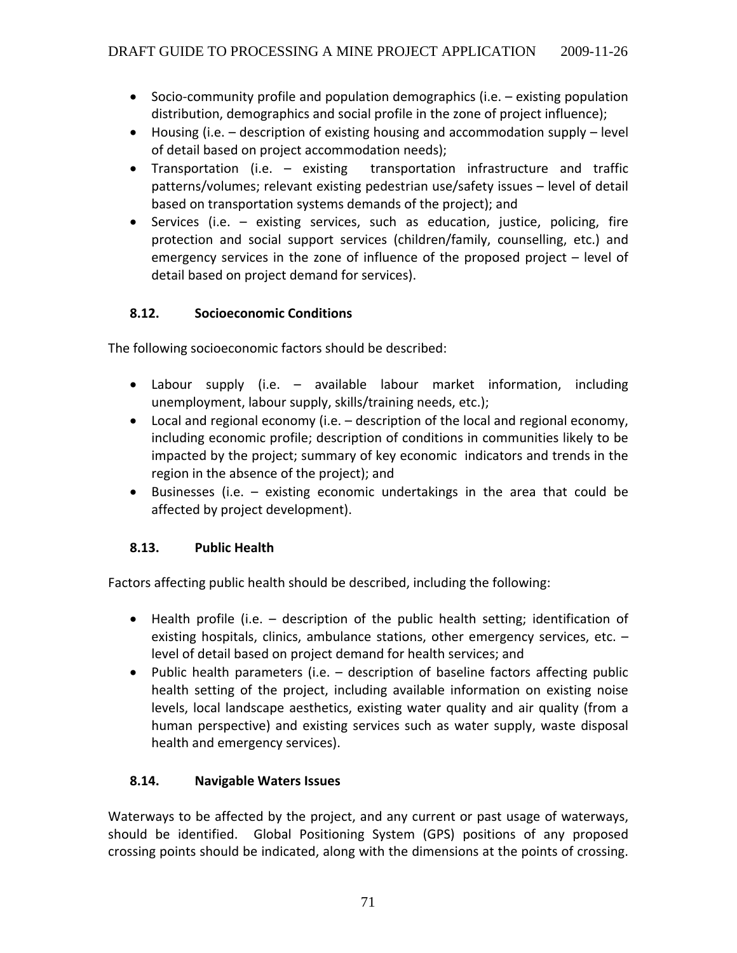- Socio‐community profile and population demographics (i.e. existing population distribution, demographics and social profile in the zone of project influence);
- Housing (i.e. description of existing housing and accommodation supply level of detail based on project accommodation needs);
- Transportation (i.e. existing transportation infrastructure and traffic patterns/volumes; relevant existing pedestrian use/safety issues – level of detail based on transportation systems demands of the project); and
- Services (i.e. existing services, such as education, justice, policing, fire protection and social support services (children/family, counselling, etc.) and emergency services in the zone of influence of the proposed project – level of detail based on project demand for services).

## **8.12. Socioeconomic Conditions**

The following socioeconomic factors should be described:

- Labour supply (i.e. available labour market information, including unemployment, labour supply, skills/training needs, etc.);
- Local and regional economy (i.e. description of the local and regional economy, including economic profile; description of conditions in communities likely to be impacted by the project; summary of key economic indicators and trends in the region in the absence of the project); and
- Businesses (i.e. existing economic undertakings in the area that could be affected by project development).

## **8.13. Public Health**

Factors affecting public health should be described, including the following:

- Health profile (i.e. description of the public health setting; identification of existing hospitals, clinics, ambulance stations, other emergency services, etc. – level of detail based on project demand for health services; and
- Public health parameters (i.e. description of baseline factors affecting public health setting of the project, including available information on existing noise levels, local landscape aesthetics, existing water quality and air quality (from a human perspective) and existing services such as water supply, waste disposal health and emergency services).

## **8.14. Navigable Waters Issues**

Waterways to be affected by the project, and any current or past usage of waterways, should be identified. Global Positioning System (GPS) positions of any proposed crossing points should be indicated, along with the dimensions at the points of crossing.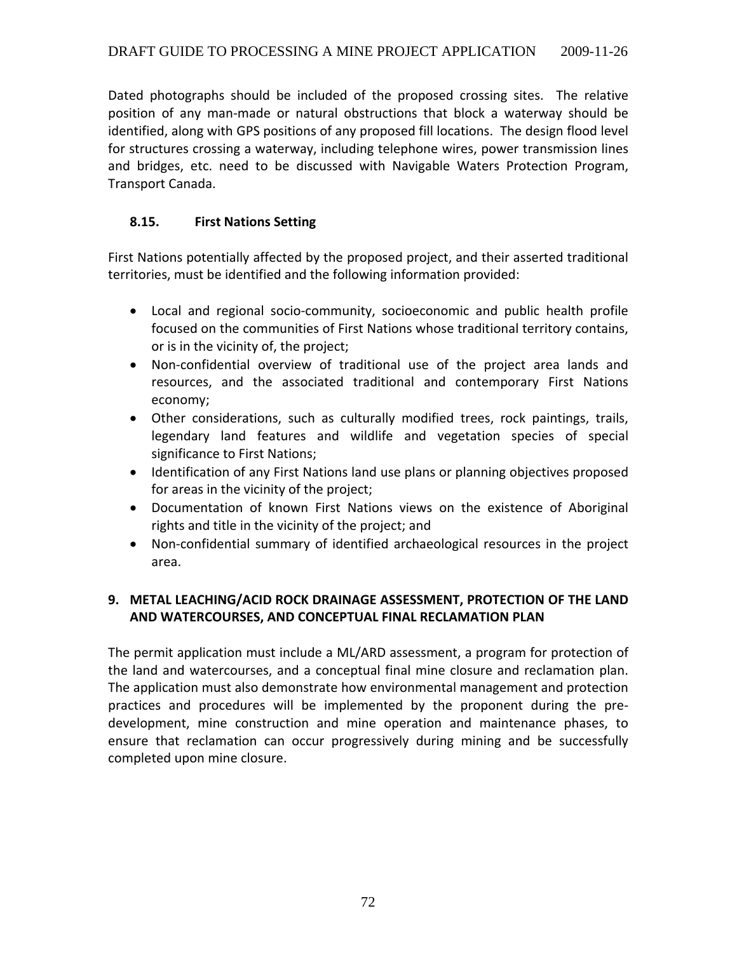Dated photographs should be included of the proposed crossing sites. The relative position of any man‐made or natural obstructions that block a waterway should be identified, along with GPS positions of any proposed fill locations. The design flood level for structures crossing a waterway, including telephone wires, power transmission lines and bridges, etc. need to be discussed with Navigable Waters Protection Program, Transport Canada.

## **8.15. First Nations Setting**

First Nations potentially affected by the proposed project, and their asserted traditional territories, must be identified and the following information provided:

- Local and regional socio‐community, socioeconomic and public health profile focused on the communities of First Nations whose traditional territory contains, or is in the vicinity of, the project;
- Non‐confidential overview of traditional use of the project area lands and resources, and the associated traditional and contemporary First Nations economy;
- Other considerations, such as culturally modified trees, rock paintings, trails, legendary land features and wildlife and vegetation species of special significance to First Nations;
- Identification of any First Nations land use plans or planning objectives proposed for areas in the vicinity of the project;
- Documentation of known First Nations views on the existence of Aboriginal rights and title in the vicinity of the project; and
- Non-confidential summary of identified archaeological resources in the project area.

## **9. METAL LEACHING/ACID ROCK DRAINAGE ASSESSMENT, PROTECTION OF THE LAND AND WATERCOURSES, AND CONCEPTUAL FINAL RECLAMATION PLAN**

The permit application must include a ML/ARD assessment, a program for protection of the land and watercourses, and a conceptual final mine closure and reclamation plan. The application must also demonstrate how environmental management and protection practices and procedures will be implemented by the proponent during the pre‐ development, mine construction and mine operation and maintenance phases, to ensure that reclamation can occur progressively during mining and be successfully completed upon mine closure.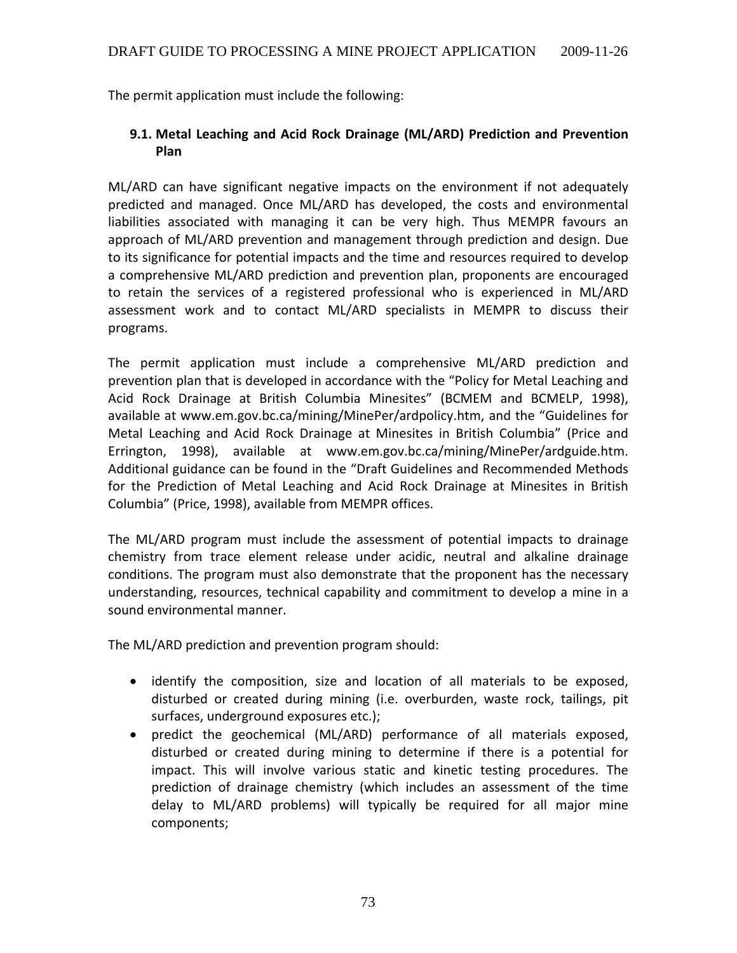The permit application must include the following:

### **9.1. Metal Leaching and Acid Rock Drainage (ML/ARD) Prediction and Prevention Plan**

ML/ARD can have significant negative impacts on the environment if not adequately predicted and managed. Once ML/ARD has developed, the costs and environmental liabilities associated with managing it can be very high. Thus MEMPR favours an approach of ML/ARD prevention and management through prediction and design. Due to its significance for potential impacts and the time and resources required to develop a comprehensive ML/ARD prediction and prevention plan, proponents are encouraged to retain the services of a registered professional who is experienced in ML/ARD assessment work and to contact ML/ARD specialists in MEMPR to discuss their programs.

The permit application must include a comprehensive ML/ARD prediction and prevention plan that is developed in accordance with the "Policy for Metal Leaching and Acid Rock Drainage at British Columbia Minesites" (BCMEM and BCMELP, 1998), available at www.em.gov.bc.ca/mining/MinePer/ardpolicy.htm, and the "Guidelines for Metal Leaching and Acid Rock Drainage at Minesites in British Columbia" (Price and Errington, 1998), available at www.em.gov.bc.ca/mining/MinePer/ardguide.htm. Additional guidance can be found in the "Draft Guidelines and Recommended Methods for the Prediction of Metal Leaching and Acid Rock Drainage at Minesites in British Columbia" (Price, 1998), available from MEMPR offices.

The ML/ARD program must include the assessment of potential impacts to drainage chemistry from trace element release under acidic, neutral and alkaline drainage conditions. The program must also demonstrate that the proponent has the necessary understanding, resources, technical capability and commitment to develop a mine in a sound environmental manner.

The ML/ARD prediction and prevention program should:

- identify the composition, size and location of all materials to be exposed, disturbed or created during mining (i.e. overburden, waste rock, tailings, pit surfaces, underground exposures etc.);
- predict the geochemical (ML/ARD) performance of all materials exposed, disturbed or created during mining to determine if there is a potential for impact. This will involve various static and kinetic testing procedures. The prediction of drainage chemistry (which includes an assessment of the time delay to ML/ARD problems) will typically be required for all major mine components;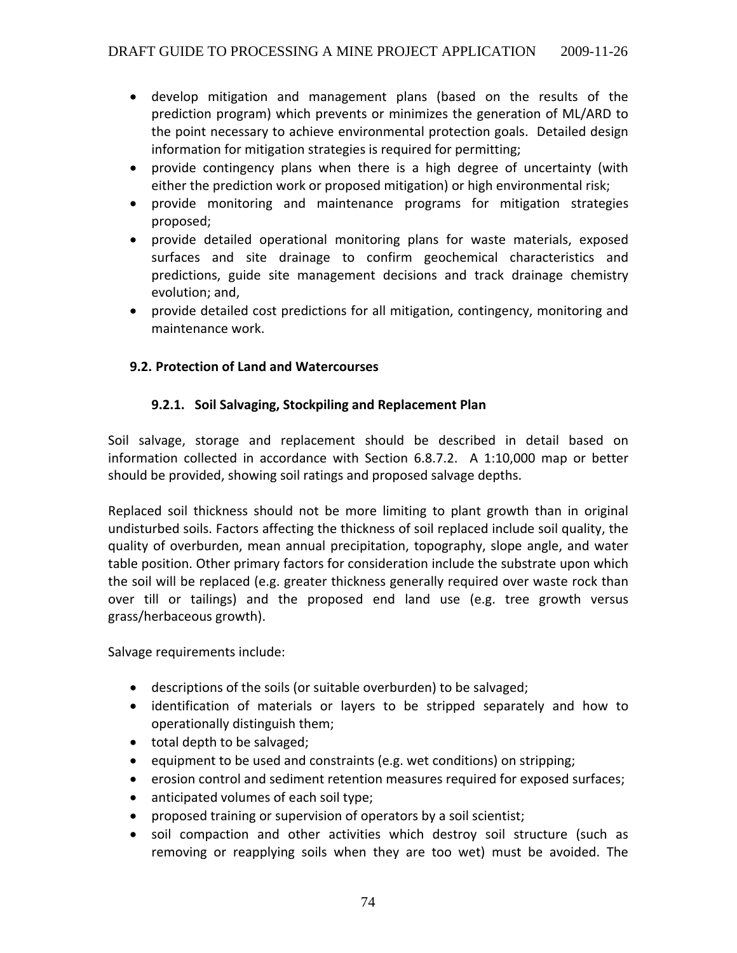- develop mitigation and management plans (based on the results of the prediction program) which prevents or minimizes the generation of ML/ARD to the point necessary to achieve environmental protection goals. Detailed design information for mitigation strategies is required for permitting;
- provide contingency plans when there is a high degree of uncertainty (with either the prediction work or proposed mitigation) or high environmental risk;
- provide monitoring and maintenance programs for mitigation strategies proposed;
- provide detailed operational monitoring plans for waste materials, exposed surfaces and site drainage to confirm geochemical characteristics and predictions, guide site management decisions and track drainage chemistry evolution; and,
- provide detailed cost predictions for all mitigation, contingency, monitoring and maintenance work.

## **9.2. Protection of Land and Watercourses**

# **9.2.1. Soil Salvaging, Stockpiling and Replacement Plan**

Soil salvage, storage and replacement should be described in detail based on information collected in accordance with Section 6.8.7.2. A 1:10,000 map or better should be provided, showing soil ratings and proposed salvage depths.

Replaced soil thickness should not be more limiting to plant growth than in original undisturbed soils. Factors affecting the thickness of soil replaced include soil quality, the quality of overburden, mean annual precipitation, topography, slope angle, and water table position. Other primary factors for consideration include the substrate upon which the soil will be replaced (e.g. greater thickness generally required over waste rock than over till or tailings) and the proposed end land use (e.g. tree growth versus grass/herbaceous growth).

Salvage requirements include:

- descriptions of the soils (or suitable overburden) to be salvaged;
- identification of materials or layers to be stripped separately and how to operationally distinguish them;
- total depth to be salvaged;
- equipment to be used and constraints (e.g. wet conditions) on stripping;
- erosion control and sediment retention measures required for exposed surfaces;
- anticipated volumes of each soil type;
- proposed training or supervision of operators by a soil scientist;
- soil compaction and other activities which destroy soil structure (such as removing or reapplying soils when they are too wet) must be avoided. The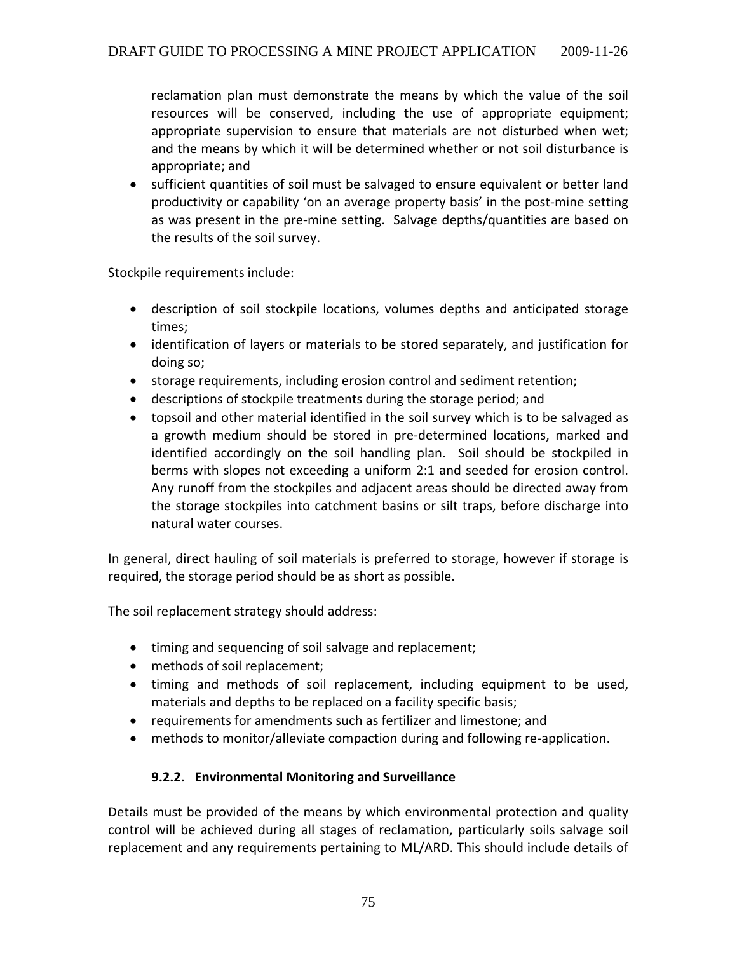reclamation plan must demonstrate the means by which the value of the soil resources will be conserved, including the use of appropriate equipment; appropriate supervision to ensure that materials are not disturbed when wet; and the means by which it will be determined whether or not soil disturbance is appropriate; and

• sufficient quantities of soil must be salvaged to ensure equivalent or better land productivity or capability 'on an average property basis' in the post‐mine setting as was present in the pre‐mine setting. Salvage depths/quantities are based on the results of the soil survey.

Stockpile requirements include:

- description of soil stockpile locations, volumes depths and anticipated storage times;
- identification of layers or materials to be stored separately, and justification for doing so;
- storage requirements, including erosion control and sediment retention;
- descriptions of stockpile treatments during the storage period; and
- topsoil and other material identified in the soil survey which is to be salvaged as a growth medium should be stored in pre‐determined locations, marked and identified accordingly on the soil handling plan. Soil should be stockpiled in berms with slopes not exceeding a uniform 2:1 and seeded for erosion control. Any runoff from the stockpiles and adjacent areas should be directed away from the storage stockpiles into catchment basins or silt traps, before discharge into natural water courses.

In general, direct hauling of soil materials is preferred to storage, however if storage is required, the storage period should be as short as possible.

The soil replacement strategy should address:

- timing and sequencing of soil salvage and replacement;
- methods of soil replacement;
- timing and methods of soil replacement, including equipment to be used, materials and depths to be replaced on a facility specific basis;
- requirements for amendments such as fertilizer and limestone; and
- methods to monitor/alleviate compaction during and following re-application.

## **9.2.2. Environmental Monitoring and Surveillance**

Details must be provided of the means by which environmental protection and quality control will be achieved during all stages of reclamation, particularly soils salvage soil replacement and any requirements pertaining to ML/ARD. This should include details of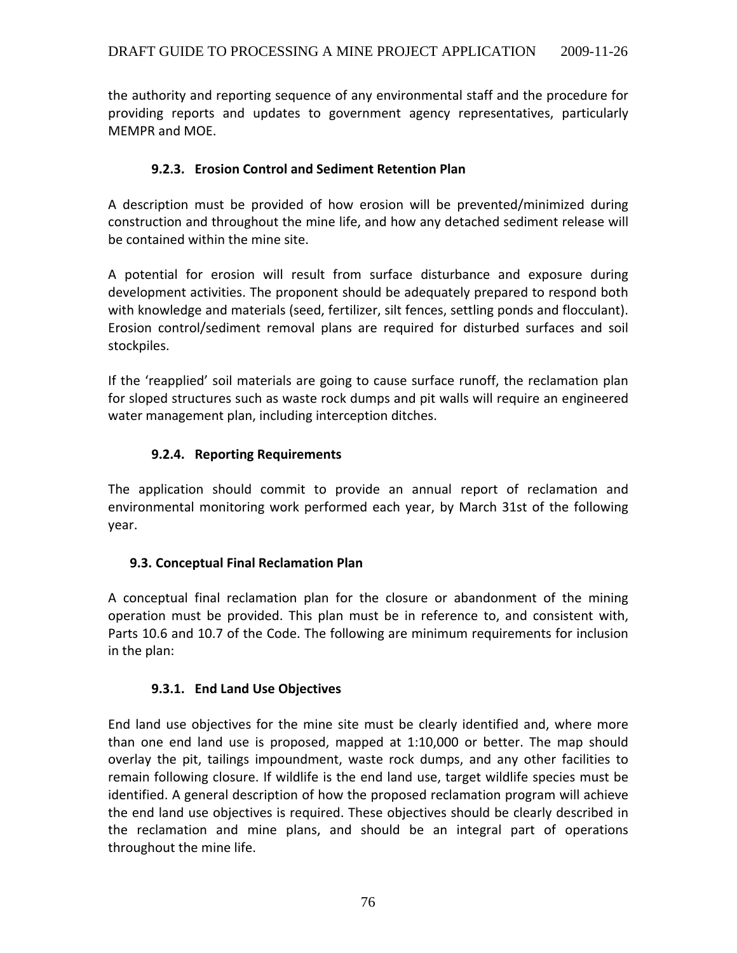the authority and reporting sequence of any environmental staff and the procedure for providing reports and updates to government agency representatives, particularly MEMPR and MOE.

## **9.2.3. Erosion Control and Sediment Retention Plan**

A description must be provided of how erosion will be prevented/minimized during construction and throughout the mine life, and how any detached sediment release will be contained within the mine site.

A potential for erosion will result from surface disturbance and exposure during development activities. The proponent should be adequately prepared to respond both with knowledge and materials (seed, fertilizer, silt fences, settling ponds and flocculant). Erosion control/sediment removal plans are required for disturbed surfaces and soil stockpiles.

If the 'reapplied' soil materials are going to cause surface runoff, the reclamation plan for sloped structures such as waste rock dumps and pit walls will require an engineered water management plan, including interception ditches.

# **9.2.4. Reporting Requirements**

The application should commit to provide an annual report of reclamation and environmental monitoring work performed each year, by March 31st of the following year.

## **9.3. Conceptual Final Reclamation Plan**

A conceptual final reclamation plan for the closure or abandonment of the mining operation must be provided. This plan must be in reference to, and consistent with, Parts 10.6 and 10.7 of the Code. The following are minimum requirements for inclusion in the plan:

## **9.3.1. End Land Use Objectives**

End land use objectives for the mine site must be clearly identified and, where more than one end land use is proposed, mapped at 1:10,000 or better. The map should overlay the pit, tailings impoundment, waste rock dumps, and any other facilities to remain following closure. If wildlife is the end land use, target wildlife species must be identified. A general description of how the proposed reclamation program will achieve the end land use objectives is required. These objectives should be clearly described in the reclamation and mine plans, and should be an integral part of operations throughout the mine life.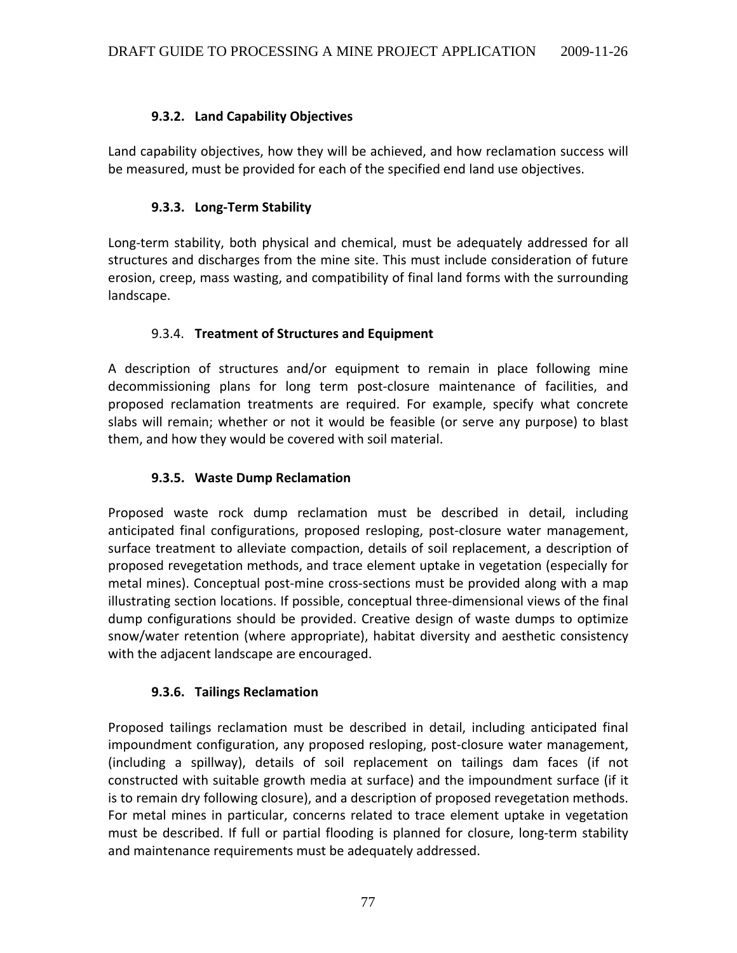## **9.3.2. Land Capability Objectives**

Land capability objectives, how they will be achieved, and how reclamation success will be measured, must be provided for each of the specified end land use objectives.

## **9.3.3. Long‐Term Stability**

Long-term stability, both physical and chemical, must be adequately addressed for all structures and discharges from the mine site. This must include consideration of future erosion, creep, mass wasting, and compatibility of final land forms with the surrounding landscape.

## 9.3.4. **Treatment of Structures and Equipment**

A description of structures and/or equipment to remain in place following mine decommissioning plans for long term post‐closure maintenance of facilities, and proposed reclamation treatments are required. For example, specify what concrete slabs will remain; whether or not it would be feasible (or serve any purpose) to blast them, and how they would be covered with soil material.

### **9.3.5. Waste Dump Reclamation**

Proposed waste rock dump reclamation must be described in detail, including anticipated final configurations, proposed resloping, post‐closure water management, surface treatment to alleviate compaction, details of soil replacement, a description of proposed revegetation methods, and trace element uptake in vegetation (especially for metal mines). Conceptual post‐mine cross‐sections must be provided along with a map illustrating section locations. If possible, conceptual three‐dimensional views of the final dump configurations should be provided. Creative design of waste dumps to optimize snow/water retention (where appropriate), habitat diversity and aesthetic consistency with the adjacent landscape are encouraged.

### **9.3.6. Tailings Reclamation**

Proposed tailings reclamation must be described in detail, including anticipated final impoundment configuration, any proposed resloping, post-closure water management, (including a spillway), details of soil replacement on tailings dam faces (if not constructed with suitable growth media at surface) and the impoundment surface (if it is to remain dry following closure), and a description of proposed revegetation methods. For metal mines in particular, concerns related to trace element uptake in vegetation must be described. If full or partial flooding is planned for closure, long‐term stability and maintenance requirements must be adequately addressed.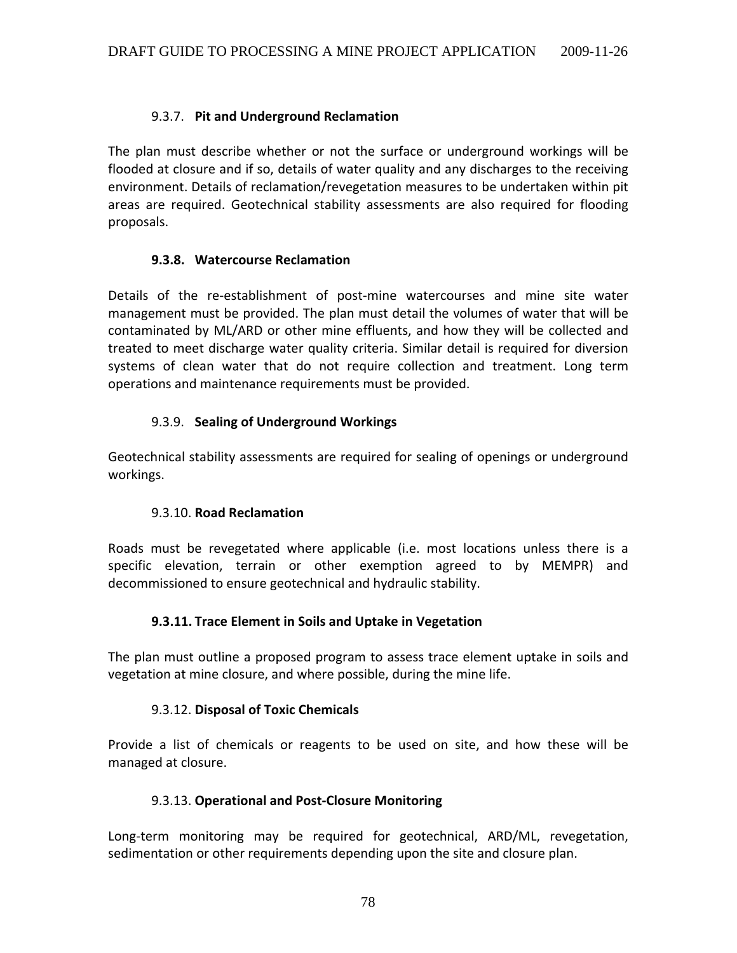### 9.3.7. **Pit and Underground Reclamation**

The plan must describe whether or not the surface or underground workings will be flooded at closure and if so, details of water quality and any discharges to the receiving environment. Details of reclamation/revegetation measures to be undertaken within pit areas are required. Geotechnical stability assessments are also required for flooding proposals.

### **9.3.8. Watercourse Reclamation**

Details of the re-establishment of post-mine watercourses and mine site water management must be provided. The plan must detail the volumes of water that will be contaminated by ML/ARD or other mine effluents, and how they will be collected and treated to meet discharge water quality criteria. Similar detail is required for diversion systems of clean water that do not require collection and treatment. Long term operations and maintenance requirements must be provided.

## 9.3.9. **Sealing of Underground Workings**

Geotechnical stability assessments are required for sealing of openings or underground workings.

### 9.3.10. **Road Reclamation**

Roads must be revegetated where applicable (i.e. most locations unless there is a specific elevation, terrain or other exemption agreed to by MEMPR) and decommissioned to ensure geotechnical and hydraulic stability.

### **9.3.11. Trace Element in Soils and Uptake in Vegetation**

The plan must outline a proposed program to assess trace element uptake in soils and vegetation at mine closure, and where possible, during the mine life.

### 9.3.12. **Disposal of Toxic Chemicals**

Provide a list of chemicals or reagents to be used on site, and how these will be managed at closure.

### 9.3.13. **Operational and Post‐Closure Monitoring**

Long-term monitoring may be required for geotechnical, ARD/ML, revegetation, sedimentation or other requirements depending upon the site and closure plan.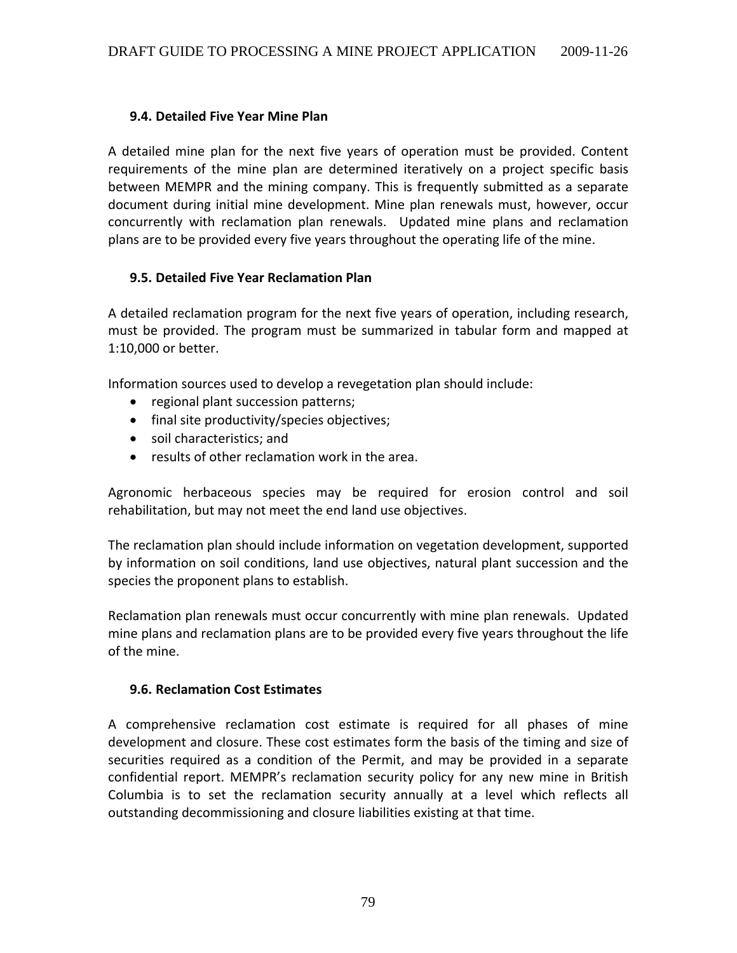#### **9.4. Detailed Five Year Mine Plan**

A detailed mine plan for the next five years of operation must be provided. Content requirements of the mine plan are determined iteratively on a project specific basis between MEMPR and the mining company. This is frequently submitted as a separate document during initial mine development. Mine plan renewals must, however, occur concurrently with reclamation plan renewals. Updated mine plans and reclamation plans are to be provided every five years throughout the operating life of the mine.

#### **9.5. Detailed Five Year Reclamation Plan**

A detailed reclamation program for the next five years of operation, including research, must be provided. The program must be summarized in tabular form and mapped at 1:10,000 or better.

Information sources used to develop a revegetation plan should include:

- regional plant succession patterns;
- final site productivity/species objectives;
- soil characteristics; and
- results of other reclamation work in the area.

Agronomic herbaceous species may be required for erosion control and soil rehabilitation, but may not meet the end land use objectives.

The reclamation plan should include information on vegetation development, supported by information on soil conditions, land use objectives, natural plant succession and the species the proponent plans to establish.

Reclamation plan renewals must occur concurrently with mine plan renewals. Updated mine plans and reclamation plans are to be provided every five years throughout the life of the mine.

#### **9.6. Reclamation Cost Estimates**

A comprehensive reclamation cost estimate is required for all phases of mine development and closure. These cost estimates form the basis of the timing and size of securities required as a condition of the Permit, and may be provided in a separate confidential report. MEMPR's reclamation security policy for any new mine in British Columbia is to set the reclamation security annually at a level which reflects all outstanding decommissioning and closure liabilities existing at that time.